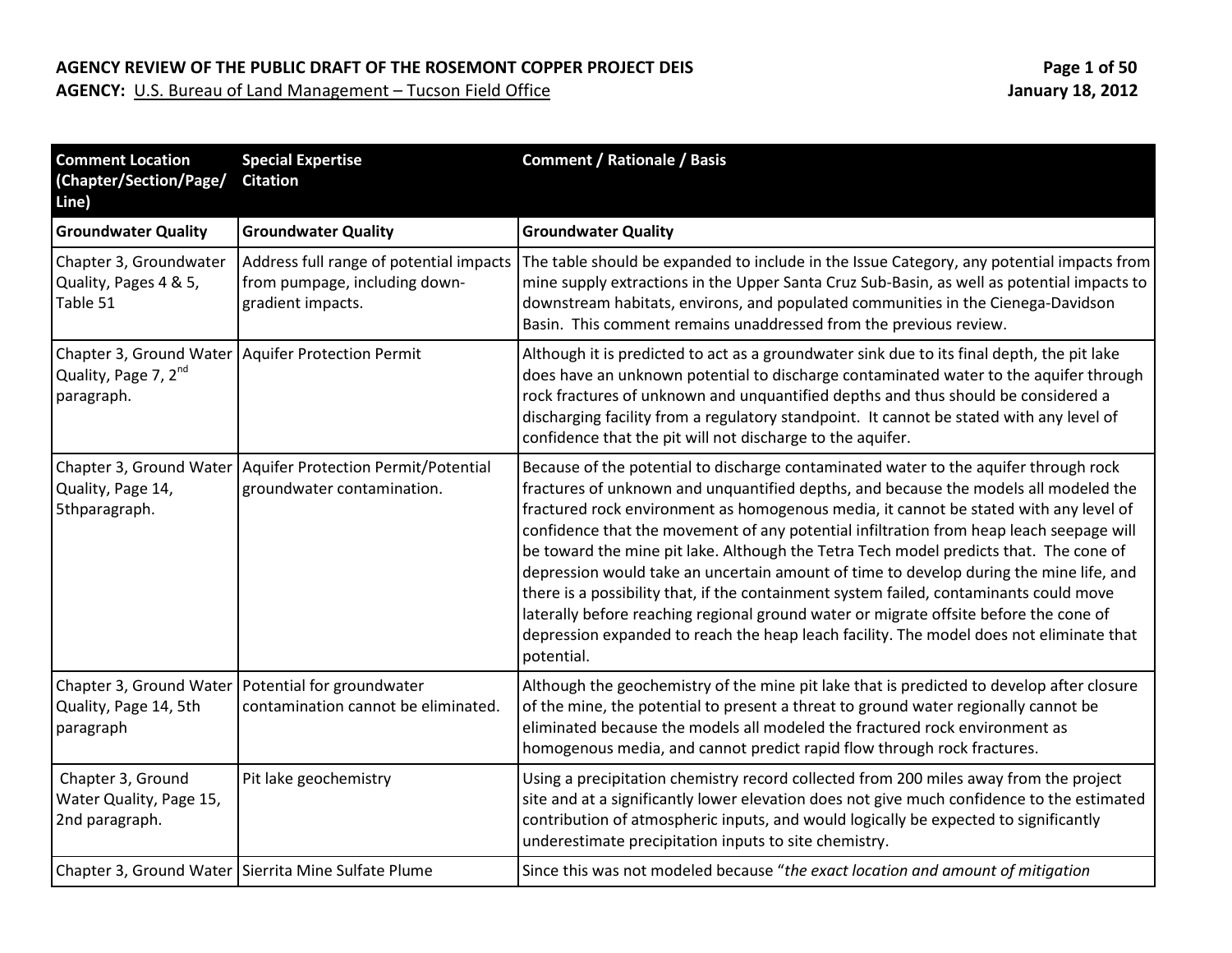| <b>Comment Location</b><br>(Chapter/Section/Page/<br>Line)     | <b>Special Expertise</b><br><b>Citation</b>                                                   | <b>Comment / Rationale / Basis</b>                                                                                                                                                                                                                                                                                                                                                                                                                                                                                                                                                                                                                                                                                                                                                                                                              |
|----------------------------------------------------------------|-----------------------------------------------------------------------------------------------|-------------------------------------------------------------------------------------------------------------------------------------------------------------------------------------------------------------------------------------------------------------------------------------------------------------------------------------------------------------------------------------------------------------------------------------------------------------------------------------------------------------------------------------------------------------------------------------------------------------------------------------------------------------------------------------------------------------------------------------------------------------------------------------------------------------------------------------------------|
| <b>Groundwater Quality</b>                                     | <b>Groundwater Quality</b>                                                                    | <b>Groundwater Quality</b>                                                                                                                                                                                                                                                                                                                                                                                                                                                                                                                                                                                                                                                                                                                                                                                                                      |
| Chapter 3, Groundwater<br>Quality, Pages 4 & 5,<br>Table 51    | Address full range of potential impacts<br>from pumpage, including down-<br>gradient impacts. | The table should be expanded to include in the Issue Category, any potential impacts from<br>mine supply extractions in the Upper Santa Cruz Sub-Basin, as well as potential impacts to<br>downstream habitats, environs, and populated communities in the Cienega-Davidson<br>Basin. This comment remains unaddressed from the previous review.                                                                                                                                                                                                                                                                                                                                                                                                                                                                                                |
| Quality, Page 7, 2 <sup>nd</sup><br>paragraph.                 | Chapter 3, Ground Water   Aquifer Protection Permit                                           | Although it is predicted to act as a groundwater sink due to its final depth, the pit lake<br>does have an unknown potential to discharge contaminated water to the aquifer through<br>rock fractures of unknown and unquantified depths and thus should be considered a<br>discharging facility from a regulatory standpoint. It cannot be stated with any level of<br>confidence that the pit will not discharge to the aquifer.                                                                                                                                                                                                                                                                                                                                                                                                              |
| Chapter 3, Ground Water<br>Quality, Page 14,<br>5thparagraph.  | Aquifer Protection Permit/Potential<br>groundwater contamination.                             | Because of the potential to discharge contaminated water to the aquifer through rock<br>fractures of unknown and unquantified depths, and because the models all modeled the<br>fractured rock environment as homogenous media, it cannot be stated with any level of<br>confidence that the movement of any potential infiltration from heap leach seepage will<br>be toward the mine pit lake. Although the Tetra Tech model predicts that. The cone of<br>depression would take an uncertain amount of time to develop during the mine life, and<br>there is a possibility that, if the containment system failed, contaminants could move<br>laterally before reaching regional ground water or migrate offsite before the cone of<br>depression expanded to reach the heap leach facility. The model does not eliminate that<br>potential. |
| Chapter 3, Ground Water<br>Quality, Page 14, 5th<br>paragraph  | Potential for groundwater<br>contamination cannot be eliminated.                              | Although the geochemistry of the mine pit lake that is predicted to develop after closure<br>of the mine, the potential to present a threat to ground water regionally cannot be<br>eliminated because the models all modeled the fractured rock environment as<br>homogenous media, and cannot predict rapid flow through rock fractures.                                                                                                                                                                                                                                                                                                                                                                                                                                                                                                      |
| Chapter 3, Ground<br>Water Quality, Page 15,<br>2nd paragraph. | Pit lake geochemistry                                                                         | Using a precipitation chemistry record collected from 200 miles away from the project<br>site and at a significantly lower elevation does not give much confidence to the estimated<br>contribution of atmospheric inputs, and would logically be expected to significantly<br>underestimate precipitation inputs to site chemistry.                                                                                                                                                                                                                                                                                                                                                                                                                                                                                                            |
|                                                                | Chapter 3, Ground Water   Sierrita Mine Sulfate Plume                                         | Since this was not modeled because "the exact location and amount of mitigation                                                                                                                                                                                                                                                                                                                                                                                                                                                                                                                                                                                                                                                                                                                                                                 |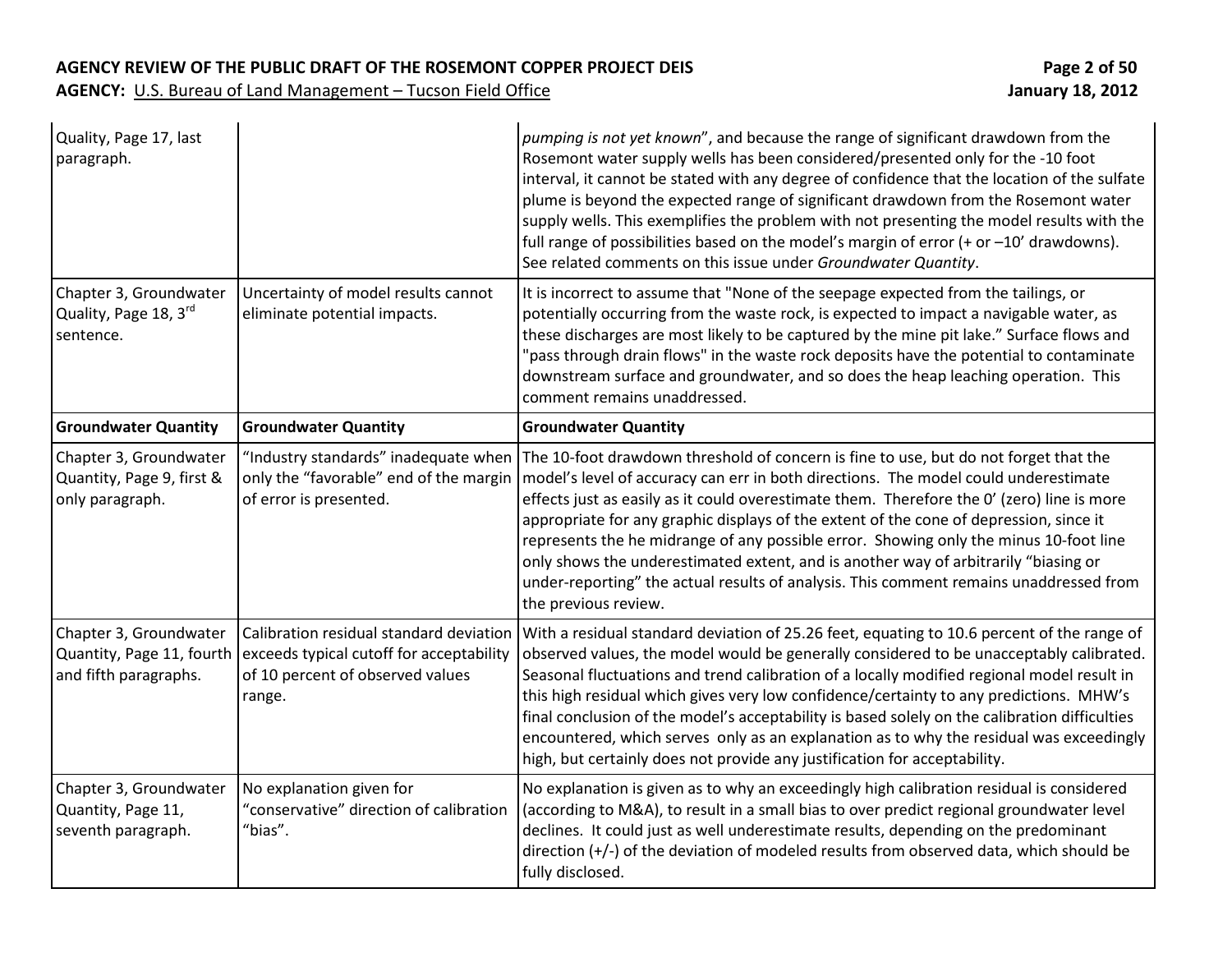| Quality, Page 17, last<br>paragraph.                                         |                                                                                                                                   | pumping is not yet known", and because the range of significant drawdown from the<br>Rosemont water supply wells has been considered/presented only for the -10 foot<br>interval, it cannot be stated with any degree of confidence that the location of the sulfate<br>plume is beyond the expected range of significant drawdown from the Rosemont water<br>supply wells. This exemplifies the problem with not presenting the model results with the<br>full range of possibilities based on the model's margin of error (+ or $-10'$ drawdowns).<br>See related comments on this issue under Groundwater Quantity.                                                |
|------------------------------------------------------------------------------|-----------------------------------------------------------------------------------------------------------------------------------|-----------------------------------------------------------------------------------------------------------------------------------------------------------------------------------------------------------------------------------------------------------------------------------------------------------------------------------------------------------------------------------------------------------------------------------------------------------------------------------------------------------------------------------------------------------------------------------------------------------------------------------------------------------------------|
| Chapter 3, Groundwater<br>Quality, Page 18, 3rd<br>sentence.                 | Uncertainty of model results cannot<br>eliminate potential impacts.                                                               | It is incorrect to assume that "None of the seepage expected from the tailings, or<br>potentially occurring from the waste rock, is expected to impact a navigable water, as<br>these discharges are most likely to be captured by the mine pit lake." Surface flows and<br>"pass through drain flows" in the waste rock deposits have the potential to contaminate<br>downstream surface and groundwater, and so does the heap leaching operation. This<br>comment remains unaddressed.                                                                                                                                                                              |
| <b>Groundwater Quantity</b>                                                  | <b>Groundwater Quantity</b>                                                                                                       | <b>Groundwater Quantity</b>                                                                                                                                                                                                                                                                                                                                                                                                                                                                                                                                                                                                                                           |
| Chapter 3, Groundwater<br>Quantity, Page 9, first &<br>only paragraph.       | "Industry standards" inadequate when<br>only the "favorable" end of the margin<br>of error is presented.                          | The 10-foot drawdown threshold of concern is fine to use, but do not forget that the<br>model's level of accuracy can err in both directions. The model could underestimate<br>effects just as easily as it could overestimate them. Therefore the O' (zero) line is more<br>appropriate for any graphic displays of the extent of the cone of depression, since it<br>represents the he midrange of any possible error. Showing only the minus 10-foot line<br>only shows the underestimated extent, and is another way of arbitrarily "biasing or<br>under-reporting" the actual results of analysis. This comment remains unaddressed from<br>the previous review. |
| Chapter 3, Groundwater<br>Quantity, Page 11, fourth<br>and fifth paragraphs. | Calibration residual standard deviation<br>exceeds typical cutoff for acceptability<br>of 10 percent of observed values<br>range. | With a residual standard deviation of 25.26 feet, equating to 10.6 percent of the range of<br>observed values, the model would be generally considered to be unacceptably calibrated.<br>Seasonal fluctuations and trend calibration of a locally modified regional model result in<br>this high residual which gives very low confidence/certainty to any predictions. MHW's<br>final conclusion of the model's acceptability is based solely on the calibration difficulties<br>encountered, which serves only as an explanation as to why the residual was exceedingly<br>high, but certainly does not provide any justification for acceptability.                |
| Chapter 3, Groundwater<br>Quantity, Page 11,<br>seventh paragraph.           | No explanation given for<br>"conservative" direction of calibration<br>"bias".                                                    | No explanation is given as to why an exceedingly high calibration residual is considered<br>(according to M&A), to result in a small bias to over predict regional groundwater level<br>declines. It could just as well underestimate results, depending on the predominant<br>direction (+/-) of the deviation of modeled results from observed data, which should be<br>fully disclosed.                                                                                                                                                                                                                                                                            |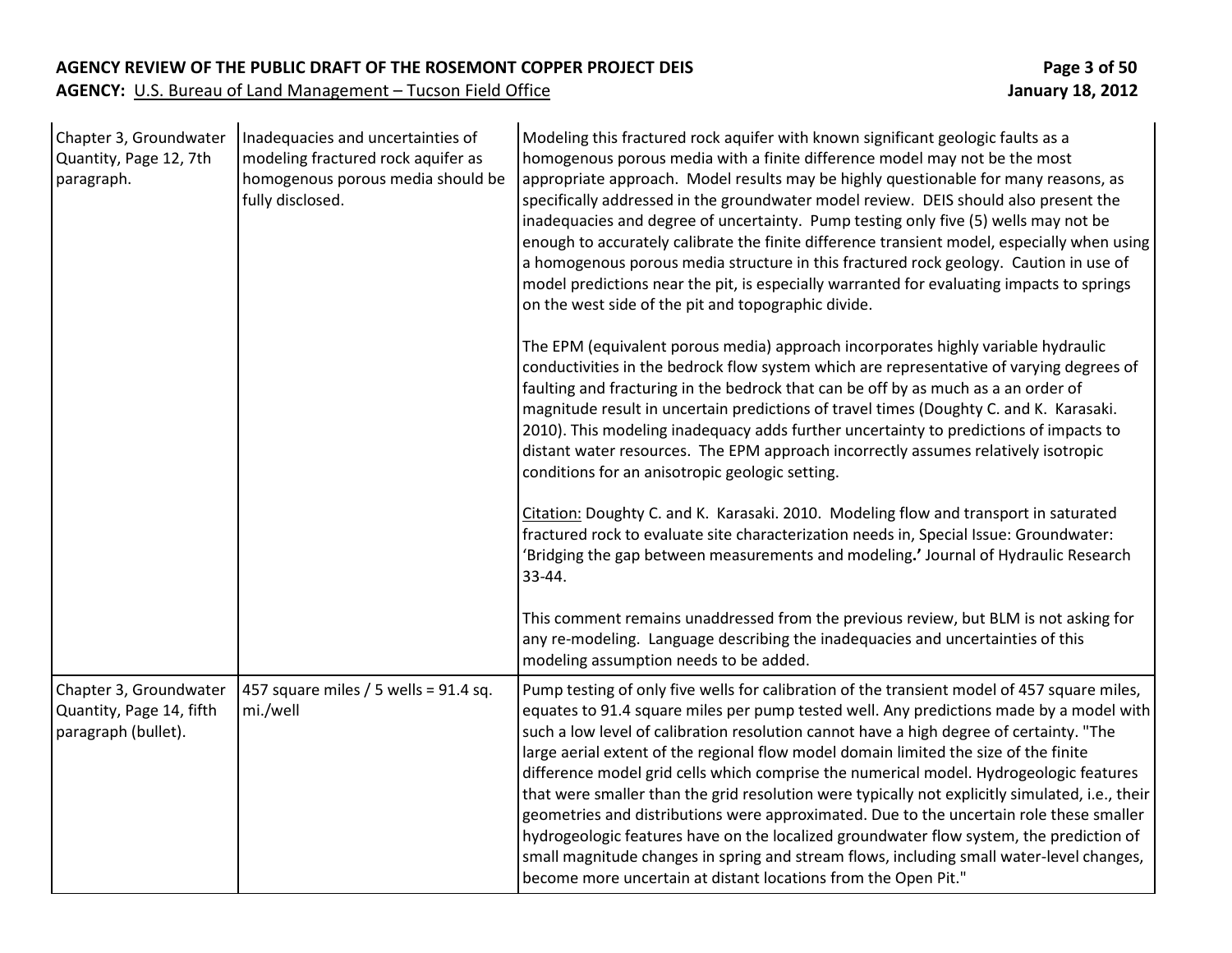| Chapter 3, Groundwater<br>Quantity, Page 12, 7th<br>paragraph.            | Inadequacies and uncertainties of<br>modeling fractured rock aquifer as<br>homogenous porous media should be<br>fully disclosed. | Modeling this fractured rock aquifer with known significant geologic faults as a<br>homogenous porous media with a finite difference model may not be the most<br>appropriate approach. Model results may be highly questionable for many reasons, as<br>specifically addressed in the groundwater model review. DEIS should also present the<br>inadequacies and degree of uncertainty. Pump testing only five (5) wells may not be<br>enough to accurately calibrate the finite difference transient model, especially when using<br>a homogenous porous media structure in this fractured rock geology. Caution in use of<br>model predictions near the pit, is especially warranted for evaluating impacts to springs<br>on the west side of the pit and topographic divide.                                                                                                                                           |
|---------------------------------------------------------------------------|----------------------------------------------------------------------------------------------------------------------------------|----------------------------------------------------------------------------------------------------------------------------------------------------------------------------------------------------------------------------------------------------------------------------------------------------------------------------------------------------------------------------------------------------------------------------------------------------------------------------------------------------------------------------------------------------------------------------------------------------------------------------------------------------------------------------------------------------------------------------------------------------------------------------------------------------------------------------------------------------------------------------------------------------------------------------|
|                                                                           |                                                                                                                                  | The EPM (equivalent porous media) approach incorporates highly variable hydraulic<br>conductivities in the bedrock flow system which are representative of varying degrees of<br>faulting and fracturing in the bedrock that can be off by as much as a an order of<br>magnitude result in uncertain predictions of travel times (Doughty C. and K. Karasaki.<br>2010). This modeling inadequacy adds further uncertainty to predictions of impacts to<br>distant water resources. The EPM approach incorrectly assumes relatively isotropic<br>conditions for an anisotropic geologic setting.                                                                                                                                                                                                                                                                                                                            |
|                                                                           |                                                                                                                                  | Citation: Doughty C. and K. Karasaki. 2010. Modeling flow and transport in saturated<br>fractured rock to evaluate site characterization needs in, Special Issue: Groundwater:<br>'Bridging the gap between measurements and modeling.' Journal of Hydraulic Research<br>$33 - 44.$                                                                                                                                                                                                                                                                                                                                                                                                                                                                                                                                                                                                                                        |
|                                                                           |                                                                                                                                  | This comment remains unaddressed from the previous review, but BLM is not asking for<br>any re-modeling. Language describing the inadequacies and uncertainties of this<br>modeling assumption needs to be added.                                                                                                                                                                                                                                                                                                                                                                                                                                                                                                                                                                                                                                                                                                          |
| Chapter 3, Groundwater<br>Quantity, Page 14, fifth<br>paragraph (bullet). | 457 square miles $/$ 5 wells = 91.4 sq.<br>mi./well                                                                              | Pump testing of only five wells for calibration of the transient model of 457 square miles,<br>equates to 91.4 square miles per pump tested well. Any predictions made by a model with<br>such a low level of calibration resolution cannot have a high degree of certainty. "The<br>large aerial extent of the regional flow model domain limited the size of the finite<br>difference model grid cells which comprise the numerical model. Hydrogeologic features<br>that were smaller than the grid resolution were typically not explicitly simulated, i.e., their<br>geometries and distributions were approximated. Due to the uncertain role these smaller<br>hydrogeologic features have on the localized groundwater flow system, the prediction of<br>small magnitude changes in spring and stream flows, including small water-level changes,<br>become more uncertain at distant locations from the Open Pit." |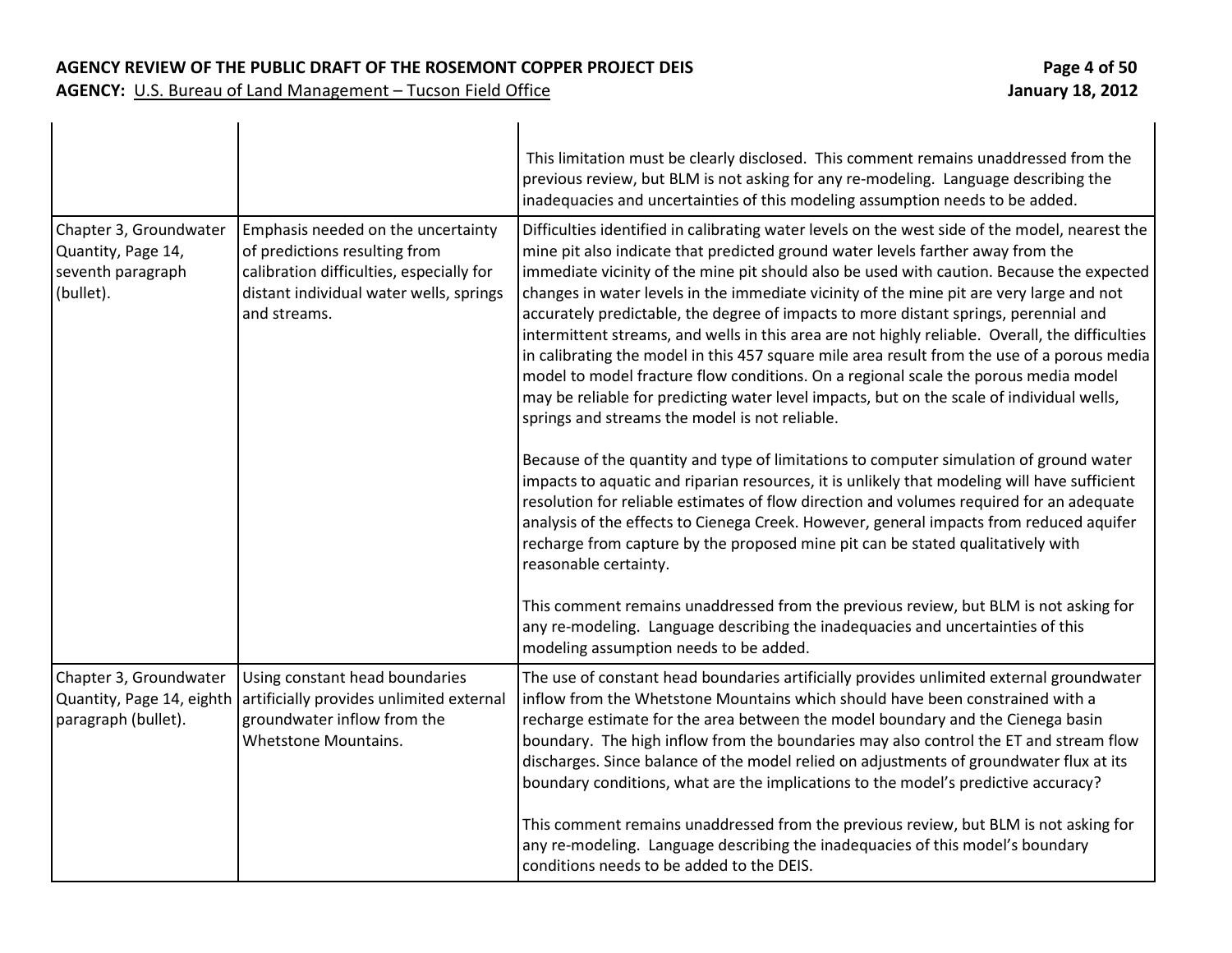|                                                                                |                                                                                                                                                                            | This limitation must be clearly disclosed. This comment remains unaddressed from the<br>previous review, but BLM is not asking for any re-modeling. Language describing the<br>inadequacies and uncertainties of this modeling assumption needs to be added.                                                                                                                                                                                                                                                                                                                                                                                                                                                                                                                                                                                                                                                                                                                                                                                                                                                                                                                                                                                                                                                                                                                                                                                                                                    |
|--------------------------------------------------------------------------------|----------------------------------------------------------------------------------------------------------------------------------------------------------------------------|-------------------------------------------------------------------------------------------------------------------------------------------------------------------------------------------------------------------------------------------------------------------------------------------------------------------------------------------------------------------------------------------------------------------------------------------------------------------------------------------------------------------------------------------------------------------------------------------------------------------------------------------------------------------------------------------------------------------------------------------------------------------------------------------------------------------------------------------------------------------------------------------------------------------------------------------------------------------------------------------------------------------------------------------------------------------------------------------------------------------------------------------------------------------------------------------------------------------------------------------------------------------------------------------------------------------------------------------------------------------------------------------------------------------------------------------------------------------------------------------------|
| Chapter 3, Groundwater<br>Quantity, Page 14,<br>seventh paragraph<br>(bullet). | Emphasis needed on the uncertainty<br>of predictions resulting from<br>calibration difficulties, especially for<br>distant individual water wells, springs<br>and streams. | Difficulties identified in calibrating water levels on the west side of the model, nearest the<br>mine pit also indicate that predicted ground water levels farther away from the<br>immediate vicinity of the mine pit should also be used with caution. Because the expected<br>changes in water levels in the immediate vicinity of the mine pit are very large and not<br>accurately predictable, the degree of impacts to more distant springs, perennial and<br>intermittent streams, and wells in this area are not highly reliable. Overall, the difficulties<br>in calibrating the model in this 457 square mile area result from the use of a porous media<br>model to model fracture flow conditions. On a regional scale the porous media model<br>may be reliable for predicting water level impacts, but on the scale of individual wells,<br>springs and streams the model is not reliable.<br>Because of the quantity and type of limitations to computer simulation of ground water<br>impacts to aquatic and riparian resources, it is unlikely that modeling will have sufficient<br>resolution for reliable estimates of flow direction and volumes required for an adequate<br>analysis of the effects to Cienega Creek. However, general impacts from reduced aquifer<br>recharge from capture by the proposed mine pit can be stated qualitatively with<br>reasonable certainty.<br>This comment remains unaddressed from the previous review, but BLM is not asking for |
|                                                                                |                                                                                                                                                                            | any re-modeling. Language describing the inadequacies and uncertainties of this<br>modeling assumption needs to be added.                                                                                                                                                                                                                                                                                                                                                                                                                                                                                                                                                                                                                                                                                                                                                                                                                                                                                                                                                                                                                                                                                                                                                                                                                                                                                                                                                                       |
| Chapter 3, Groundwater<br>Quantity, Page 14, eighth<br>paragraph (bullet).     | Using constant head boundaries<br>artificially provides unlimited external<br>groundwater inflow from the<br><b>Whetstone Mountains.</b>                                   | The use of constant head boundaries artificially provides unlimited external groundwater<br>inflow from the Whetstone Mountains which should have been constrained with a<br>recharge estimate for the area between the model boundary and the Cienega basin<br>boundary. The high inflow from the boundaries may also control the ET and stream flow<br>discharges. Since balance of the model relied on adjustments of groundwater flux at its<br>boundary conditions, what are the implications to the model's predictive accuracy?                                                                                                                                                                                                                                                                                                                                                                                                                                                                                                                                                                                                                                                                                                                                                                                                                                                                                                                                                          |
|                                                                                |                                                                                                                                                                            | This comment remains unaddressed from the previous review, but BLM is not asking for<br>any re-modeling. Language describing the inadequacies of this model's boundary<br>conditions needs to be added to the DEIS.                                                                                                                                                                                                                                                                                                                                                                                                                                                                                                                                                                                                                                                                                                                                                                                                                                                                                                                                                                                                                                                                                                                                                                                                                                                                             |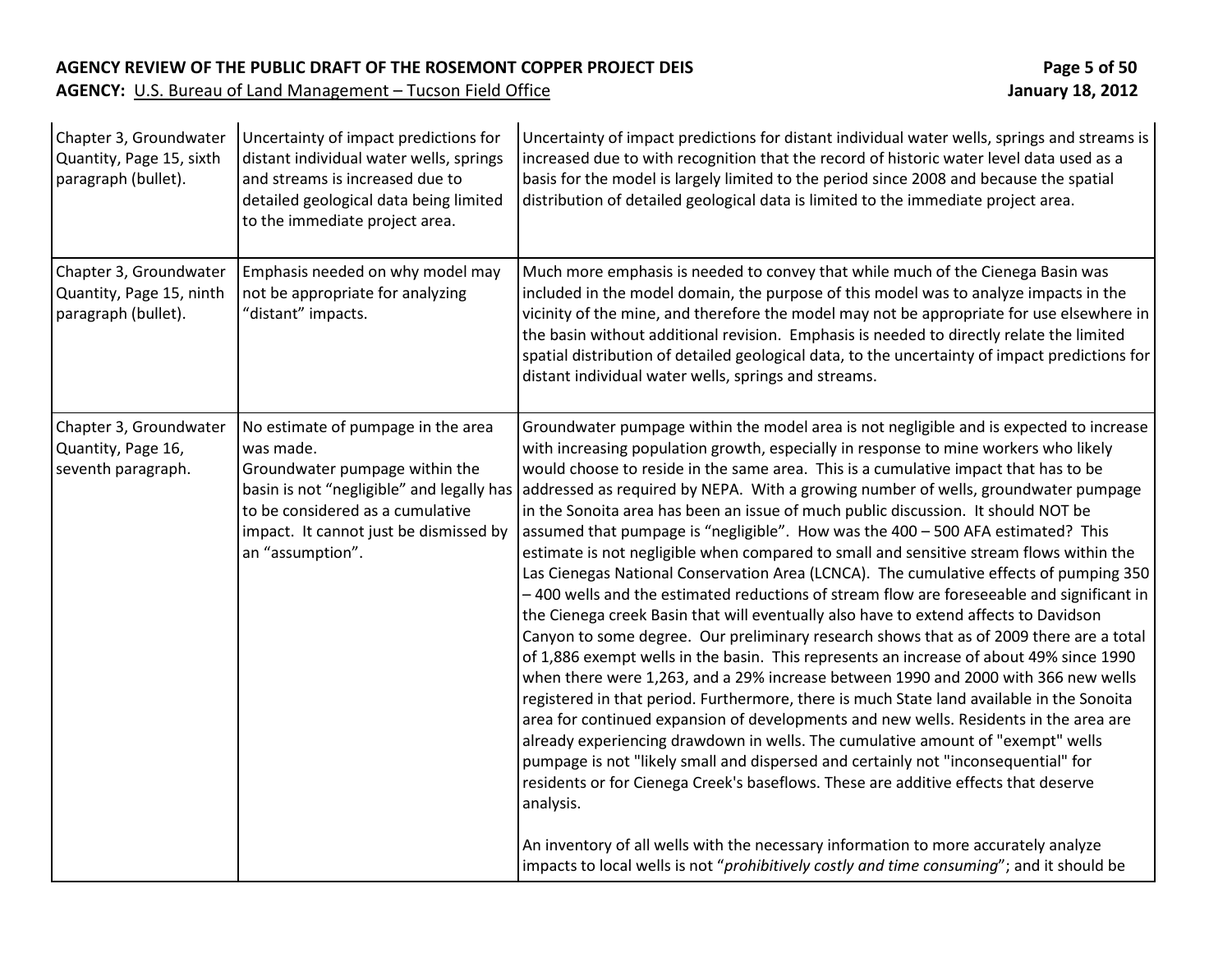### **AGENCY REVIEW OF THE PUBLIC DRAFT OF THE ROSEMONT COPPER PROJECT DEIS Page 5 of 50**

| Chapter 3, Groundwater<br>Quantity, Page 15, sixth<br>paragraph (bullet). | Uncertainty of impact predictions for<br>distant individual water wells, springs<br>and streams is increased due to<br>detailed geological data being limited<br>to the immediate project area.                                  | Uncertainty of impact predictions for distant individual water wells, springs and streams is<br>increased due to with recognition that the record of historic water level data used as a<br>basis for the model is largely limited to the period since 2008 and because the spatial<br>distribution of detailed geological data is limited to the immediate project area.                                                                                                                                                                                                                                                                                                                                                                                                                                                                                                                                                                                                                                                                                                                                                                                                                                                                                                                                                                                                                                                                                                                                                                                                                                                                                                                                                                                                                                                                         |
|---------------------------------------------------------------------------|----------------------------------------------------------------------------------------------------------------------------------------------------------------------------------------------------------------------------------|---------------------------------------------------------------------------------------------------------------------------------------------------------------------------------------------------------------------------------------------------------------------------------------------------------------------------------------------------------------------------------------------------------------------------------------------------------------------------------------------------------------------------------------------------------------------------------------------------------------------------------------------------------------------------------------------------------------------------------------------------------------------------------------------------------------------------------------------------------------------------------------------------------------------------------------------------------------------------------------------------------------------------------------------------------------------------------------------------------------------------------------------------------------------------------------------------------------------------------------------------------------------------------------------------------------------------------------------------------------------------------------------------------------------------------------------------------------------------------------------------------------------------------------------------------------------------------------------------------------------------------------------------------------------------------------------------------------------------------------------------------------------------------------------------------------------------------------------------|
| Chapter 3, Groundwater<br>Quantity, Page 15, ninth<br>paragraph (bullet). | Emphasis needed on why model may<br>not be appropriate for analyzing<br>"distant" impacts.                                                                                                                                       | Much more emphasis is needed to convey that while much of the Cienega Basin was<br>included in the model domain, the purpose of this model was to analyze impacts in the<br>vicinity of the mine, and therefore the model may not be appropriate for use elsewhere in<br>the basin without additional revision. Emphasis is needed to directly relate the limited<br>spatial distribution of detailed geological data, to the uncertainty of impact predictions for<br>distant individual water wells, springs and streams.                                                                                                                                                                                                                                                                                                                                                                                                                                                                                                                                                                                                                                                                                                                                                                                                                                                                                                                                                                                                                                                                                                                                                                                                                                                                                                                       |
| Chapter 3, Groundwater<br>Quantity, Page 16,<br>seventh paragraph.        | No estimate of pumpage in the area<br>was made.<br>Groundwater pumpage within the<br>basin is not "negligible" and legally has<br>to be considered as a cumulative<br>impact. It cannot just be dismissed by<br>an "assumption". | Groundwater pumpage within the model area is not negligible and is expected to increase<br>with increasing population growth, especially in response to mine workers who likely<br>would choose to reside in the same area. This is a cumulative impact that has to be<br>addressed as required by NEPA. With a growing number of wells, groundwater pumpage<br>in the Sonoita area has been an issue of much public discussion. It should NOT be<br>assumed that pumpage is "negligible". How was the 400 - 500 AFA estimated? This<br>estimate is not negligible when compared to small and sensitive stream flows within the<br>Las Cienegas National Conservation Area (LCNCA). The cumulative effects of pumping 350<br>-400 wells and the estimated reductions of stream flow are foreseeable and significant in<br>the Cienega creek Basin that will eventually also have to extend affects to Davidson<br>Canyon to some degree. Our preliminary research shows that as of 2009 there are a total<br>of 1,886 exempt wells in the basin. This represents an increase of about 49% since 1990<br>when there were 1,263, and a 29% increase between 1990 and 2000 with 366 new wells<br>registered in that period. Furthermore, there is much State land available in the Sonoita<br>area for continued expansion of developments and new wells. Residents in the area are<br>already experiencing drawdown in wells. The cumulative amount of "exempt" wells<br>pumpage is not "likely small and dispersed and certainly not "inconsequential" for<br>residents or for Cienega Creek's baseflows. These are additive effects that deserve<br>analysis.<br>An inventory of all wells with the necessary information to more accurately analyze<br>impacts to local wells is not "prohibitively costly and time consuming"; and it should be |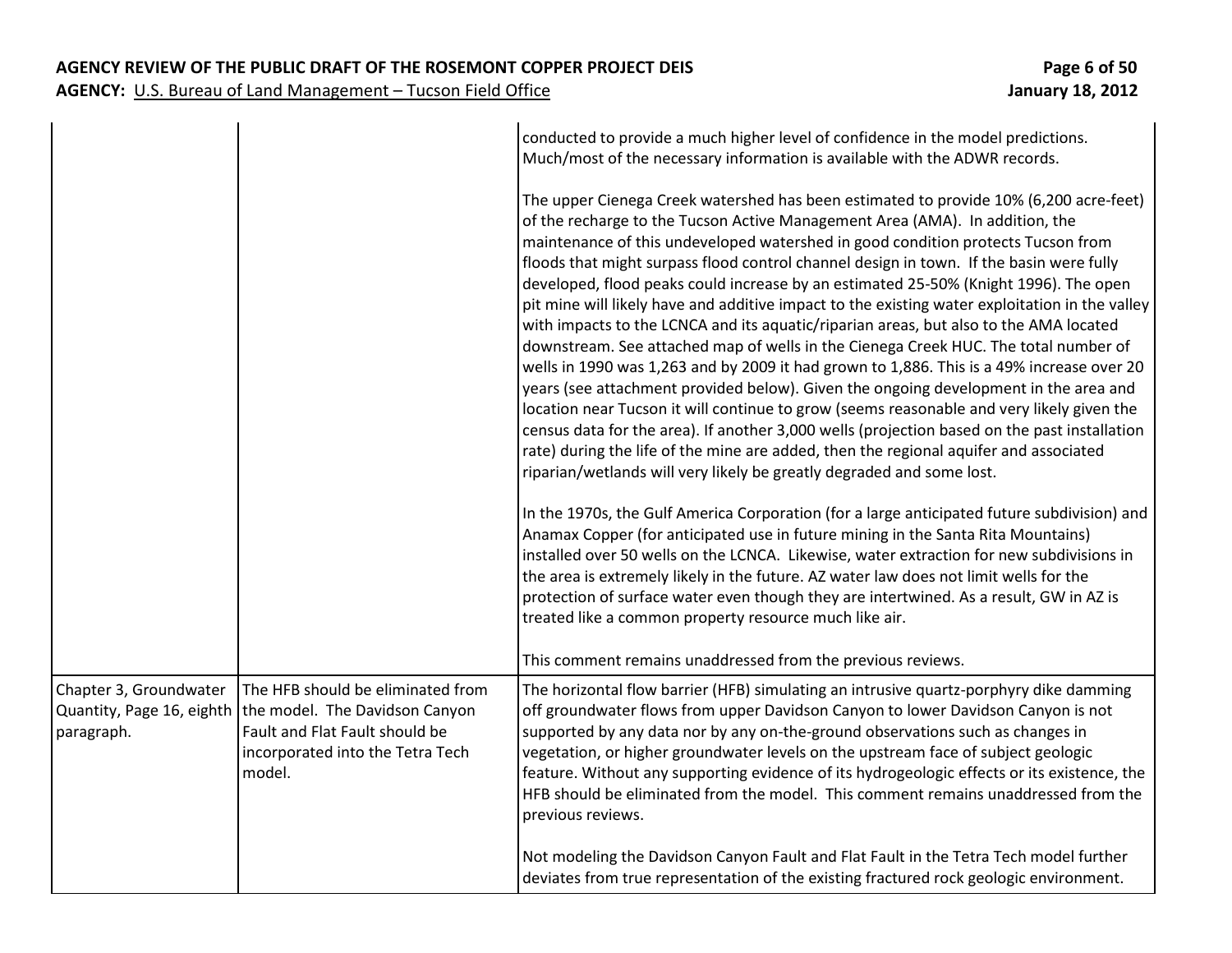|                                                                   |                                                                                                                                                     | conducted to provide a much higher level of confidence in the model predictions.<br>Much/most of the necessary information is available with the ADWR records.                                                                                                                                                                                                                                                                                                                                                                                                                                                                                                                                                                                                                                                                                                                                                                                                                                                                                                                                                                                                                                                                                                                                                                                                                                                                                                                                                                                                                                                                                                                                                                                                                                                 |
|-------------------------------------------------------------------|-----------------------------------------------------------------------------------------------------------------------------------------------------|----------------------------------------------------------------------------------------------------------------------------------------------------------------------------------------------------------------------------------------------------------------------------------------------------------------------------------------------------------------------------------------------------------------------------------------------------------------------------------------------------------------------------------------------------------------------------------------------------------------------------------------------------------------------------------------------------------------------------------------------------------------------------------------------------------------------------------------------------------------------------------------------------------------------------------------------------------------------------------------------------------------------------------------------------------------------------------------------------------------------------------------------------------------------------------------------------------------------------------------------------------------------------------------------------------------------------------------------------------------------------------------------------------------------------------------------------------------------------------------------------------------------------------------------------------------------------------------------------------------------------------------------------------------------------------------------------------------------------------------------------------------------------------------------------------------|
|                                                                   |                                                                                                                                                     | The upper Cienega Creek watershed has been estimated to provide 10% (6,200 acre-feet)<br>of the recharge to the Tucson Active Management Area (AMA). In addition, the<br>maintenance of this undeveloped watershed in good condition protects Tucson from<br>floods that might surpass flood control channel design in town. If the basin were fully<br>developed, flood peaks could increase by an estimated 25-50% (Knight 1996). The open<br>pit mine will likely have and additive impact to the existing water exploitation in the valley<br>with impacts to the LCNCA and its aquatic/riparian areas, but also to the AMA located<br>downstream. See attached map of wells in the Cienega Creek HUC. The total number of<br>wells in 1990 was 1,263 and by 2009 it had grown to 1,886. This is a 49% increase over 20<br>years (see attachment provided below). Given the ongoing development in the area and<br>location near Tucson it will continue to grow (seems reasonable and very likely given the<br>census data for the area). If another 3,000 wells (projection based on the past installation<br>rate) during the life of the mine are added, then the regional aquifer and associated<br>riparian/wetlands will very likely be greatly degraded and some lost.<br>In the 1970s, the Gulf America Corporation (for a large anticipated future subdivision) and<br>Anamax Copper (for anticipated use in future mining in the Santa Rita Mountains)<br>installed over 50 wells on the LCNCA. Likewise, water extraction for new subdivisions in<br>the area is extremely likely in the future. AZ water law does not limit wells for the<br>protection of surface water even though they are intertwined. As a result, GW in AZ is<br>treated like a common property resource much like air. |
|                                                                   |                                                                                                                                                     | This comment remains unaddressed from the previous reviews.                                                                                                                                                                                                                                                                                                                                                                                                                                                                                                                                                                                                                                                                                                                                                                                                                                                                                                                                                                                                                                                                                                                                                                                                                                                                                                                                                                                                                                                                                                                                                                                                                                                                                                                                                    |
| Chapter 3, Groundwater<br>Quantity, Page 16, eighth<br>paragraph. | The HFB should be eliminated from<br>the model. The Davidson Canyon<br>Fault and Flat Fault should be<br>incorporated into the Tetra Tech<br>model. | The horizontal flow barrier (HFB) simulating an intrusive quartz-porphyry dike damming<br>off groundwater flows from upper Davidson Canyon to lower Davidson Canyon is not<br>supported by any data nor by any on-the-ground observations such as changes in<br>vegetation, or higher groundwater levels on the upstream face of subject geologic<br>feature. Without any supporting evidence of its hydrogeologic effects or its existence, the<br>HFB should be eliminated from the model. This comment remains unaddressed from the<br>previous reviews.                                                                                                                                                                                                                                                                                                                                                                                                                                                                                                                                                                                                                                                                                                                                                                                                                                                                                                                                                                                                                                                                                                                                                                                                                                                    |
|                                                                   |                                                                                                                                                     | Not modeling the Davidson Canyon Fault and Flat Fault in the Tetra Tech model further<br>deviates from true representation of the existing fractured rock geologic environment.                                                                                                                                                                                                                                                                                                                                                                                                                                                                                                                                                                                                                                                                                                                                                                                                                                                                                                                                                                                                                                                                                                                                                                                                                                                                                                                                                                                                                                                                                                                                                                                                                                |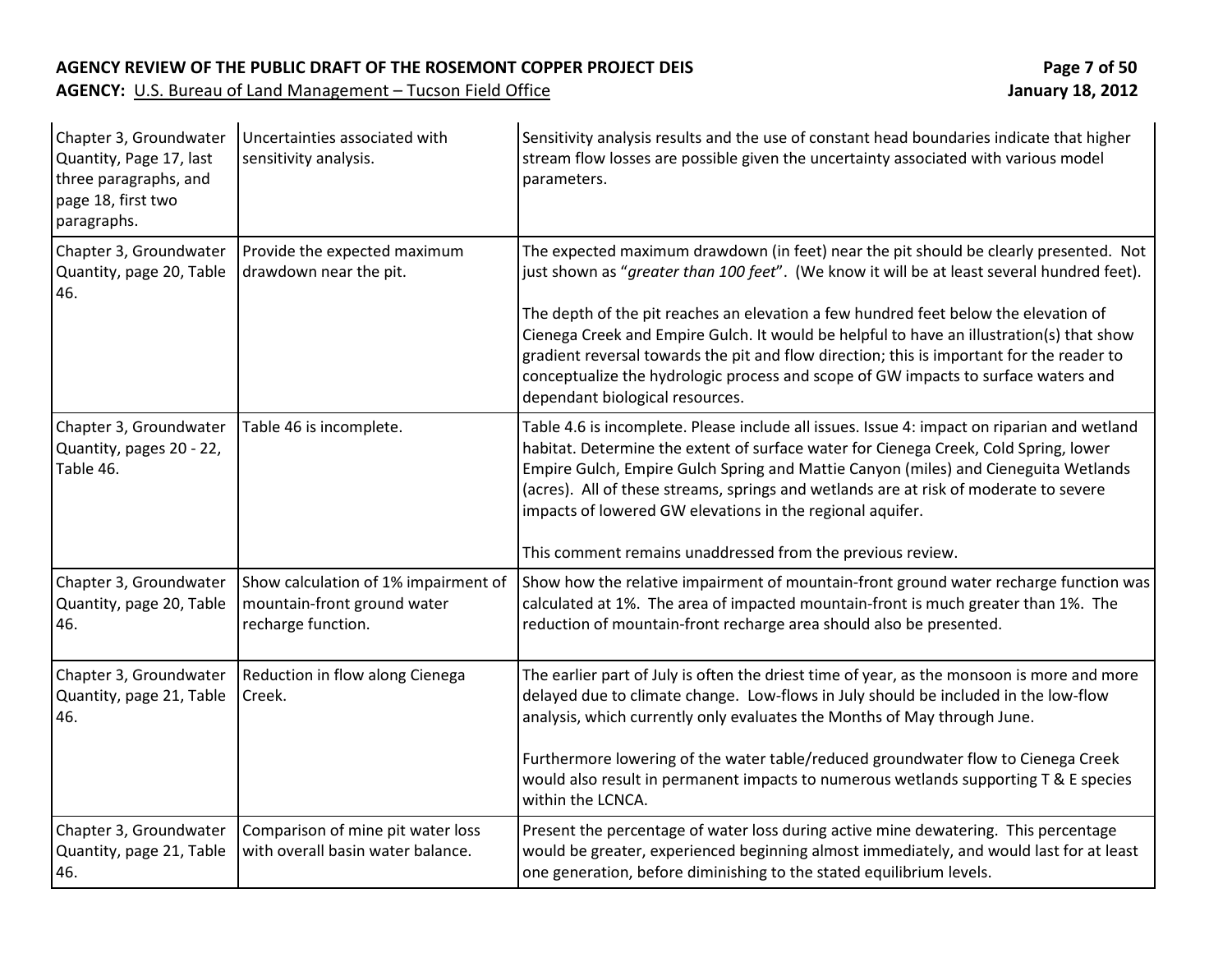| Chapter 3, Groundwater<br>Quantity, Page 17, last<br>three paragraphs, and<br>page 18, first two<br>paragraphs. | Uncertainties associated with<br>sensitivity analysis.                                    | Sensitivity analysis results and the use of constant head boundaries indicate that higher<br>stream flow losses are possible given the uncertainty associated with various model<br>parameters.                                                                                                                                                                                                                                                                                                                                                                                              |
|-----------------------------------------------------------------------------------------------------------------|-------------------------------------------------------------------------------------------|----------------------------------------------------------------------------------------------------------------------------------------------------------------------------------------------------------------------------------------------------------------------------------------------------------------------------------------------------------------------------------------------------------------------------------------------------------------------------------------------------------------------------------------------------------------------------------------------|
| Chapter 3, Groundwater<br>Quantity, page 20, Table<br>46.                                                       | Provide the expected maximum<br>drawdown near the pit.                                    | The expected maximum drawdown (in feet) near the pit should be clearly presented. Not<br>just shown as "greater than 100 feet". (We know it will be at least several hundred feet).<br>The depth of the pit reaches an elevation a few hundred feet below the elevation of<br>Cienega Creek and Empire Gulch. It would be helpful to have an illustration(s) that show<br>gradient reversal towards the pit and flow direction; this is important for the reader to<br>conceptualize the hydrologic process and scope of GW impacts to surface waters and<br>dependant biological resources. |
| Chapter 3, Groundwater<br>Quantity, pages 20 - 22,<br>Table 46.                                                 | Table 46 is incomplete.                                                                   | Table 4.6 is incomplete. Please include all issues. Issue 4: impact on riparian and wetland<br>habitat. Determine the extent of surface water for Cienega Creek, Cold Spring, lower<br>Empire Gulch, Empire Gulch Spring and Mattie Canyon (miles) and Cieneguita Wetlands<br>(acres). All of these streams, springs and wetlands are at risk of moderate to severe<br>impacts of lowered GW elevations in the regional aquifer.<br>This comment remains unaddressed from the previous review.                                                                                               |
| Chapter 3, Groundwater<br>Quantity, page 20, Table<br>46.                                                       | Show calculation of 1% impairment of<br>mountain-front ground water<br>recharge function. | Show how the relative impairment of mountain-front ground water recharge function was<br>calculated at 1%. The area of impacted mountain-front is much greater than 1%. The<br>reduction of mountain-front recharge area should also be presented.                                                                                                                                                                                                                                                                                                                                           |
| Chapter 3, Groundwater<br>Quantity, page 21, Table<br>46.                                                       | Reduction in flow along Cienega<br>Creek.                                                 | The earlier part of July is often the driest time of year, as the monsoon is more and more<br>delayed due to climate change. Low-flows in July should be included in the low-flow<br>analysis, which currently only evaluates the Months of May through June.<br>Furthermore lowering of the water table/reduced groundwater flow to Cienega Creek<br>would also result in permanent impacts to numerous wetlands supporting T & E species<br>within the LCNCA.                                                                                                                              |
| Chapter 3, Groundwater<br>Quantity, page 21, Table<br>46.                                                       | Comparison of mine pit water loss<br>with overall basin water balance.                    | Present the percentage of water loss during active mine dewatering. This percentage<br>would be greater, experienced beginning almost immediately, and would last for at least<br>one generation, before diminishing to the stated equilibrium levels.                                                                                                                                                                                                                                                                                                                                       |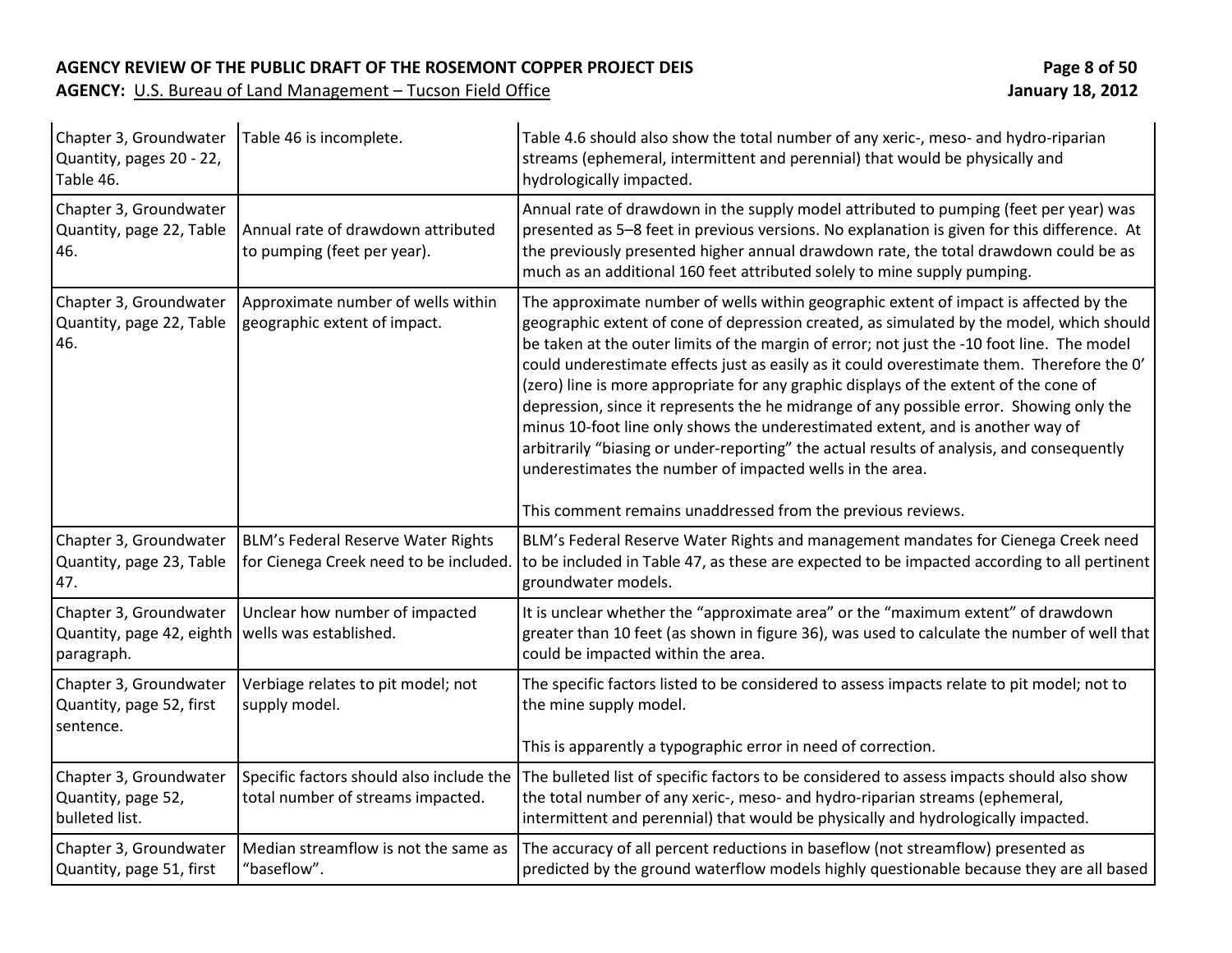### **AGENCY REVIEW OF THE PUBLIC DRAFT OF THE ROSEMONT COPPER PROJECT DEIS Page 8 of 50**

| Chapter 3, Groundwater<br>Quantity, pages 20 - 22,<br>Table 46.   | Table 46 is incomplete.                                                       | Table 4.6 should also show the total number of any xeric-, meso- and hydro-riparian<br>streams (ephemeral, intermittent and perennial) that would be physically and<br>hydrologically impacted.                                                                                                                                                                                                                                                                                                                                                                                                                                                                                                                                                                                                                                                                             |
|-------------------------------------------------------------------|-------------------------------------------------------------------------------|-----------------------------------------------------------------------------------------------------------------------------------------------------------------------------------------------------------------------------------------------------------------------------------------------------------------------------------------------------------------------------------------------------------------------------------------------------------------------------------------------------------------------------------------------------------------------------------------------------------------------------------------------------------------------------------------------------------------------------------------------------------------------------------------------------------------------------------------------------------------------------|
| Chapter 3, Groundwater<br>Quantity, page 22, Table<br>46.         | Annual rate of drawdown attributed<br>to pumping (feet per year).             | Annual rate of drawdown in the supply model attributed to pumping (feet per year) was<br>presented as 5-8 feet in previous versions. No explanation is given for this difference. At<br>the previously presented higher annual drawdown rate, the total drawdown could be as<br>much as an additional 160 feet attributed solely to mine supply pumping.                                                                                                                                                                                                                                                                                                                                                                                                                                                                                                                    |
| Chapter 3, Groundwater<br>Quantity, page 22, Table<br>46.         | Approximate number of wells within<br>geographic extent of impact.            | The approximate number of wells within geographic extent of impact is affected by the<br>geographic extent of cone of depression created, as simulated by the model, which should<br>be taken at the outer limits of the margin of error; not just the -10 foot line. The model<br>could underestimate effects just as easily as it could overestimate them. Therefore the O'<br>(zero) line is more appropriate for any graphic displays of the extent of the cone of<br>depression, since it represents the he midrange of any possible error. Showing only the<br>minus 10-foot line only shows the underestimated extent, and is another way of<br>arbitrarily "biasing or under-reporting" the actual results of analysis, and consequently<br>underestimates the number of impacted wells in the area.<br>This comment remains unaddressed from the previous reviews. |
| Chapter 3, Groundwater<br>Quantity, page 23, Table<br>47.         | BLM's Federal Reserve Water Rights<br>for Cienega Creek need to be included   | BLM's Federal Reserve Water Rights and management mandates for Cienega Creek need<br>to be included in Table 47, as these are expected to be impacted according to all pertinent<br>groundwater models.                                                                                                                                                                                                                                                                                                                                                                                                                                                                                                                                                                                                                                                                     |
| Chapter 3, Groundwater<br>Quantity, page 42, eighth<br>paragraph. | Unclear how number of impacted<br>wells was established.                      | It is unclear whether the "approximate area" or the "maximum extent" of drawdown<br>greater than 10 feet (as shown in figure 36), was used to calculate the number of well that<br>could be impacted within the area.                                                                                                                                                                                                                                                                                                                                                                                                                                                                                                                                                                                                                                                       |
| Chapter 3, Groundwater<br>Quantity, page 52, first<br>sentence.   | Verbiage relates to pit model; not<br>supply model.                           | The specific factors listed to be considered to assess impacts relate to pit model; not to<br>the mine supply model.<br>This is apparently a typographic error in need of correction.                                                                                                                                                                                                                                                                                                                                                                                                                                                                                                                                                                                                                                                                                       |
| Chapter 3, Groundwater<br>Quantity, page 52,<br>bulleted list.    | Specific factors should also include the<br>total number of streams impacted. | The bulleted list of specific factors to be considered to assess impacts should also show<br>the total number of any xeric-, meso- and hydro-riparian streams (ephemeral,<br>intermittent and perennial) that would be physically and hydrologically impacted.                                                                                                                                                                                                                                                                                                                                                                                                                                                                                                                                                                                                              |
| Chapter 3, Groundwater<br>Quantity, page 51, first                | Median streamflow is not the same as<br>"baseflow".                           | The accuracy of all percent reductions in baseflow (not streamflow) presented as<br>predicted by the ground waterflow models highly questionable because they are all based                                                                                                                                                                                                                                                                                                                                                                                                                                                                                                                                                                                                                                                                                                 |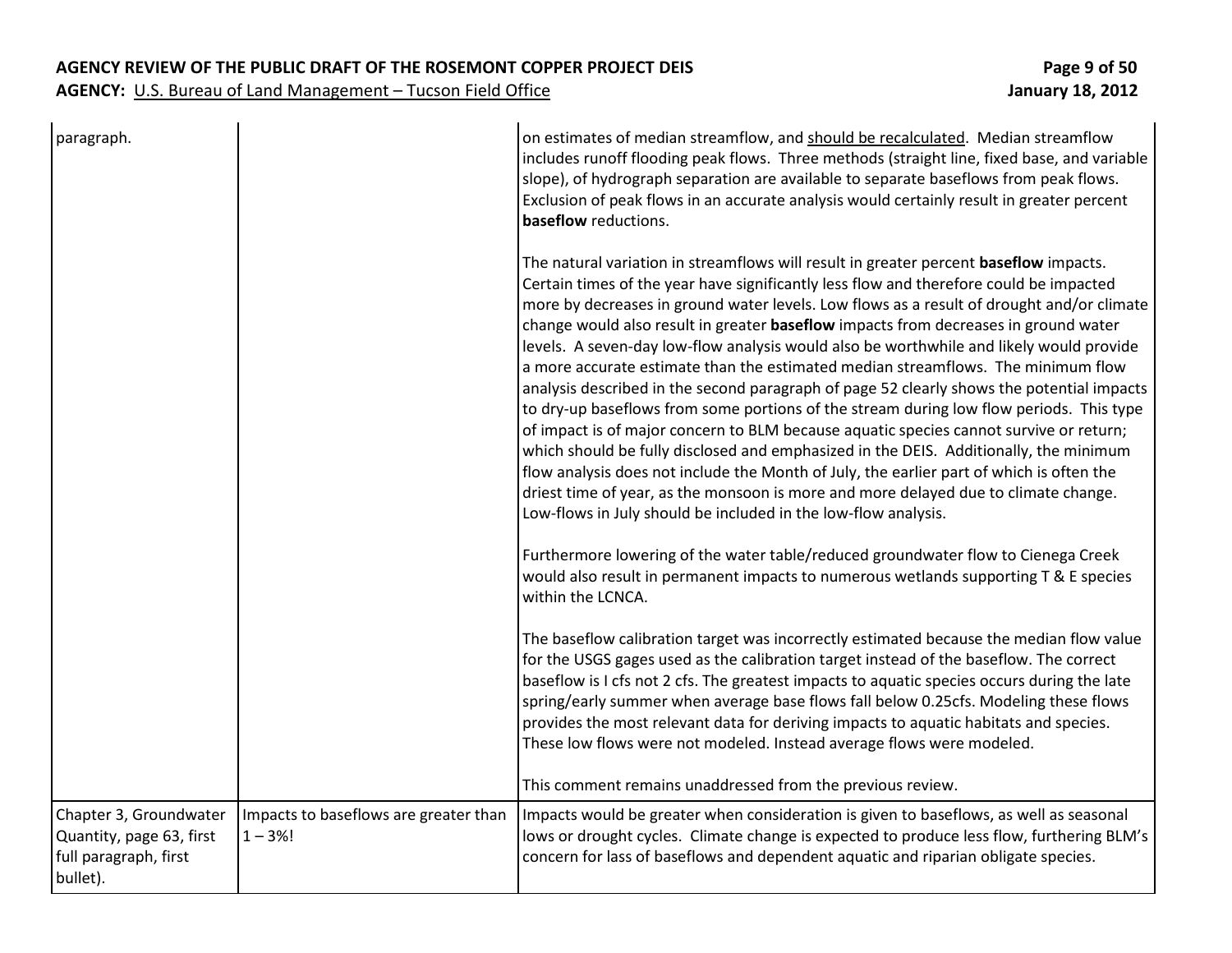| paragraph.                                                                              |                                                    | on estimates of median streamflow, and should be recalculated. Median streamflow<br>includes runoff flooding peak flows. Three methods (straight line, fixed base, and variable<br>slope), of hydrograph separation are available to separate baseflows from peak flows.<br>Exclusion of peak flows in an accurate analysis would certainly result in greater percent<br>baseflow reductions.                                                                                                                                                                                                                                                                                                                                                                                                                                                                                                                                                                                                                                                                                                                                                                                      |
|-----------------------------------------------------------------------------------------|----------------------------------------------------|------------------------------------------------------------------------------------------------------------------------------------------------------------------------------------------------------------------------------------------------------------------------------------------------------------------------------------------------------------------------------------------------------------------------------------------------------------------------------------------------------------------------------------------------------------------------------------------------------------------------------------------------------------------------------------------------------------------------------------------------------------------------------------------------------------------------------------------------------------------------------------------------------------------------------------------------------------------------------------------------------------------------------------------------------------------------------------------------------------------------------------------------------------------------------------|
|                                                                                         |                                                    | The natural variation in streamflows will result in greater percent baseflow impacts.<br>Certain times of the year have significantly less flow and therefore could be impacted<br>more by decreases in ground water levels. Low flows as a result of drought and/or climate<br>change would also result in greater baseflow impacts from decreases in ground water<br>levels. A seven-day low-flow analysis would also be worthwhile and likely would provide<br>a more accurate estimate than the estimated median streamflows. The minimum flow<br>analysis described in the second paragraph of page 52 clearly shows the potential impacts<br>to dry-up baseflows from some portions of the stream during low flow periods. This type<br>of impact is of major concern to BLM because aquatic species cannot survive or return;<br>which should be fully disclosed and emphasized in the DEIS. Additionally, the minimum<br>flow analysis does not include the Month of July, the earlier part of which is often the<br>driest time of year, as the monsoon is more and more delayed due to climate change.<br>Low-flows in July should be included in the low-flow analysis. |
|                                                                                         |                                                    | Furthermore lowering of the water table/reduced groundwater flow to Cienega Creek<br>would also result in permanent impacts to numerous wetlands supporting T & E species<br>within the LCNCA.                                                                                                                                                                                                                                                                                                                                                                                                                                                                                                                                                                                                                                                                                                                                                                                                                                                                                                                                                                                     |
|                                                                                         |                                                    | The baseflow calibration target was incorrectly estimated because the median flow value<br>for the USGS gages used as the calibration target instead of the baseflow. The correct<br>baseflow is I cfs not 2 cfs. The greatest impacts to aquatic species occurs during the late<br>spring/early summer when average base flows fall below 0.25cfs. Modeling these flows<br>provides the most relevant data for deriving impacts to aquatic habitats and species.<br>These low flows were not modeled. Instead average flows were modeled.                                                                                                                                                                                                                                                                                                                                                                                                                                                                                                                                                                                                                                         |
|                                                                                         |                                                    | This comment remains unaddressed from the previous review.                                                                                                                                                                                                                                                                                                                                                                                                                                                                                                                                                                                                                                                                                                                                                                                                                                                                                                                                                                                                                                                                                                                         |
| Chapter 3, Groundwater<br>Quantity, page 63, first<br>full paragraph, first<br>bullet). | Impacts to baseflows are greater than<br>$1 - 3%!$ | Impacts would be greater when consideration is given to baseflows, as well as seasonal<br>lows or drought cycles. Climate change is expected to produce less flow, furthering BLM's<br>concern for lass of baseflows and dependent aquatic and riparian obligate species.                                                                                                                                                                                                                                                                                                                                                                                                                                                                                                                                                                                                                                                                                                                                                                                                                                                                                                          |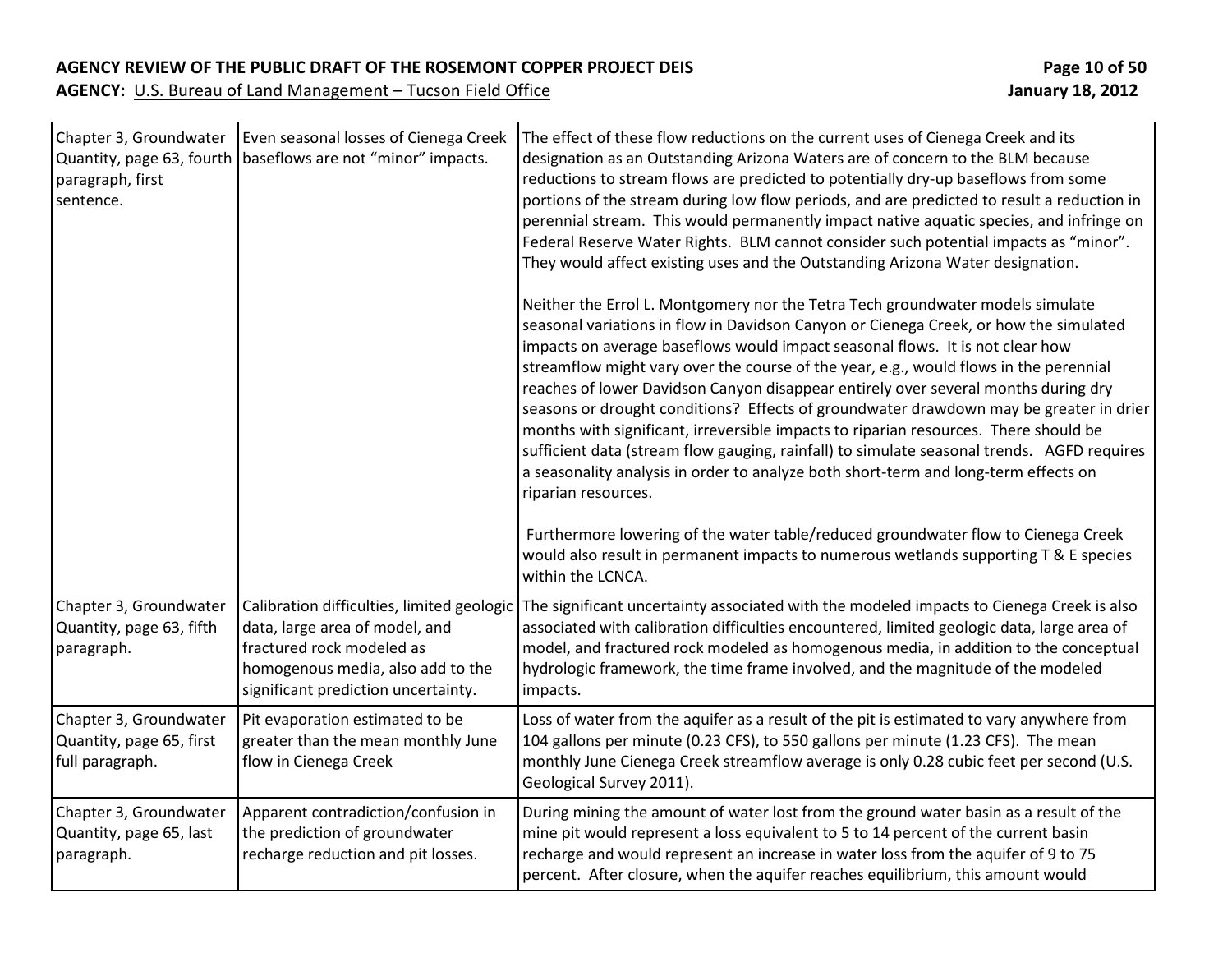| Chapter 3, Groundwater<br>Quantity, page 63, fourth<br>paragraph, first<br>sentence. | Even seasonal losses of Cienega Creek<br>baseflows are not "minor" impacts.                                                                                                           | The effect of these flow reductions on the current uses of Cienega Creek and its<br>designation as an Outstanding Arizona Waters are of concern to the BLM because<br>reductions to stream flows are predicted to potentially dry-up baseflows from some<br>portions of the stream during low flow periods, and are predicted to result a reduction in<br>perennial stream. This would permanently impact native aquatic species, and infringe on<br>Federal Reserve Water Rights. BLM cannot consider such potential impacts as "minor".<br>They would affect existing uses and the Outstanding Arizona Water designation.<br>Neither the Errol L. Montgomery nor the Tetra Tech groundwater models simulate<br>seasonal variations in flow in Davidson Canyon or Cienega Creek, or how the simulated<br>impacts on average baseflows would impact seasonal flows. It is not clear how<br>streamflow might vary over the course of the year, e.g., would flows in the perennial<br>reaches of lower Davidson Canyon disappear entirely over several months during dry<br>seasons or drought conditions? Effects of groundwater drawdown may be greater in drier<br>months with significant, irreversible impacts to riparian resources. There should be |
|--------------------------------------------------------------------------------------|---------------------------------------------------------------------------------------------------------------------------------------------------------------------------------------|----------------------------------------------------------------------------------------------------------------------------------------------------------------------------------------------------------------------------------------------------------------------------------------------------------------------------------------------------------------------------------------------------------------------------------------------------------------------------------------------------------------------------------------------------------------------------------------------------------------------------------------------------------------------------------------------------------------------------------------------------------------------------------------------------------------------------------------------------------------------------------------------------------------------------------------------------------------------------------------------------------------------------------------------------------------------------------------------------------------------------------------------------------------------------------------------------------------------------------------------------------|
|                                                                                      |                                                                                                                                                                                       | sufficient data (stream flow gauging, rainfall) to simulate seasonal trends. AGFD requires<br>a seasonality analysis in order to analyze both short-term and long-term effects on<br>riparian resources.<br>Furthermore lowering of the water table/reduced groundwater flow to Cienega Creek<br>would also result in permanent impacts to numerous wetlands supporting T & E species<br>within the LCNCA.                                                                                                                                                                                                                                                                                                                                                                                                                                                                                                                                                                                                                                                                                                                                                                                                                                               |
| Chapter 3, Groundwater<br>Quantity, page 63, fifth<br>paragraph.                     | Calibration difficulties, limited geologic<br>data, large area of model, and<br>fractured rock modeled as<br>homogenous media, also add to the<br>significant prediction uncertainty. | The significant uncertainty associated with the modeled impacts to Cienega Creek is also<br>associated with calibration difficulties encountered, limited geologic data, large area of<br>model, and fractured rock modeled as homogenous media, in addition to the conceptual<br>hydrologic framework, the time frame involved, and the magnitude of the modeled<br>impacts.                                                                                                                                                                                                                                                                                                                                                                                                                                                                                                                                                                                                                                                                                                                                                                                                                                                                            |
| Chapter 3, Groundwater<br>Quantity, page 65, first<br>full paragraph.                | Pit evaporation estimated to be<br>greater than the mean monthly June<br>flow in Cienega Creek                                                                                        | Loss of water from the aquifer as a result of the pit is estimated to vary anywhere from<br>104 gallons per minute (0.23 CFS), to 550 gallons per minute (1.23 CFS). The mean<br>monthly June Cienega Creek streamflow average is only 0.28 cubic feet per second (U.S.<br>Geological Survey 2011).                                                                                                                                                                                                                                                                                                                                                                                                                                                                                                                                                                                                                                                                                                                                                                                                                                                                                                                                                      |
| Chapter 3, Groundwater<br>Quantity, page 65, last<br>paragraph.                      | Apparent contradiction/confusion in<br>the prediction of groundwater<br>recharge reduction and pit losses.                                                                            | During mining the amount of water lost from the ground water basin as a result of the<br>mine pit would represent a loss equivalent to 5 to 14 percent of the current basin<br>recharge and would represent an increase in water loss from the aquifer of 9 to 75<br>percent. After closure, when the aquifer reaches equilibrium, this amount would                                                                                                                                                                                                                                                                                                                                                                                                                                                                                                                                                                                                                                                                                                                                                                                                                                                                                                     |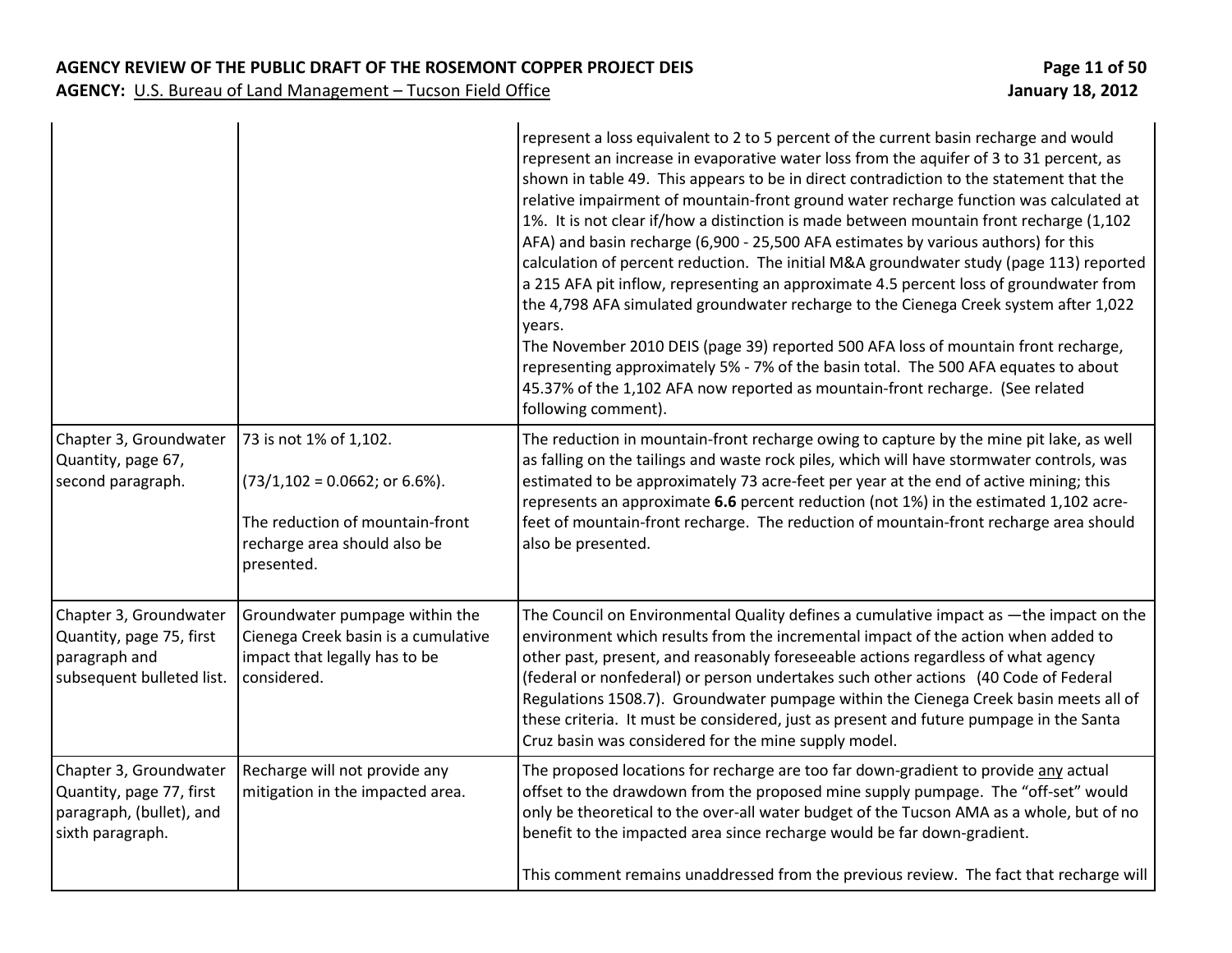|                                                                                                    |                                                                                                                                                       | represent a loss equivalent to 2 to 5 percent of the current basin recharge and would<br>represent an increase in evaporative water loss from the aquifer of 3 to 31 percent, as<br>shown in table 49. This appears to be in direct contradiction to the statement that the<br>relative impairment of mountain-front ground water recharge function was calculated at<br>1%. It is not clear if/how a distinction is made between mountain front recharge (1,102<br>AFA) and basin recharge (6,900 - 25,500 AFA estimates by various authors) for this<br>calculation of percent reduction. The initial M&A groundwater study (page 113) reported<br>a 215 AFA pit inflow, representing an approximate 4.5 percent loss of groundwater from<br>the 4,798 AFA simulated groundwater recharge to the Cienega Creek system after 1,022<br>years.<br>The November 2010 DEIS (page 39) reported 500 AFA loss of mountain front recharge,<br>representing approximately 5% - 7% of the basin total. The 500 AFA equates to about<br>45.37% of the 1,102 AFA now reported as mountain-front recharge. (See related<br>following comment). |
|----------------------------------------------------------------------------------------------------|-------------------------------------------------------------------------------------------------------------------------------------------------------|------------------------------------------------------------------------------------------------------------------------------------------------------------------------------------------------------------------------------------------------------------------------------------------------------------------------------------------------------------------------------------------------------------------------------------------------------------------------------------------------------------------------------------------------------------------------------------------------------------------------------------------------------------------------------------------------------------------------------------------------------------------------------------------------------------------------------------------------------------------------------------------------------------------------------------------------------------------------------------------------------------------------------------------------------------------------------------------------------------------------------------|
| Chapter 3, Groundwater<br>Quantity, page 67,<br>second paragraph.                                  | 73 is not 1% of 1,102.<br>$(73/1, 102 = 0.0662; \text{ or } 6.6\%).$<br>The reduction of mountain-front<br>recharge area should also be<br>presented. | The reduction in mountain-front recharge owing to capture by the mine pit lake, as well<br>as falling on the tailings and waste rock piles, which will have stormwater controls, was<br>estimated to be approximately 73 acre-feet per year at the end of active mining; this<br>represents an approximate 6.6 percent reduction (not 1%) in the estimated 1,102 acre-<br>feet of mountain-front recharge. The reduction of mountain-front recharge area should<br>also be presented.                                                                                                                                                                                                                                                                                                                                                                                                                                                                                                                                                                                                                                              |
| Chapter 3, Groundwater<br>Quantity, page 75, first<br>paragraph and<br>subsequent bulleted list.   | Groundwater pumpage within the<br>Cienega Creek basin is a cumulative<br>impact that legally has to be<br>considered.                                 | The Council on Environmental Quality defines a cumulative impact as -the impact on the<br>environment which results from the incremental impact of the action when added to<br>other past, present, and reasonably foreseeable actions regardless of what agency<br>(federal or nonfederal) or person undertakes such other actions (40 Code of Federal<br>Regulations 1508.7). Groundwater pumpage within the Cienega Creek basin meets all of<br>these criteria. It must be considered, just as present and future pumpage in the Santa<br>Cruz basin was considered for the mine supply model.                                                                                                                                                                                                                                                                                                                                                                                                                                                                                                                                  |
| Chapter 3, Groundwater<br>Quantity, page 77, first<br>paragraph, (bullet), and<br>sixth paragraph. | Recharge will not provide any<br>mitigation in the impacted area.                                                                                     | The proposed locations for recharge are too far down-gradient to provide any actual<br>offset to the drawdown from the proposed mine supply pumpage. The "off-set" would<br>only be theoretical to the over-all water budget of the Tucson AMA as a whole, but of no<br>benefit to the impacted area since recharge would be far down-gradient.<br>This comment remains unaddressed from the previous review. The fact that recharge will                                                                                                                                                                                                                                                                                                                                                                                                                                                                                                                                                                                                                                                                                          |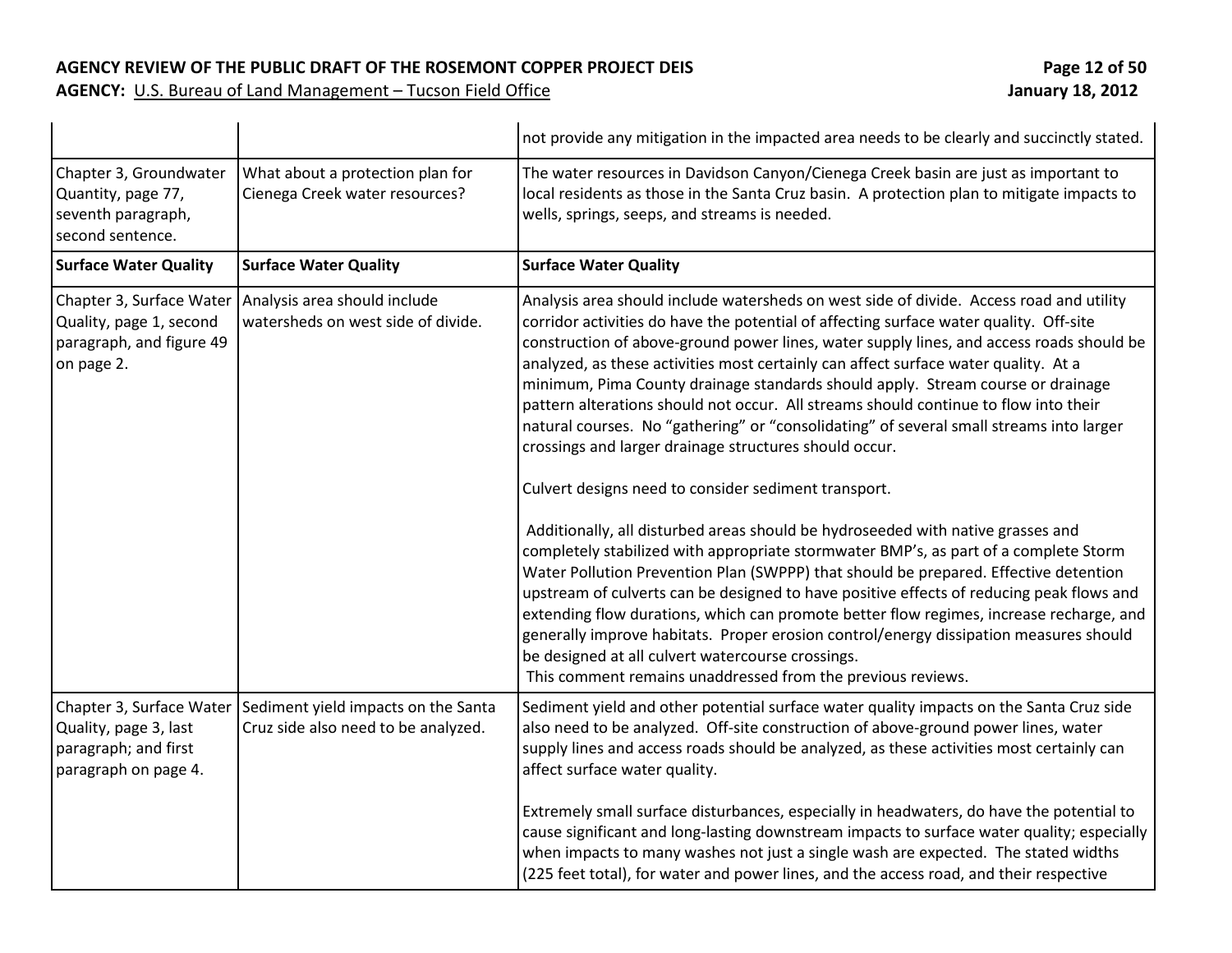**AGENCY:** U.S. Bureau of Land Management – Tucson Field Office

|                                                                                        |                                                                                                       | not provide any mitigation in the impacted area needs to be clearly and succinctly stated.                                                                                                                                                                                                                                                                                                                                                                                                                                                                                                                                                                                                                                                                   |
|----------------------------------------------------------------------------------------|-------------------------------------------------------------------------------------------------------|--------------------------------------------------------------------------------------------------------------------------------------------------------------------------------------------------------------------------------------------------------------------------------------------------------------------------------------------------------------------------------------------------------------------------------------------------------------------------------------------------------------------------------------------------------------------------------------------------------------------------------------------------------------------------------------------------------------------------------------------------------------|
| Chapter 3, Groundwater<br>Quantity, page 77,<br>seventh paragraph,<br>second sentence. | What about a protection plan for<br>Cienega Creek water resources?                                    | The water resources in Davidson Canyon/Cienega Creek basin are just as important to<br>local residents as those in the Santa Cruz basin. A protection plan to mitigate impacts to<br>wells, springs, seeps, and streams is needed.                                                                                                                                                                                                                                                                                                                                                                                                                                                                                                                           |
| <b>Surface Water Quality</b>                                                           | <b>Surface Water Quality</b>                                                                          | <b>Surface Water Quality</b>                                                                                                                                                                                                                                                                                                                                                                                                                                                                                                                                                                                                                                                                                                                                 |
| Quality, page 1, second<br>paragraph, and figure 49<br>on page 2.                      | Chapter 3, Surface Water   Analysis area should include<br>watersheds on west side of divide.         | Analysis area should include watersheds on west side of divide. Access road and utility<br>corridor activities do have the potential of affecting surface water quality. Off-site<br>construction of above-ground power lines, water supply lines, and access roads should be<br>analyzed, as these activities most certainly can affect surface water quality. At a<br>minimum, Pima County drainage standards should apply. Stream course or drainage<br>pattern alterations should not occur. All streams should continue to flow into their<br>natural courses. No "gathering" or "consolidating" of several small streams into larger<br>crossings and larger drainage structures should occur.<br>Culvert designs need to consider sediment transport. |
|                                                                                        |                                                                                                       | Additionally, all disturbed areas should be hydroseeded with native grasses and<br>completely stabilized with appropriate stormwater BMP's, as part of a complete Storm<br>Water Pollution Prevention Plan (SWPPP) that should be prepared. Effective detention<br>upstream of culverts can be designed to have positive effects of reducing peak flows and<br>extending flow durations, which can promote better flow regimes, increase recharge, and<br>generally improve habitats. Proper erosion control/energy dissipation measures should<br>be designed at all culvert watercourse crossings.<br>This comment remains unaddressed from the previous reviews.                                                                                          |
| Quality, page 3, last<br>paragraph; and first<br>paragraph on page 4.                  | Chapter 3, Surface Water   Sediment yield impacts on the Santa<br>Cruz side also need to be analyzed. | Sediment yield and other potential surface water quality impacts on the Santa Cruz side<br>also need to be analyzed. Off-site construction of above-ground power lines, water<br>supply lines and access roads should be analyzed, as these activities most certainly can<br>affect surface water quality.<br>Extremely small surface disturbances, especially in headwaters, do have the potential to<br>cause significant and long-lasting downstream impacts to surface water quality; especially<br>when impacts to many washes not just a single wash are expected. The stated widths<br>(225 feet total), for water and power lines, and the access road, and their respective                                                                         |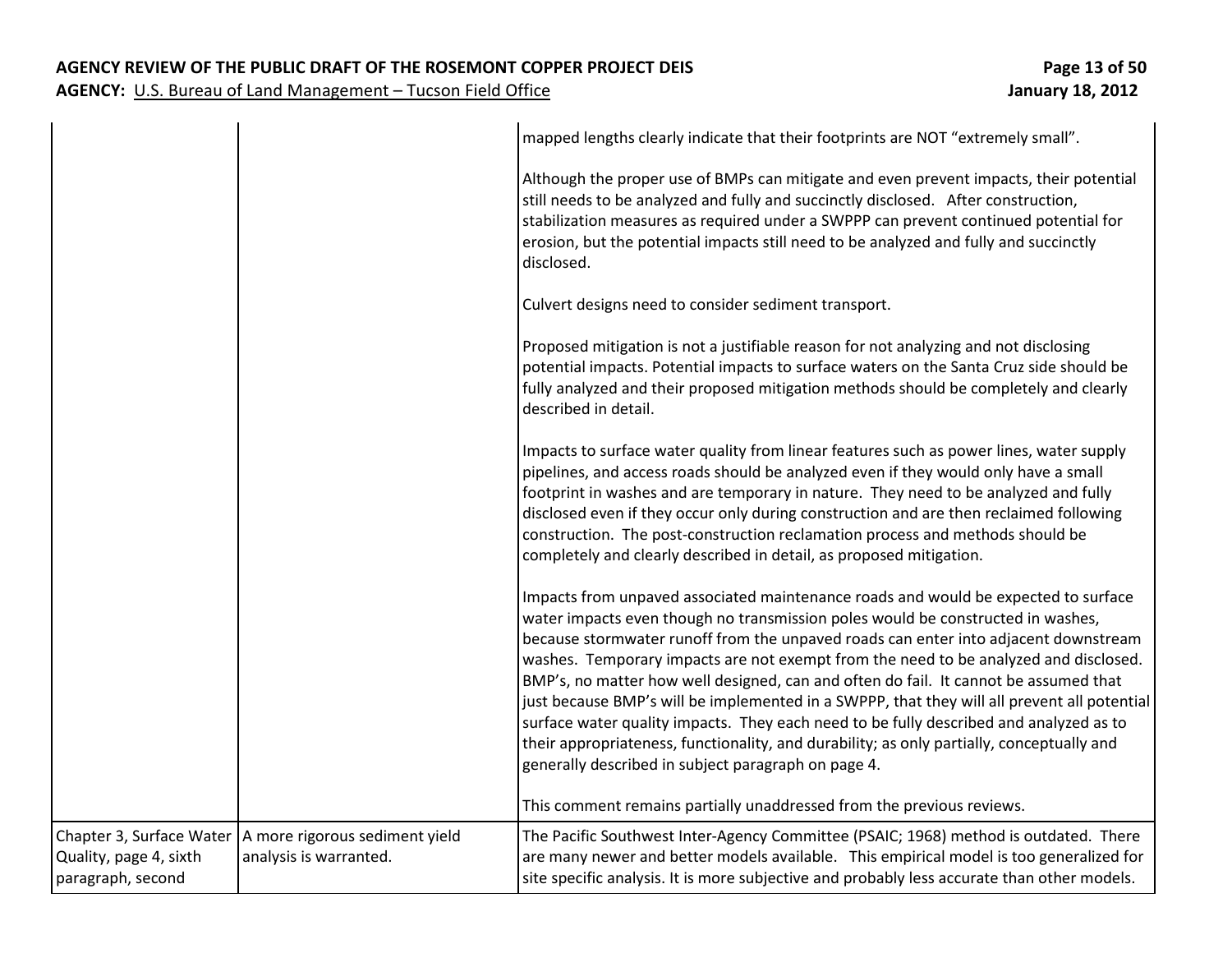#### **AGENCY REVIEW OF THE PUBLIC DRAFT OF THE ROSEMONT COPPER PROJECT DEIS Page 13 of 50**

|                                             |                                                                                     | mapped lengths clearly indicate that their footprints are NOT "extremely small".                                                                                                                                                                                                                                                                                                                                                                                                                                                                                                                                                                                                                                                                                                          |
|---------------------------------------------|-------------------------------------------------------------------------------------|-------------------------------------------------------------------------------------------------------------------------------------------------------------------------------------------------------------------------------------------------------------------------------------------------------------------------------------------------------------------------------------------------------------------------------------------------------------------------------------------------------------------------------------------------------------------------------------------------------------------------------------------------------------------------------------------------------------------------------------------------------------------------------------------|
|                                             |                                                                                     | Although the proper use of BMPs can mitigate and even prevent impacts, their potential<br>still needs to be analyzed and fully and succinctly disclosed. After construction,<br>stabilization measures as required under a SWPPP can prevent continued potential for<br>erosion, but the potential impacts still need to be analyzed and fully and succinctly<br>disclosed.                                                                                                                                                                                                                                                                                                                                                                                                               |
|                                             |                                                                                     | Culvert designs need to consider sediment transport.                                                                                                                                                                                                                                                                                                                                                                                                                                                                                                                                                                                                                                                                                                                                      |
|                                             |                                                                                     | Proposed mitigation is not a justifiable reason for not analyzing and not disclosing<br>potential impacts. Potential impacts to surface waters on the Santa Cruz side should be<br>fully analyzed and their proposed mitigation methods should be completely and clearly<br>described in detail.                                                                                                                                                                                                                                                                                                                                                                                                                                                                                          |
|                                             |                                                                                     | Impacts to surface water quality from linear features such as power lines, water supply<br>pipelines, and access roads should be analyzed even if they would only have a small<br>footprint in washes and are temporary in nature. They need to be analyzed and fully<br>disclosed even if they occur only during construction and are then reclaimed following<br>construction. The post-construction reclamation process and methods should be<br>completely and clearly described in detail, as proposed mitigation.                                                                                                                                                                                                                                                                   |
|                                             |                                                                                     | Impacts from unpaved associated maintenance roads and would be expected to surface<br>water impacts even though no transmission poles would be constructed in washes,<br>because stormwater runoff from the unpaved roads can enter into adjacent downstream<br>washes. Temporary impacts are not exempt from the need to be analyzed and disclosed.<br>BMP's, no matter how well designed, can and often do fail. It cannot be assumed that<br>just because BMP's will be implemented in a SWPPP, that they will all prevent all potential<br>surface water quality impacts. They each need to be fully described and analyzed as to<br>their appropriateness, functionality, and durability; as only partially, conceptually and<br>generally described in subject paragraph on page 4. |
|                                             |                                                                                     | This comment remains partially unaddressed from the previous reviews.                                                                                                                                                                                                                                                                                                                                                                                                                                                                                                                                                                                                                                                                                                                     |
| Quality, page 4, sixth<br>paragraph, second | Chapter 3, Surface Water   A more rigorous sediment yield<br>analysis is warranted. | The Pacific Southwest Inter-Agency Committee (PSAIC; 1968) method is outdated. There<br>are many newer and better models available. This empirical model is too generalized for<br>site specific analysis. It is more subjective and probably less accurate than other models.                                                                                                                                                                                                                                                                                                                                                                                                                                                                                                            |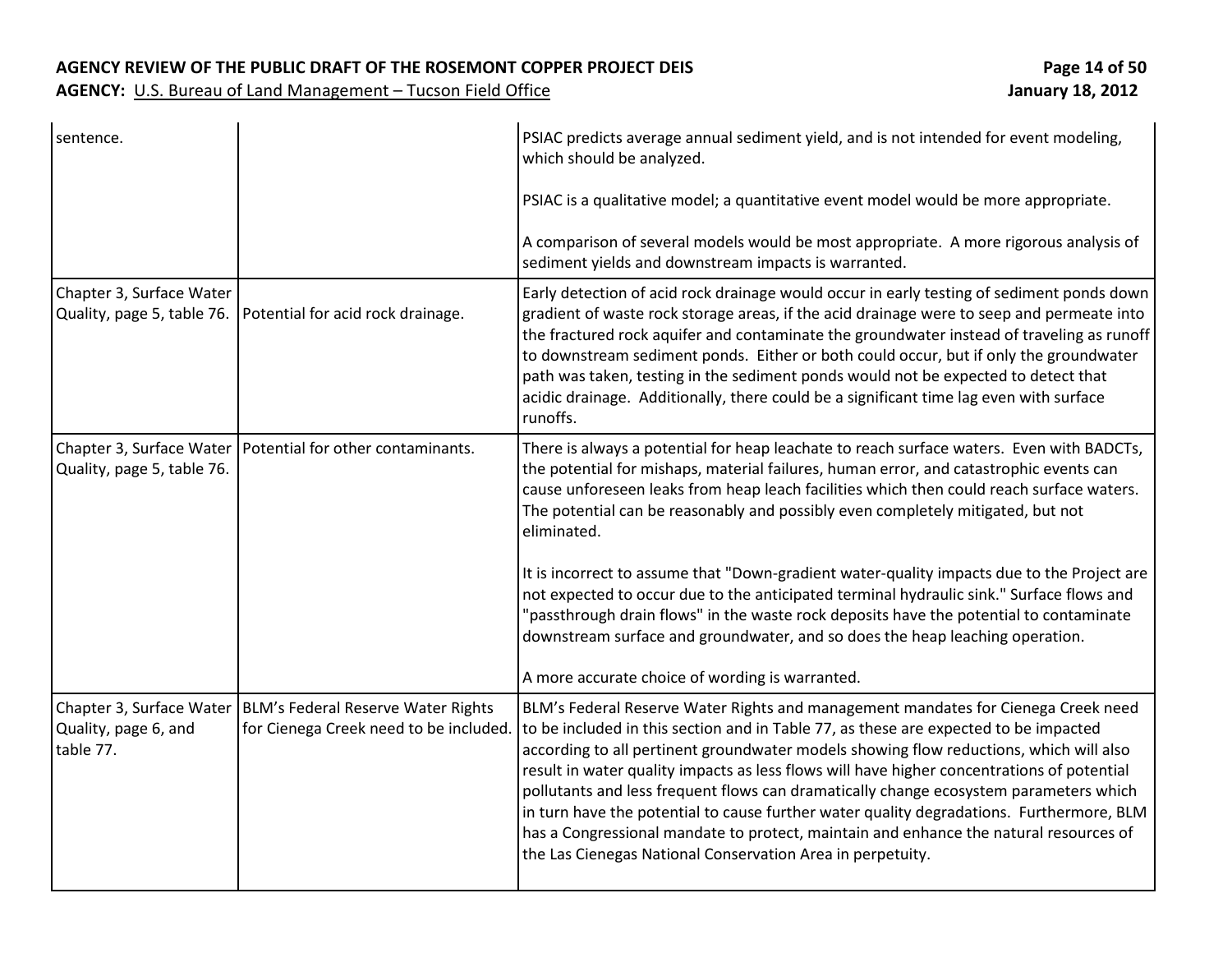| sentence.                                              |                                                                                                         | PSIAC predicts average annual sediment yield, and is not intended for event modeling,<br>which should be analyzed.                                                                                                                                                                                                                                                                                                                                                                                                                                                                                                                                                                                            |
|--------------------------------------------------------|---------------------------------------------------------------------------------------------------------|---------------------------------------------------------------------------------------------------------------------------------------------------------------------------------------------------------------------------------------------------------------------------------------------------------------------------------------------------------------------------------------------------------------------------------------------------------------------------------------------------------------------------------------------------------------------------------------------------------------------------------------------------------------------------------------------------------------|
|                                                        |                                                                                                         | PSIAC is a qualitative model; a quantitative event model would be more appropriate.                                                                                                                                                                                                                                                                                                                                                                                                                                                                                                                                                                                                                           |
|                                                        |                                                                                                         | A comparison of several models would be most appropriate. A more rigorous analysis of<br>sediment yields and downstream impacts is warranted.                                                                                                                                                                                                                                                                                                                                                                                                                                                                                                                                                                 |
| Chapter 3, Surface Water<br>Quality, page 5, table 76. | Potential for acid rock drainage.                                                                       | Early detection of acid rock drainage would occur in early testing of sediment ponds down<br>gradient of waste rock storage areas, if the acid drainage were to seep and permeate into<br>the fractured rock aquifer and contaminate the groundwater instead of traveling as runoff<br>to downstream sediment ponds. Either or both could occur, but if only the groundwater<br>path was taken, testing in the sediment ponds would not be expected to detect that<br>acidic drainage. Additionally, there could be a significant time lag even with surface<br>runoffs.                                                                                                                                      |
| Quality, page 5, table 76.                             | Chapter 3, Surface Water   Potential for other contaminants.                                            | There is always a potential for heap leachate to reach surface waters. Even with BADCTs,<br>the potential for mishaps, material failures, human error, and catastrophic events can<br>cause unforeseen leaks from heap leach facilities which then could reach surface waters.<br>The potential can be reasonably and possibly even completely mitigated, but not<br>eliminated.                                                                                                                                                                                                                                                                                                                              |
|                                                        |                                                                                                         | It is incorrect to assume that "Down-gradient water-quality impacts due to the Project are<br>not expected to occur due to the anticipated terminal hydraulic sink." Surface flows and<br>"passthrough drain flows" in the waste rock deposits have the potential to contaminate<br>downstream surface and groundwater, and so does the heap leaching operation.                                                                                                                                                                                                                                                                                                                                              |
|                                                        |                                                                                                         | A more accurate choice of wording is warranted.                                                                                                                                                                                                                                                                                                                                                                                                                                                                                                                                                                                                                                                               |
| Quality, page 6, and<br>table 77.                      | Chapter 3, Surface Water   BLM's Federal Reserve Water Rights<br>for Cienega Creek need to be included. | BLM's Federal Reserve Water Rights and management mandates for Cienega Creek need<br>to be included in this section and in Table 77, as these are expected to be impacted<br>according to all pertinent groundwater models showing flow reductions, which will also<br>result in water quality impacts as less flows will have higher concentrations of potential<br>pollutants and less frequent flows can dramatically change ecosystem parameters which<br>in turn have the potential to cause further water quality degradations. Furthermore, BLM<br>has a Congressional mandate to protect, maintain and enhance the natural resources of<br>the Las Cienegas National Conservation Area in perpetuity. |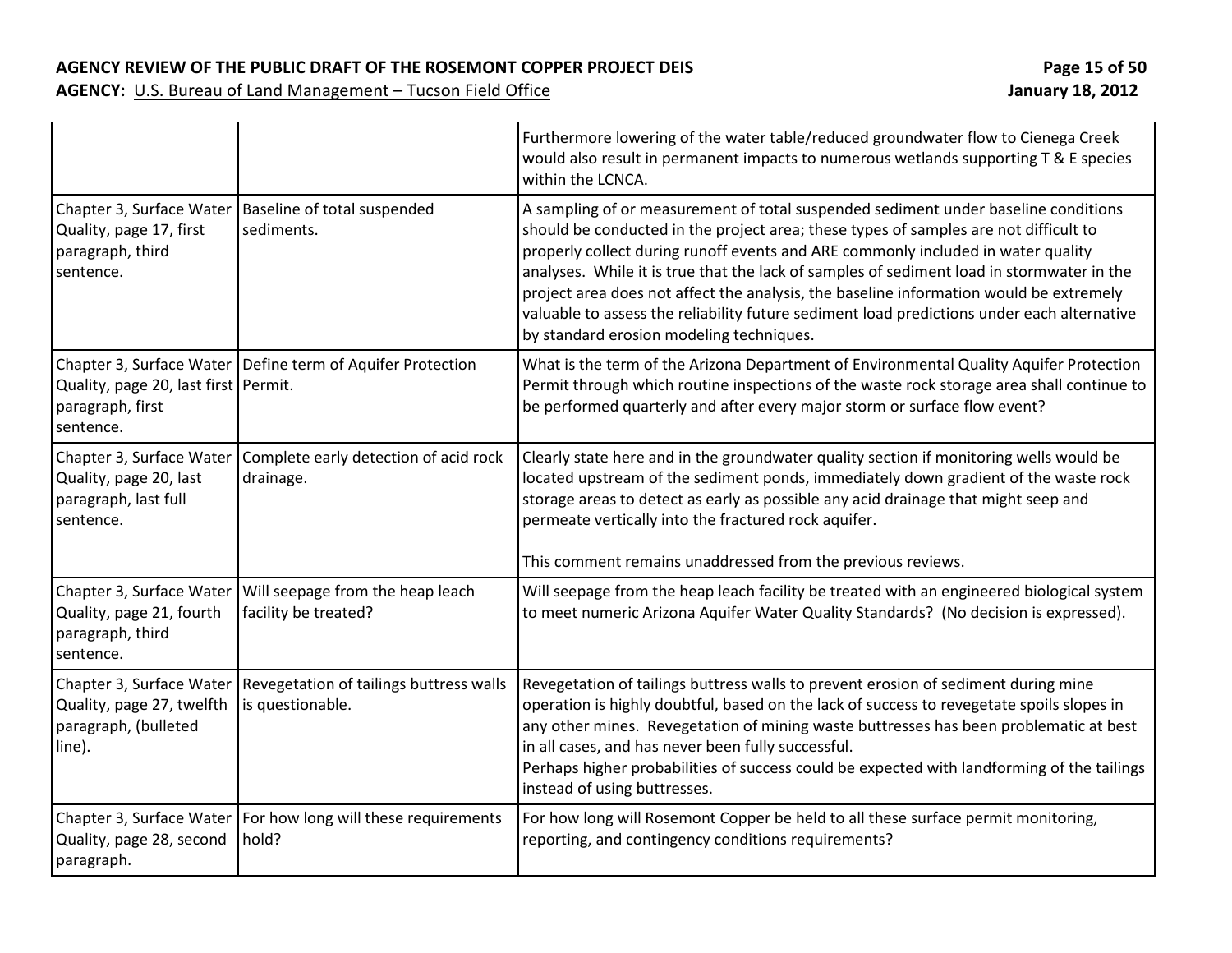#### AGENCY REVIEW OF THE PUBLIC DRAFT OF THE ROSEMONT COPPER PROJECT DEIS **Page 15** 06 50

|                                                                                         |                                                                          | Furthermore lowering of the water table/reduced groundwater flow to Cienega Creek<br>would also result in permanent impacts to numerous wetlands supporting T & E species<br>within the LCNCA.                                                                                                                                                                                                                                                                                                                                                                                                  |
|-----------------------------------------------------------------------------------------|--------------------------------------------------------------------------|-------------------------------------------------------------------------------------------------------------------------------------------------------------------------------------------------------------------------------------------------------------------------------------------------------------------------------------------------------------------------------------------------------------------------------------------------------------------------------------------------------------------------------------------------------------------------------------------------|
| Chapter 3, Surface Water<br>Quality, page 17, first<br>paragraph, third<br>sentence.    | Baseline of total suspended<br>sediments.                                | A sampling of or measurement of total suspended sediment under baseline conditions<br>should be conducted in the project area; these types of samples are not difficult to<br>properly collect during runoff events and ARE commonly included in water quality<br>analyses. While it is true that the lack of samples of sediment load in stormwater in the<br>project area does not affect the analysis, the baseline information would be extremely<br>valuable to assess the reliability future sediment load predictions under each alternative<br>by standard erosion modeling techniques. |
| Quality, page 20, last first Permit.<br>paragraph, first<br>sentence.                   | Chapter 3, Surface Water   Define term of Aquifer Protection             | What is the term of the Arizona Department of Environmental Quality Aquifer Protection<br>Permit through which routine inspections of the waste rock storage area shall continue to<br>be performed quarterly and after every major storm or surface flow event?                                                                                                                                                                                                                                                                                                                                |
| Chapter 3, Surface Water<br>Quality, page 20, last<br>paragraph, last full<br>sentence. | Complete early detection of acid rock<br>drainage.                       | Clearly state here and in the groundwater quality section if monitoring wells would be<br>located upstream of the sediment ponds, immediately down gradient of the waste rock<br>storage areas to detect as early as possible any acid drainage that might seep and<br>permeate vertically into the fractured rock aquifer.<br>This comment remains unaddressed from the previous reviews.                                                                                                                                                                                                      |
| Chapter 3, Surface Water<br>Quality, page 21, fourth<br>paragraph, third<br>sentence.   | Will seepage from the heap leach<br>facility be treated?                 | Will seepage from the heap leach facility be treated with an engineered biological system<br>to meet numeric Arizona Aquifer Water Quality Standards? (No decision is expressed).                                                                                                                                                                                                                                                                                                                                                                                                               |
| Chapter 3, Surface Water<br>Quality, page 27, twelfth<br>paragraph, (bulleted<br>line). | Revegetation of tailings buttress walls<br>is questionable.              | Revegetation of tailings buttress walls to prevent erosion of sediment during mine<br>operation is highly doubtful, based on the lack of success to revegetate spoils slopes in<br>any other mines. Revegetation of mining waste buttresses has been problematic at best<br>in all cases, and has never been fully successful.<br>Perhaps higher probabilities of success could be expected with landforming of the tailings<br>instead of using buttresses.                                                                                                                                    |
| Quality, page 28, second<br>paragraph.                                                  | Chapter 3, Surface Water   For how long will these requirements<br>hold? | For how long will Rosemont Copper be held to all these surface permit monitoring,<br>reporting, and contingency conditions requirements?                                                                                                                                                                                                                                                                                                                                                                                                                                                        |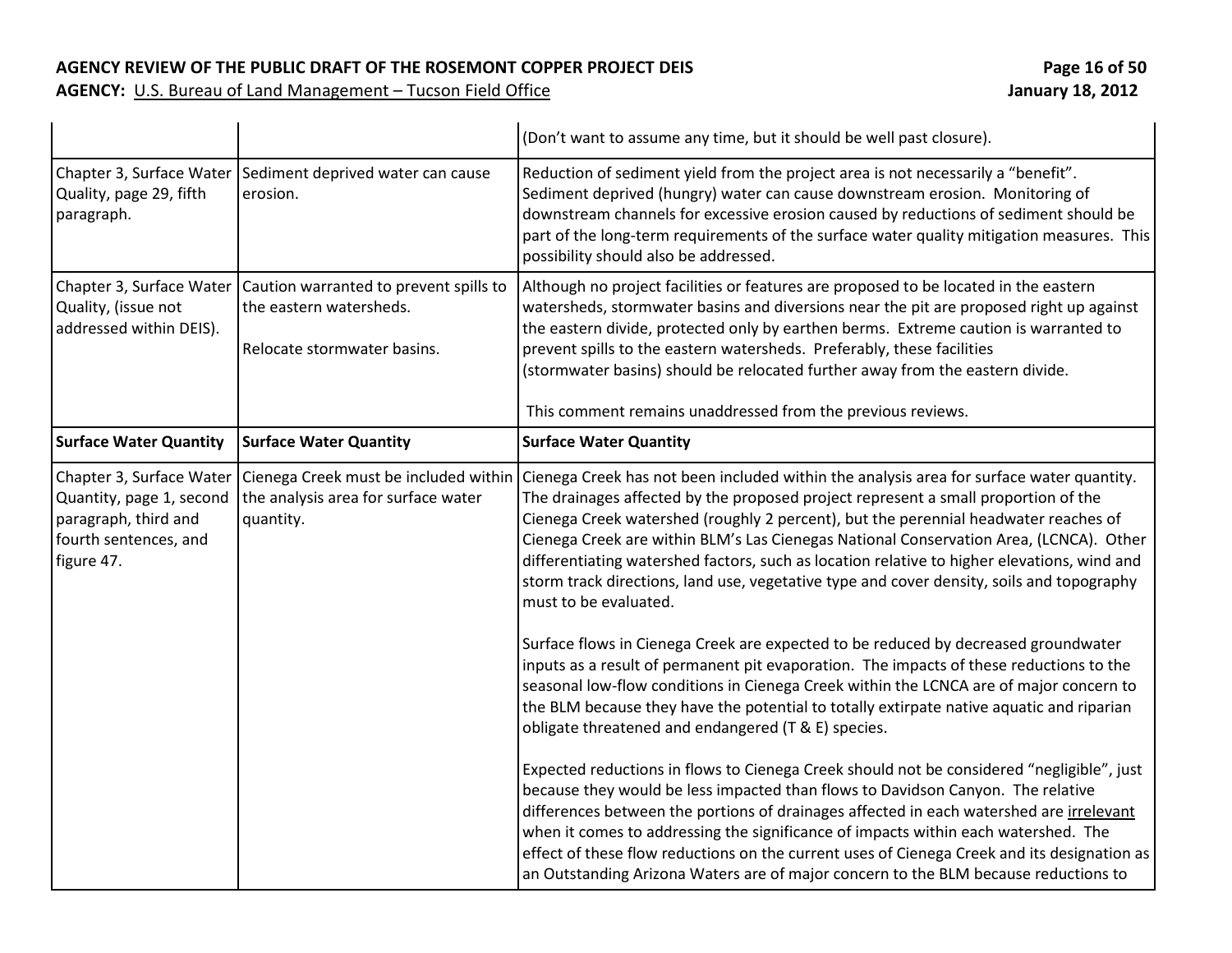|                                                                                                                     |                                                                                                  | (Don't want to assume any time, but it should be well past closure).                                                                                                                                                                                                                                                                                                                                                                                                                                                                                                                                                                                                                                                                                                                                                                                                                                                                                                                                                                                                                                                                                                                                                                                                                                                                                                                                                                                                               |
|---------------------------------------------------------------------------------------------------------------------|--------------------------------------------------------------------------------------------------|------------------------------------------------------------------------------------------------------------------------------------------------------------------------------------------------------------------------------------------------------------------------------------------------------------------------------------------------------------------------------------------------------------------------------------------------------------------------------------------------------------------------------------------------------------------------------------------------------------------------------------------------------------------------------------------------------------------------------------------------------------------------------------------------------------------------------------------------------------------------------------------------------------------------------------------------------------------------------------------------------------------------------------------------------------------------------------------------------------------------------------------------------------------------------------------------------------------------------------------------------------------------------------------------------------------------------------------------------------------------------------------------------------------------------------------------------------------------------------|
| Chapter 3, Surface Water<br>Quality, page 29, fifth<br>paragraph.                                                   | Sediment deprived water can cause<br>erosion.                                                    | Reduction of sediment yield from the project area is not necessarily a "benefit".<br>Sediment deprived (hungry) water can cause downstream erosion. Monitoring of<br>downstream channels for excessive erosion caused by reductions of sediment should be<br>part of the long-term requirements of the surface water quality mitigation measures. This<br>possibility should also be addressed.                                                                                                                                                                                                                                                                                                                                                                                                                                                                                                                                                                                                                                                                                                                                                                                                                                                                                                                                                                                                                                                                                    |
| Chapter 3, Surface Water<br>Quality, (issue not<br>addressed within DEIS).                                          | Caution warranted to prevent spills to<br>the eastern watersheds.<br>Relocate stormwater basins. | Although no project facilities or features are proposed to be located in the eastern<br>watersheds, stormwater basins and diversions near the pit are proposed right up against<br>the eastern divide, protected only by earthen berms. Extreme caution is warranted to<br>prevent spills to the eastern watersheds. Preferably, these facilities<br>(stormwater basins) should be relocated further away from the eastern divide.<br>This comment remains unaddressed from the previous reviews.                                                                                                                                                                                                                                                                                                                                                                                                                                                                                                                                                                                                                                                                                                                                                                                                                                                                                                                                                                                  |
| <b>Surface Water Quantity</b>                                                                                       | <b>Surface Water Quantity</b>                                                                    | <b>Surface Water Quantity</b>                                                                                                                                                                                                                                                                                                                                                                                                                                                                                                                                                                                                                                                                                                                                                                                                                                                                                                                                                                                                                                                                                                                                                                                                                                                                                                                                                                                                                                                      |
| Chapter 3, Surface Water<br>Quantity, page 1, second<br>paragraph, third and<br>fourth sentences, and<br>figure 47. | Cienega Creek must be included within<br>the analysis area for surface water<br>quantity.        | Cienega Creek has not been included within the analysis area for surface water quantity.<br>The drainages affected by the proposed project represent a small proportion of the<br>Cienega Creek watershed (roughly 2 percent), but the perennial headwater reaches of<br>Cienega Creek are within BLM's Las Cienegas National Conservation Area, (LCNCA). Other<br>differentiating watershed factors, such as location relative to higher elevations, wind and<br>storm track directions, land use, vegetative type and cover density, soils and topography<br>must to be evaluated.<br>Surface flows in Cienega Creek are expected to be reduced by decreased groundwater<br>inputs as a result of permanent pit evaporation. The impacts of these reductions to the<br>seasonal low-flow conditions in Cienega Creek within the LCNCA are of major concern to<br>the BLM because they have the potential to totally extirpate native aquatic and riparian<br>obligate threatened and endangered (T & E) species.<br>Expected reductions in flows to Cienega Creek should not be considered "negligible", just<br>because they would be less impacted than flows to Davidson Canyon. The relative<br>differences between the portions of drainages affected in each watershed are irrelevant<br>when it comes to addressing the significance of impacts within each watershed. The<br>effect of these flow reductions on the current uses of Cienega Creek and its designation as |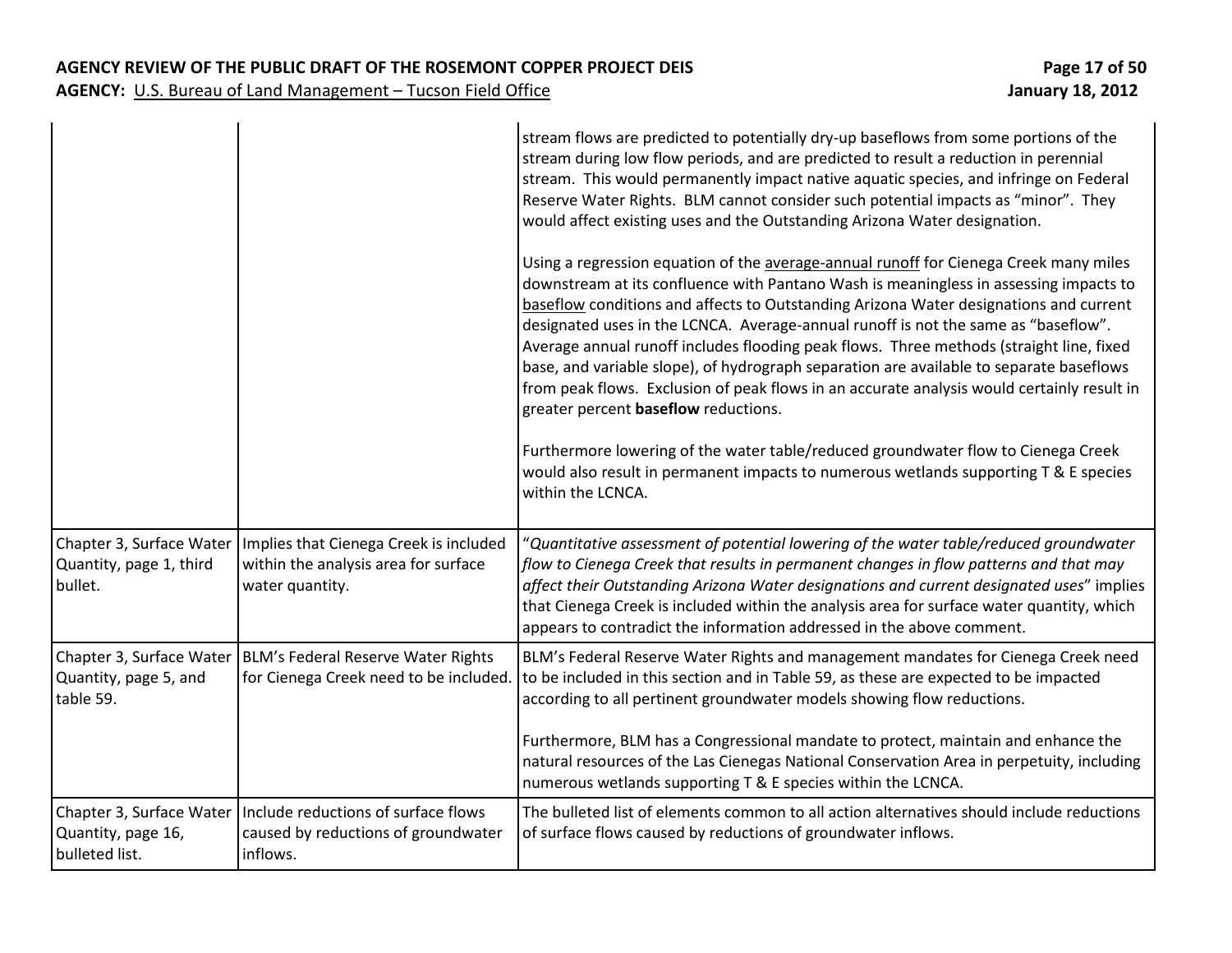|                                                                  |                                                                                                        | stream flows are predicted to potentially dry-up baseflows from some portions of the<br>stream during low flow periods, and are predicted to result a reduction in perennial<br>stream. This would permanently impact native aquatic species, and infringe on Federal<br>Reserve Water Rights. BLM cannot consider such potential impacts as "minor". They<br>would affect existing uses and the Outstanding Arizona Water designation.<br>Using a regression equation of the average-annual runoff for Cienega Creek many miles                                                                 |
|------------------------------------------------------------------|--------------------------------------------------------------------------------------------------------|--------------------------------------------------------------------------------------------------------------------------------------------------------------------------------------------------------------------------------------------------------------------------------------------------------------------------------------------------------------------------------------------------------------------------------------------------------------------------------------------------------------------------------------------------------------------------------------------------|
|                                                                  |                                                                                                        | downstream at its confluence with Pantano Wash is meaningless in assessing impacts to<br>baseflow conditions and affects to Outstanding Arizona Water designations and current<br>designated uses in the LCNCA. Average-annual runoff is not the same as "baseflow".<br>Average annual runoff includes flooding peak flows. Three methods (straight line, fixed<br>base, and variable slope), of hydrograph separation are available to separate baseflows<br>from peak flows. Exclusion of peak flows in an accurate analysis would certainly result in<br>greater percent baseflow reductions. |
|                                                                  |                                                                                                        | Furthermore lowering of the water table/reduced groundwater flow to Cienega Creek<br>would also result in permanent impacts to numerous wetlands supporting T & E species<br>within the LCNCA.                                                                                                                                                                                                                                                                                                                                                                                                   |
| Chapter 3, Surface Water<br>Quantity, page 1, third<br>bullet.   | Implies that Cienega Creek is included<br>within the analysis area for surface<br>water quantity.      | "Quantitative assessment of potential lowering of the water table/reduced groundwater<br>flow to Cienega Creek that results in permanent changes in flow patterns and that may<br>affect their Outstanding Arizona Water designations and current designated uses" implies<br>that Cienega Creek is included within the analysis area for surface water quantity, which<br>appears to contradict the information addressed in the above comment.                                                                                                                                                 |
| Quantity, page 5, and<br>table 59.                               | Chapter 3, Surface Water   BLM's Federal Reserve Water Rights<br>for Cienega Creek need to be included | BLM's Federal Reserve Water Rights and management mandates for Cienega Creek need<br>to be included in this section and in Table 59, as these are expected to be impacted<br>according to all pertinent groundwater models showing flow reductions.                                                                                                                                                                                                                                                                                                                                              |
|                                                                  |                                                                                                        | Furthermore, BLM has a Congressional mandate to protect, maintain and enhance the<br>natural resources of the Las Cienegas National Conservation Area in perpetuity, including<br>numerous wetlands supporting T & E species within the LCNCA.                                                                                                                                                                                                                                                                                                                                                   |
| Chapter 3, Surface Water<br>Quantity, page 16,<br>bulleted list. | Include reductions of surface flows<br>caused by reductions of groundwater<br>inflows.                 | The bulleted list of elements common to all action alternatives should include reductions<br>of surface flows caused by reductions of groundwater inflows.                                                                                                                                                                                                                                                                                                                                                                                                                                       |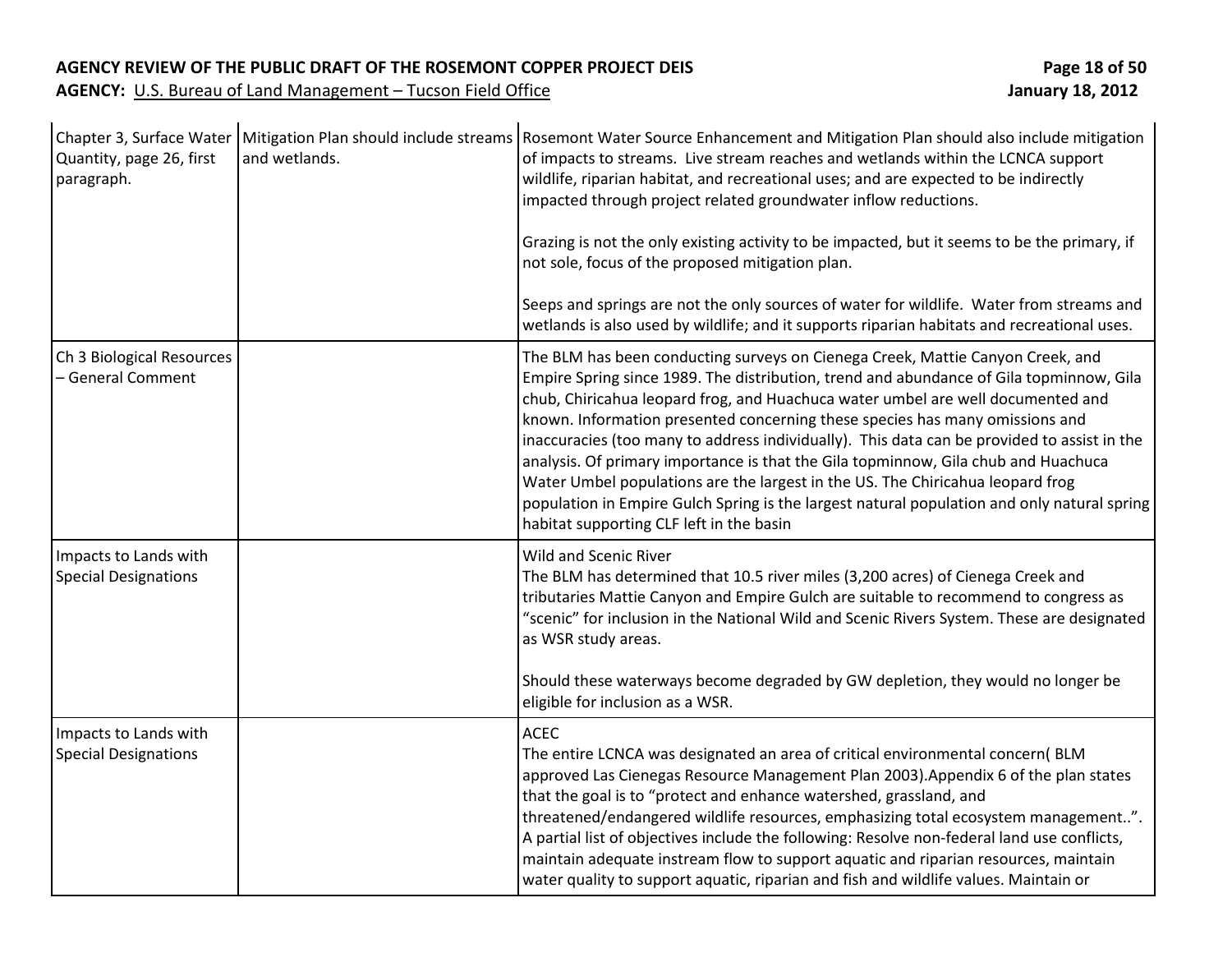| Quantity, page 26, first<br>paragraph.               | and wetlands. | Chapter 3, Surface Water   Mitigation Plan should include streams   Rosemont Water Source Enhancement and Mitigation Plan should also include mitigation<br>of impacts to streams. Live stream reaches and wetlands within the LCNCA support<br>wildlife, riparian habitat, and recreational uses; and are expected to be indirectly<br>impacted through project related groundwater inflow reductions.<br>Grazing is not the only existing activity to be impacted, but it seems to be the primary, if<br>not sole, focus of the proposed mitigation plan.<br>Seeps and springs are not the only sources of water for wildlife. Water from streams and<br>wetlands is also used by wildlife; and it supports riparian habitats and recreational uses.         |
|------------------------------------------------------|---------------|----------------------------------------------------------------------------------------------------------------------------------------------------------------------------------------------------------------------------------------------------------------------------------------------------------------------------------------------------------------------------------------------------------------------------------------------------------------------------------------------------------------------------------------------------------------------------------------------------------------------------------------------------------------------------------------------------------------------------------------------------------------|
| Ch 3 Biological Resources<br>- General Comment       |               | The BLM has been conducting surveys on Cienega Creek, Mattie Canyon Creek, and<br>Empire Spring since 1989. The distribution, trend and abundance of Gila topminnow, Gila<br>chub, Chiricahua leopard frog, and Huachuca water umbel are well documented and<br>known. Information presented concerning these species has many omissions and<br>inaccuracies (too many to address individually). This data can be provided to assist in the<br>analysis. Of primary importance is that the Gila topminnow, Gila chub and Huachuca<br>Water Umbel populations are the largest in the US. The Chiricahua leopard frog<br>population in Empire Gulch Spring is the largest natural population and only natural spring<br>habitat supporting CLF left in the basin |
| Impacts to Lands with<br><b>Special Designations</b> |               | <b>Wild and Scenic River</b><br>The BLM has determined that 10.5 river miles (3,200 acres) of Cienega Creek and<br>tributaries Mattie Canyon and Empire Gulch are suitable to recommend to congress as<br>"scenic" for inclusion in the National Wild and Scenic Rivers System. These are designated<br>as WSR study areas.<br>Should these waterways become degraded by GW depletion, they would no longer be<br>eligible for inclusion as a WSR.                                                                                                                                                                                                                                                                                                             |
| Impacts to Lands with<br><b>Special Designations</b> |               | <b>ACEC</b><br>The entire LCNCA was designated an area of critical environmental concern(BLM<br>approved Las Cienegas Resource Management Plan 2003). Appendix 6 of the plan states<br>that the goal is to "protect and enhance watershed, grassland, and<br>threatened/endangered wildlife resources, emphasizing total ecosystem management".<br>A partial list of objectives include the following: Resolve non-federal land use conflicts,<br>maintain adequate instream flow to support aquatic and riparian resources, maintain<br>water quality to support aquatic, riparian and fish and wildlife values. Maintain or                                                                                                                                  |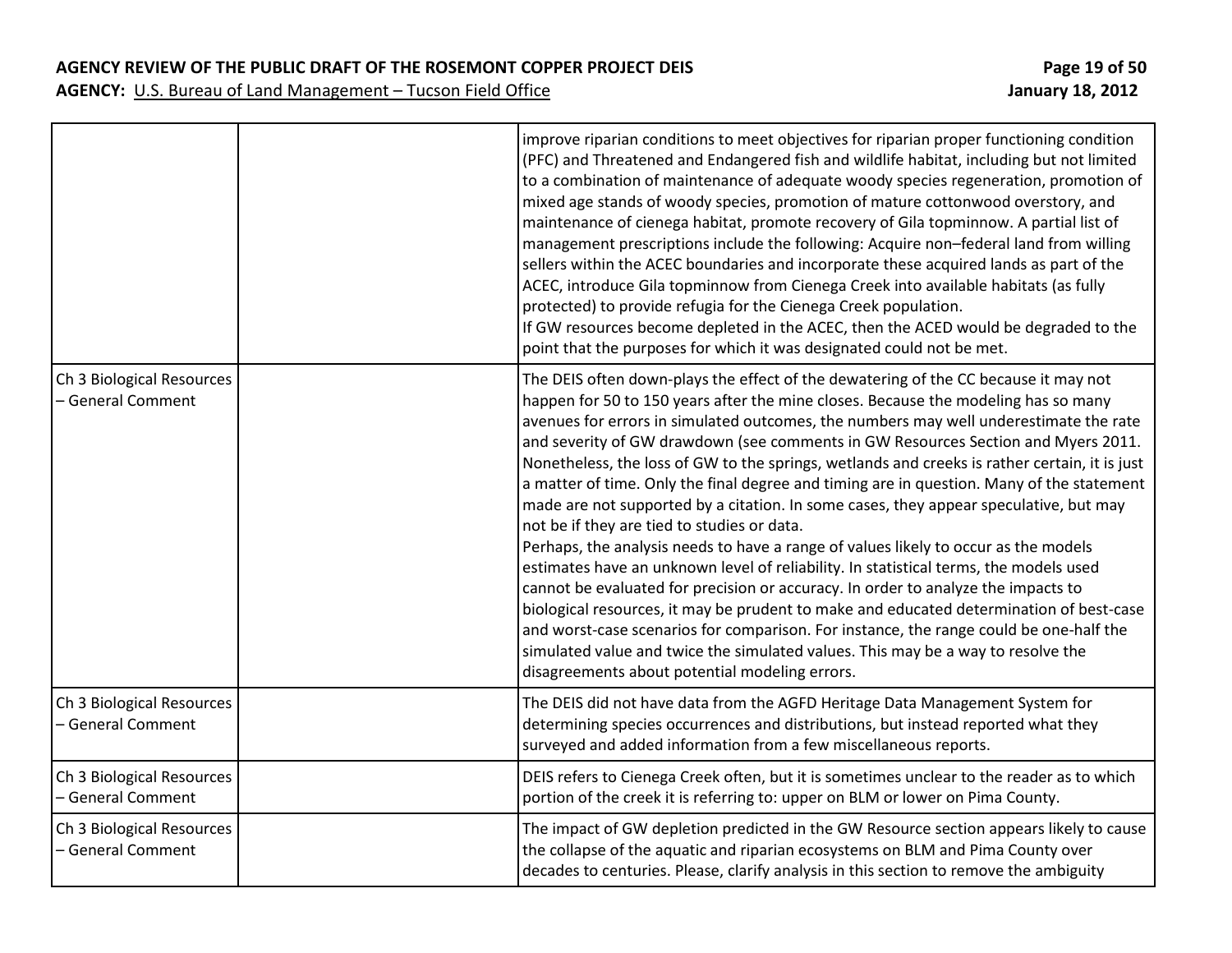|                                                | improve riparian conditions to meet objectives for riparian proper functioning condition<br>(PFC) and Threatened and Endangered fish and wildlife habitat, including but not limited<br>to a combination of maintenance of adequate woody species regeneration, promotion of<br>mixed age stands of woody species, promotion of mature cottonwood overstory, and<br>maintenance of cienega habitat, promote recovery of Gila topminnow. A partial list of<br>management prescriptions include the following: Acquire non-federal land from willing<br>sellers within the ACEC boundaries and incorporate these acquired lands as part of the<br>ACEC, introduce Gila topminnow from Cienega Creek into available habitats (as fully<br>protected) to provide refugia for the Cienega Creek population.<br>If GW resources become depleted in the ACEC, then the ACED would be degraded to the<br>point that the purposes for which it was designated could not be met.                                                                                                                                                                                                                                                                                                                        |
|------------------------------------------------|-----------------------------------------------------------------------------------------------------------------------------------------------------------------------------------------------------------------------------------------------------------------------------------------------------------------------------------------------------------------------------------------------------------------------------------------------------------------------------------------------------------------------------------------------------------------------------------------------------------------------------------------------------------------------------------------------------------------------------------------------------------------------------------------------------------------------------------------------------------------------------------------------------------------------------------------------------------------------------------------------------------------------------------------------------------------------------------------------------------------------------------------------------------------------------------------------------------------------------------------------------------------------------------------------|
| Ch 3 Biological Resources<br>- General Comment | The DEIS often down-plays the effect of the dewatering of the CC because it may not<br>happen for 50 to 150 years after the mine closes. Because the modeling has so many<br>avenues for errors in simulated outcomes, the numbers may well underestimate the rate<br>and severity of GW drawdown (see comments in GW Resources Section and Myers 2011.<br>Nonetheless, the loss of GW to the springs, wetlands and creeks is rather certain, it is just<br>a matter of time. Only the final degree and timing are in question. Many of the statement<br>made are not supported by a citation. In some cases, they appear speculative, but may<br>not be if they are tied to studies or data.<br>Perhaps, the analysis needs to have a range of values likely to occur as the models<br>estimates have an unknown level of reliability. In statistical terms, the models used<br>cannot be evaluated for precision or accuracy. In order to analyze the impacts to<br>biological resources, it may be prudent to make and educated determination of best-case<br>and worst-case scenarios for comparison. For instance, the range could be one-half the<br>simulated value and twice the simulated values. This may be a way to resolve the<br>disagreements about potential modeling errors. |
| Ch 3 Biological Resources<br>- General Comment | The DEIS did not have data from the AGFD Heritage Data Management System for<br>determining species occurrences and distributions, but instead reported what they<br>surveyed and added information from a few miscellaneous reports.                                                                                                                                                                                                                                                                                                                                                                                                                                                                                                                                                                                                                                                                                                                                                                                                                                                                                                                                                                                                                                                         |
| Ch 3 Biological Resources<br>- General Comment | DEIS refers to Cienega Creek often, but it is sometimes unclear to the reader as to which<br>portion of the creek it is referring to: upper on BLM or lower on Pima County.                                                                                                                                                                                                                                                                                                                                                                                                                                                                                                                                                                                                                                                                                                                                                                                                                                                                                                                                                                                                                                                                                                                   |
| Ch 3 Biological Resources<br>- General Comment | The impact of GW depletion predicted in the GW Resource section appears likely to cause<br>the collapse of the aquatic and riparian ecosystems on BLM and Pima County over<br>decades to centuries. Please, clarify analysis in this section to remove the ambiguity                                                                                                                                                                                                                                                                                                                                                                                                                                                                                                                                                                                                                                                                                                                                                                                                                                                                                                                                                                                                                          |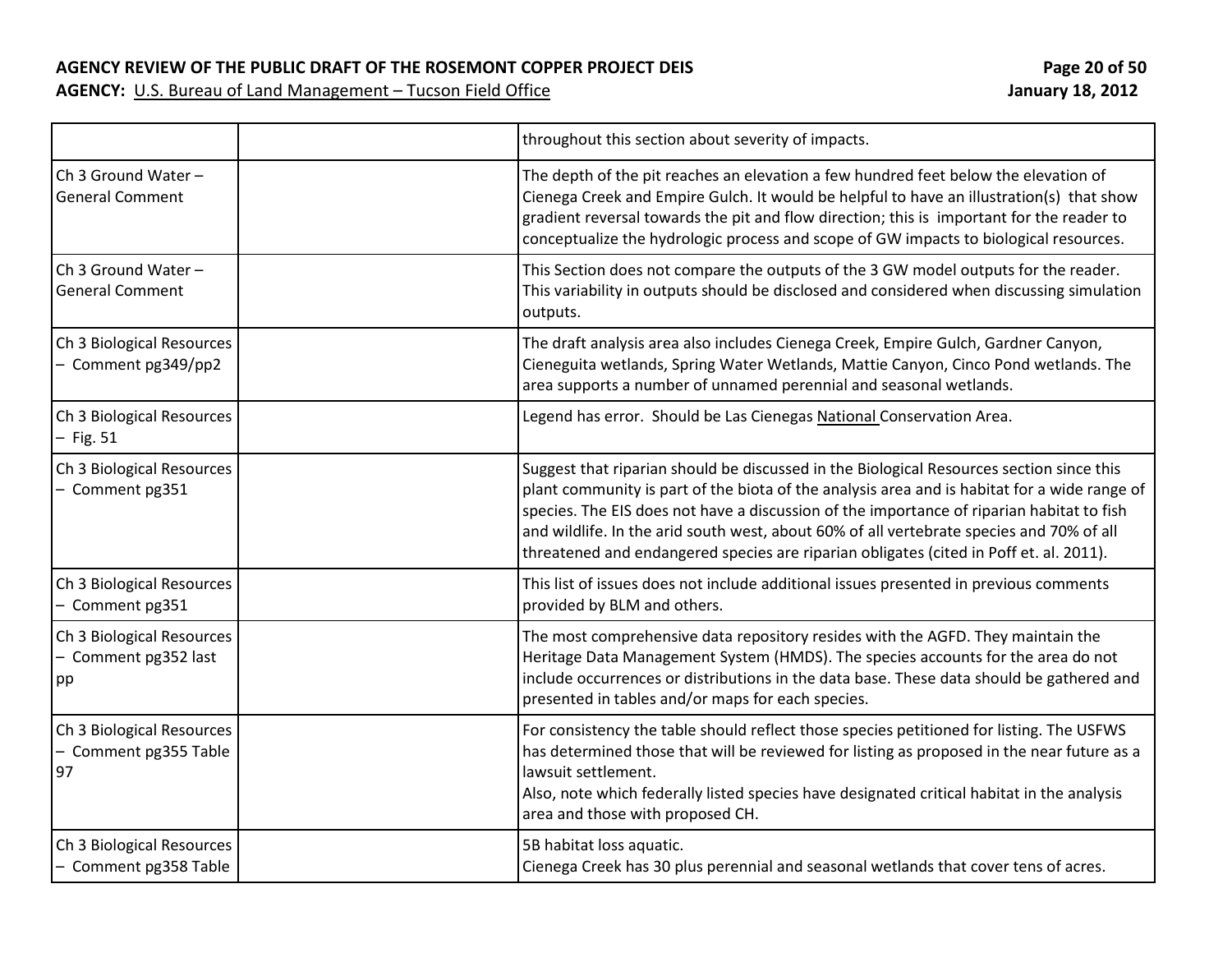**AGENCY REVIEW OF THE PUBLIC DRAFT OF THE ROSEMONT COPPER PROJECT DEIS Page 20 of 50**

|                                                          | throughout this section about severity of impacts.                                                                                                                                                                                                                                                                                                                                                                                                                          |
|----------------------------------------------------------|-----------------------------------------------------------------------------------------------------------------------------------------------------------------------------------------------------------------------------------------------------------------------------------------------------------------------------------------------------------------------------------------------------------------------------------------------------------------------------|
| Ch 3 Ground Water -<br><b>General Comment</b>            | The depth of the pit reaches an elevation a few hundred feet below the elevation of<br>Cienega Creek and Empire Gulch. It would be helpful to have an illustration(s) that show<br>gradient reversal towards the pit and flow direction; this is important for the reader to<br>conceptualize the hydrologic process and scope of GW impacts to biological resources.                                                                                                       |
| Ch 3 Ground Water -<br><b>General Comment</b>            | This Section does not compare the outputs of the 3 GW model outputs for the reader.<br>This variability in outputs should be disclosed and considered when discussing simulation<br>outputs.                                                                                                                                                                                                                                                                                |
| Ch 3 Biological Resources<br>- Comment pg349/pp2         | The draft analysis area also includes Cienega Creek, Empire Gulch, Gardner Canyon,<br>Cieneguita wetlands, Spring Water Wetlands, Mattie Canyon, Cinco Pond wetlands. The<br>area supports a number of unnamed perennial and seasonal wetlands.                                                                                                                                                                                                                             |
| Ch 3 Biological Resources<br>$-$ Fig. 51                 | Legend has error. Should be Las Cienegas National Conservation Area.                                                                                                                                                                                                                                                                                                                                                                                                        |
| Ch 3 Biological Resources<br>- Comment pg351             | Suggest that riparian should be discussed in the Biological Resources section since this<br>plant community is part of the biota of the analysis area and is habitat for a wide range of<br>species. The EIS does not have a discussion of the importance of riparian habitat to fish<br>and wildlife. In the arid south west, about 60% of all vertebrate species and 70% of all<br>threatened and endangered species are riparian obligates (cited in Poff et. al. 2011). |
| Ch 3 Biological Resources<br>- Comment pg351             | This list of issues does not include additional issues presented in previous comments<br>provided by BLM and others.                                                                                                                                                                                                                                                                                                                                                        |
| Ch 3 Biological Resources<br>- Comment pg352 last<br>pp  | The most comprehensive data repository resides with the AGFD. They maintain the<br>Heritage Data Management System (HMDS). The species accounts for the area do not<br>include occurrences or distributions in the data base. These data should be gathered and<br>presented in tables and/or maps for each species.                                                                                                                                                        |
| Ch 3 Biological Resources<br>- Comment pg355 Table<br>97 | For consistency the table should reflect those species petitioned for listing. The USFWS<br>has determined those that will be reviewed for listing as proposed in the near future as a<br>lawsuit settlement.<br>Also, note which federally listed species have designated critical habitat in the analysis<br>area and those with proposed CH.                                                                                                                             |
| Ch 3 Biological Resources<br>- Comment pg358 Table       | 5B habitat loss aquatic.<br>Cienega Creek has 30 plus perennial and seasonal wetlands that cover tens of acres.                                                                                                                                                                                                                                                                                                                                                             |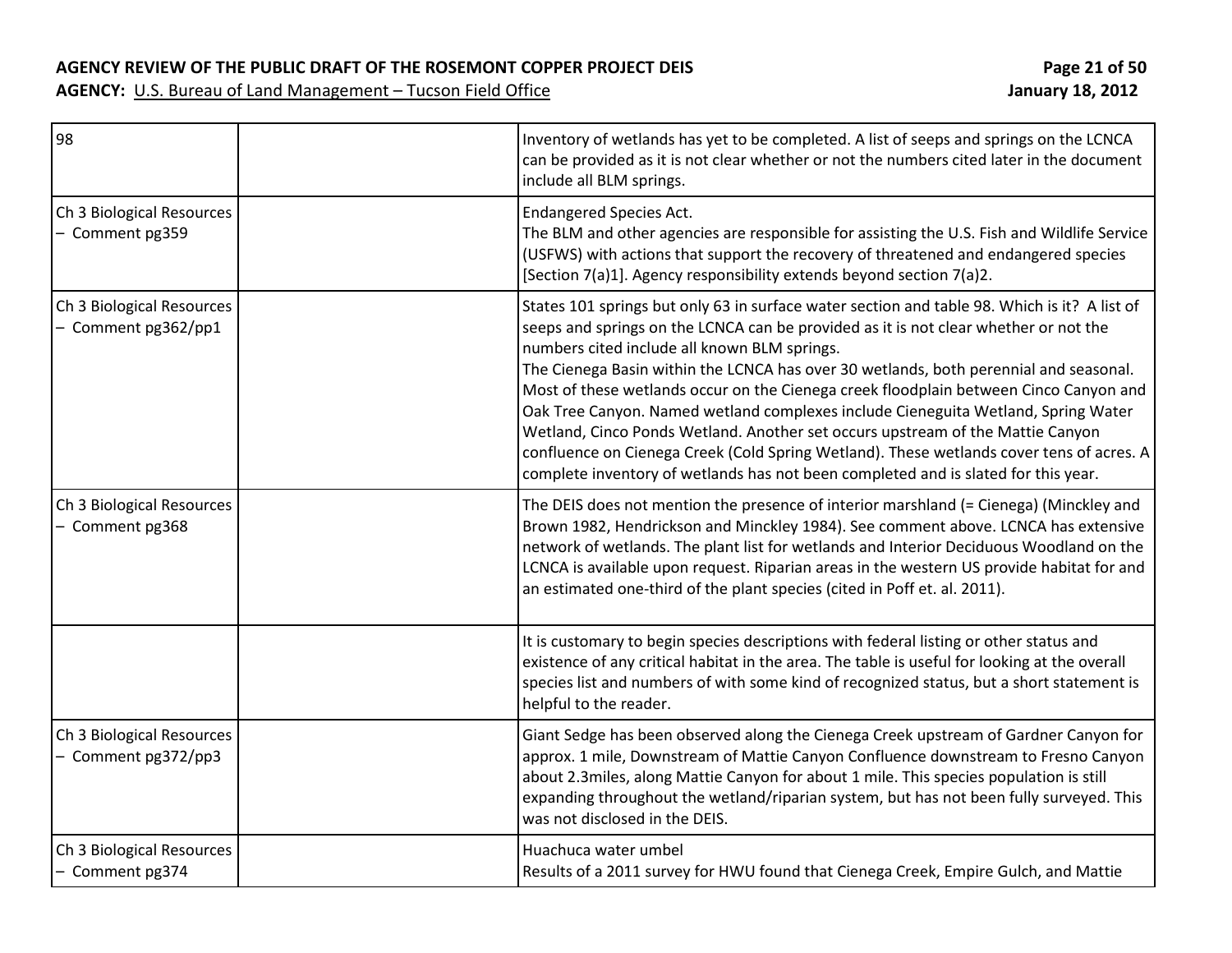| 98                                               | Inventory of wetlands has yet to be completed. A list of seeps and springs on the LCNCA<br>can be provided as it is not clear whether or not the numbers cited later in the document<br>include all BLM springs.                                                                                                                                                                                                                                                                                                                                                                                                                                                                                                                                                                |
|--------------------------------------------------|---------------------------------------------------------------------------------------------------------------------------------------------------------------------------------------------------------------------------------------------------------------------------------------------------------------------------------------------------------------------------------------------------------------------------------------------------------------------------------------------------------------------------------------------------------------------------------------------------------------------------------------------------------------------------------------------------------------------------------------------------------------------------------|
| Ch 3 Biological Resources<br>- Comment pg359     | <b>Endangered Species Act.</b><br>The BLM and other agencies are responsible for assisting the U.S. Fish and Wildlife Service<br>(USFWS) with actions that support the recovery of threatened and endangered species<br>[Section 7(a)1]. Agency responsibility extends beyond section 7(a)2.                                                                                                                                                                                                                                                                                                                                                                                                                                                                                    |
| Ch 3 Biological Resources<br>- Comment pg362/pp1 | States 101 springs but only 63 in surface water section and table 98. Which is it? A list of<br>seeps and springs on the LCNCA can be provided as it is not clear whether or not the<br>numbers cited include all known BLM springs.<br>The Cienega Basin within the LCNCA has over 30 wetlands, both perennial and seasonal.<br>Most of these wetlands occur on the Cienega creek floodplain between Cinco Canyon and<br>Oak Tree Canyon. Named wetland complexes include Cieneguita Wetland, Spring Water<br>Wetland, Cinco Ponds Wetland. Another set occurs upstream of the Mattie Canyon<br>confluence on Cienega Creek (Cold Spring Wetland). These wetlands cover tens of acres. A<br>complete inventory of wetlands has not been completed and is slated for this year. |
| Ch 3 Biological Resources<br>- Comment pg368     | The DEIS does not mention the presence of interior marshland (= Cienega) (Minckley and<br>Brown 1982, Hendrickson and Minckley 1984). See comment above. LCNCA has extensive<br>network of wetlands. The plant list for wetlands and Interior Deciduous Woodland on the<br>LCNCA is available upon request. Riparian areas in the western US provide habitat for and<br>an estimated one-third of the plant species (cited in Poff et. al. 2011).                                                                                                                                                                                                                                                                                                                               |
|                                                  | It is customary to begin species descriptions with federal listing or other status and<br>existence of any critical habitat in the area. The table is useful for looking at the overall<br>species list and numbers of with some kind of recognized status, but a short statement is<br>helpful to the reader.                                                                                                                                                                                                                                                                                                                                                                                                                                                                  |
| Ch 3 Biological Resources<br>- Comment pg372/pp3 | Giant Sedge has been observed along the Cienega Creek upstream of Gardner Canyon for<br>approx. 1 mile, Downstream of Mattie Canyon Confluence downstream to Fresno Canyon<br>about 2.3miles, along Mattie Canyon for about 1 mile. This species population is still<br>expanding throughout the wetland/riparian system, but has not been fully surveyed. This<br>was not disclosed in the DEIS.                                                                                                                                                                                                                                                                                                                                                                               |
| Ch 3 Biological Resources<br>- Comment pg374     | Huachuca water umbel<br>Results of a 2011 survey for HWU found that Cienega Creek, Empire Gulch, and Mattie                                                                                                                                                                                                                                                                                                                                                                                                                                                                                                                                                                                                                                                                     |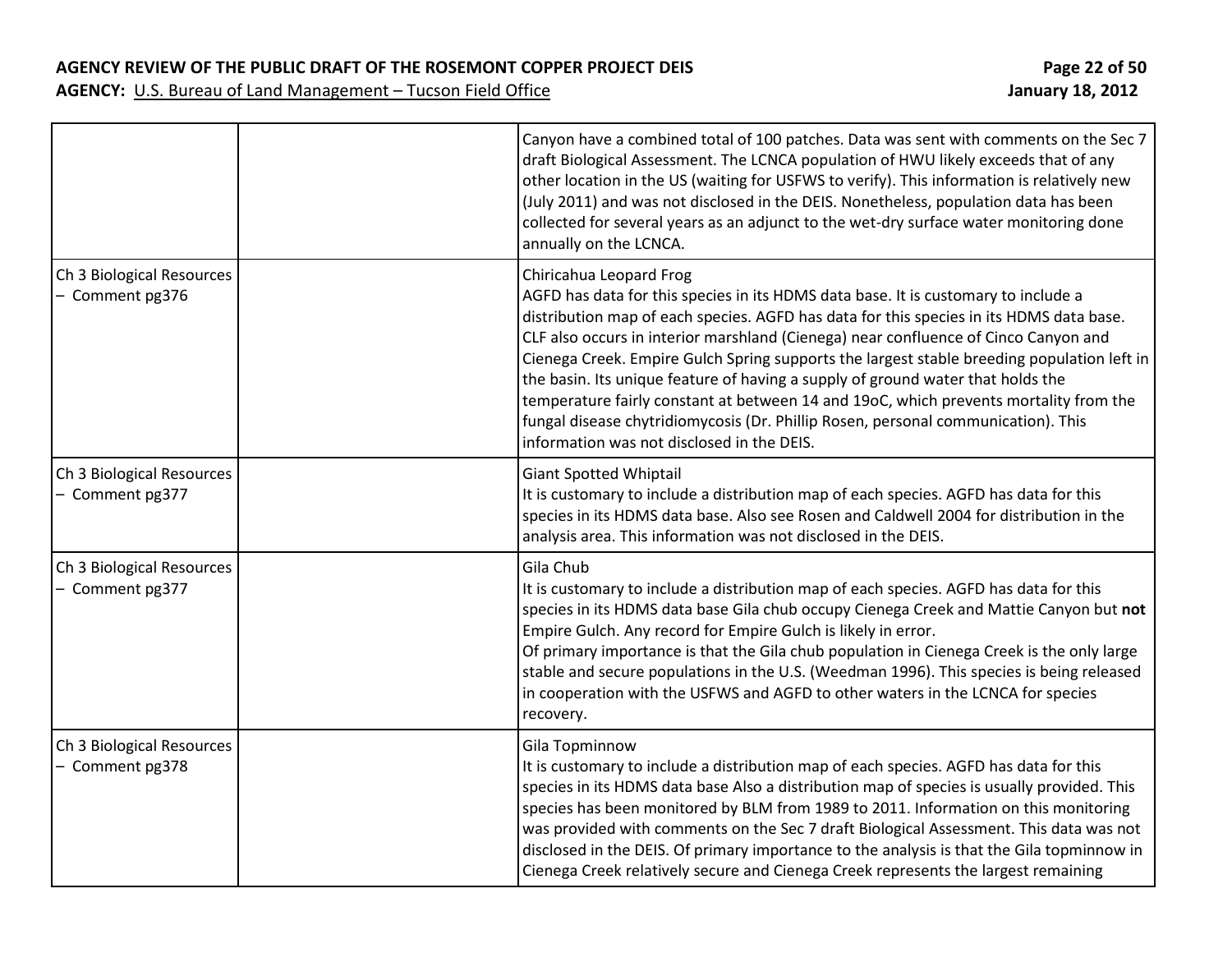**AGENCY REVIEW OF THE PUBLIC DRAFT OF THE ROSEMONT COPPER PROJECT DEIS Page 22 of 50**

|                                              | Canyon have a combined total of 100 patches. Data was sent with comments on the Sec 7<br>draft Biological Assessment. The LCNCA population of HWU likely exceeds that of any<br>other location in the US (waiting for USFWS to verify). This information is relatively new<br>(July 2011) and was not disclosed in the DEIS. Nonetheless, population data has been<br>collected for several years as an adjunct to the wet-dry surface water monitoring done<br>annually on the LCNCA.                                                                                                                                                                                                                       |
|----------------------------------------------|--------------------------------------------------------------------------------------------------------------------------------------------------------------------------------------------------------------------------------------------------------------------------------------------------------------------------------------------------------------------------------------------------------------------------------------------------------------------------------------------------------------------------------------------------------------------------------------------------------------------------------------------------------------------------------------------------------------|
| Ch 3 Biological Resources<br>- Comment pg376 | Chiricahua Leopard Frog<br>AGFD has data for this species in its HDMS data base. It is customary to include a<br>distribution map of each species. AGFD has data for this species in its HDMS data base.<br>CLF also occurs in interior marshland (Cienega) near confluence of Cinco Canyon and<br>Cienega Creek. Empire Gulch Spring supports the largest stable breeding population left in<br>the basin. Its unique feature of having a supply of ground water that holds the<br>temperature fairly constant at between 14 and 19oC, which prevents mortality from the<br>fungal disease chytridiomycosis (Dr. Phillip Rosen, personal communication). This<br>information was not disclosed in the DEIS. |
| Ch 3 Biological Resources<br>- Comment pg377 | <b>Giant Spotted Whiptail</b><br>It is customary to include a distribution map of each species. AGFD has data for this<br>species in its HDMS data base. Also see Rosen and Caldwell 2004 for distribution in the<br>analysis area. This information was not disclosed in the DEIS.                                                                                                                                                                                                                                                                                                                                                                                                                          |
| Ch 3 Biological Resources<br>- Comment pg377 | Gila Chub<br>It is customary to include a distribution map of each species. AGFD has data for this<br>species in its HDMS data base Gila chub occupy Cienega Creek and Mattie Canyon but not<br>Empire Gulch. Any record for Empire Gulch is likely in error.<br>Of primary importance is that the Gila chub population in Cienega Creek is the only large<br>stable and secure populations in the U.S. (Weedman 1996). This species is being released<br>in cooperation with the USFWS and AGFD to other waters in the LCNCA for species<br>recovery.                                                                                                                                                       |
| Ch 3 Biological Resources<br>- Comment pg378 | Gila Topminnow<br>It is customary to include a distribution map of each species. AGFD has data for this<br>species in its HDMS data base Also a distribution map of species is usually provided. This<br>species has been monitored by BLM from 1989 to 2011. Information on this monitoring<br>was provided with comments on the Sec 7 draft Biological Assessment. This data was not<br>disclosed in the DEIS. Of primary importance to the analysis is that the Gila topminnow in<br>Cienega Creek relatively secure and Cienega Creek represents the largest remaining                                                                                                                                   |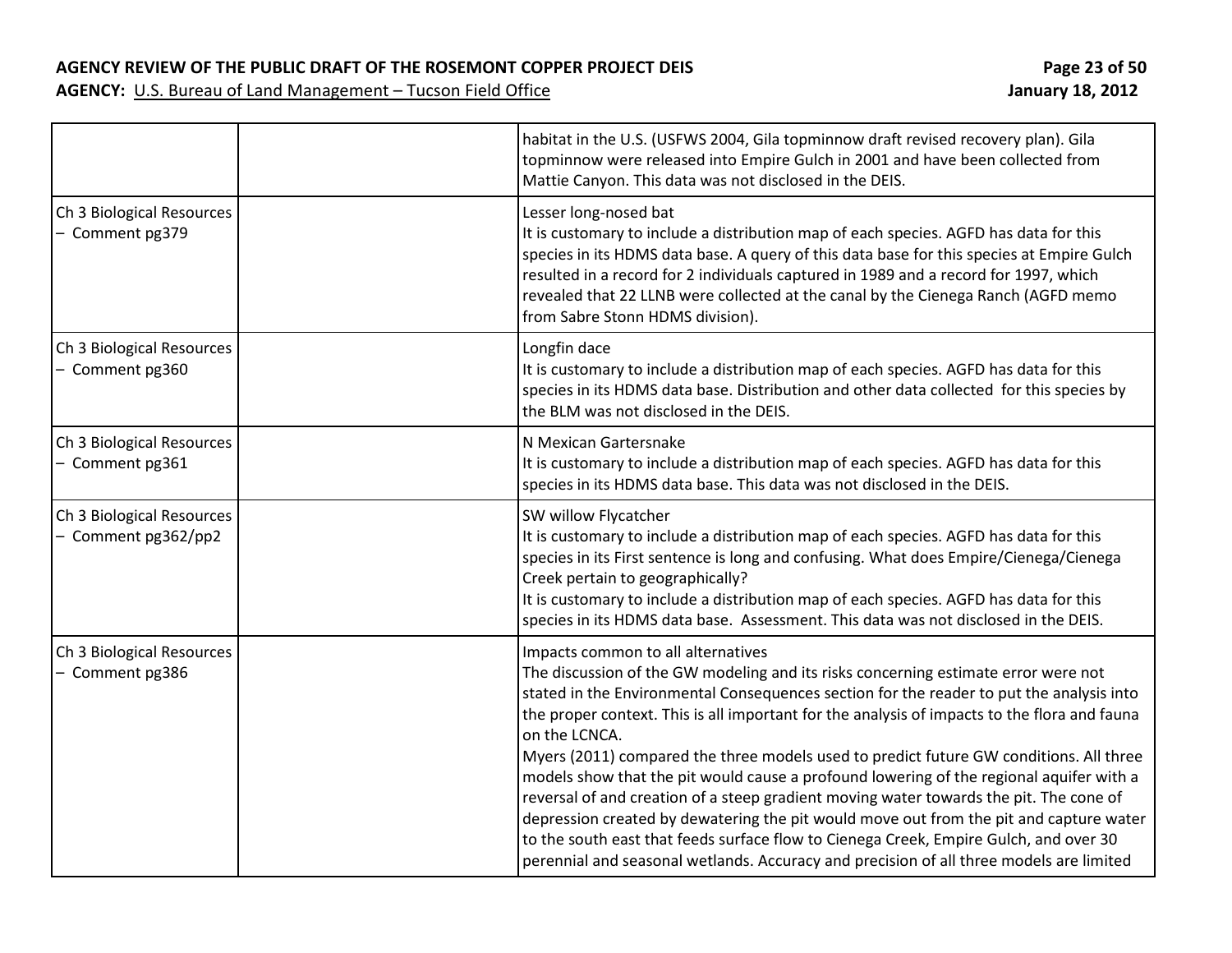**AGENCY REVIEW OF THE PUBLIC DRAFT OF THE ROSEMONT COPPER PROJECT DEIS Page 23 of 50**

|                                                  | habitat in the U.S. (USFWS 2004, Gila topminnow draft revised recovery plan). Gila<br>topminnow were released into Empire Gulch in 2001 and have been collected from<br>Mattie Canyon. This data was not disclosed in the DEIS.                                                                                                                                                                                                                                                                                                                                                                                                                                                                                                                                                                                                                                                                    |
|--------------------------------------------------|----------------------------------------------------------------------------------------------------------------------------------------------------------------------------------------------------------------------------------------------------------------------------------------------------------------------------------------------------------------------------------------------------------------------------------------------------------------------------------------------------------------------------------------------------------------------------------------------------------------------------------------------------------------------------------------------------------------------------------------------------------------------------------------------------------------------------------------------------------------------------------------------------|
| Ch 3 Biological Resources<br>- Comment pg379     | Lesser long-nosed bat<br>It is customary to include a distribution map of each species. AGFD has data for this<br>species in its HDMS data base. A query of this data base for this species at Empire Gulch<br>resulted in a record for 2 individuals captured in 1989 and a record for 1997, which<br>revealed that 22 LLNB were collected at the canal by the Cienega Ranch (AGFD memo<br>from Sabre Stonn HDMS division).                                                                                                                                                                                                                                                                                                                                                                                                                                                                       |
| Ch 3 Biological Resources<br>- Comment pg360     | Longfin dace<br>It is customary to include a distribution map of each species. AGFD has data for this<br>species in its HDMS data base. Distribution and other data collected for this species by<br>the BLM was not disclosed in the DEIS.                                                                                                                                                                                                                                                                                                                                                                                                                                                                                                                                                                                                                                                        |
| Ch 3 Biological Resources<br>- Comment pg361     | N Mexican Gartersnake<br>It is customary to include a distribution map of each species. AGFD has data for this<br>species in its HDMS data base. This data was not disclosed in the DEIS.                                                                                                                                                                                                                                                                                                                                                                                                                                                                                                                                                                                                                                                                                                          |
| Ch 3 Biological Resources<br>- Comment pg362/pp2 | SW willow Flycatcher<br>It is customary to include a distribution map of each species. AGFD has data for this<br>species in its First sentence is long and confusing. What does Empire/Cienega/Cienega<br>Creek pertain to geographically?<br>It is customary to include a distribution map of each species. AGFD has data for this<br>species in its HDMS data base. Assessment. This data was not disclosed in the DEIS.                                                                                                                                                                                                                                                                                                                                                                                                                                                                         |
| Ch 3 Biological Resources<br>- Comment pg386     | Impacts common to all alternatives<br>The discussion of the GW modeling and its risks concerning estimate error were not<br>stated in the Environmental Consequences section for the reader to put the analysis into<br>the proper context. This is all important for the analysis of impacts to the flora and fauna<br>on the LCNCA.<br>Myers (2011) compared the three models used to predict future GW conditions. All three<br>models show that the pit would cause a profound lowering of the regional aquifer with a<br>reversal of and creation of a steep gradient moving water towards the pit. The cone of<br>depression created by dewatering the pit would move out from the pit and capture water<br>to the south east that feeds surface flow to Cienega Creek, Empire Gulch, and over 30<br>perennial and seasonal wetlands. Accuracy and precision of all three models are limited |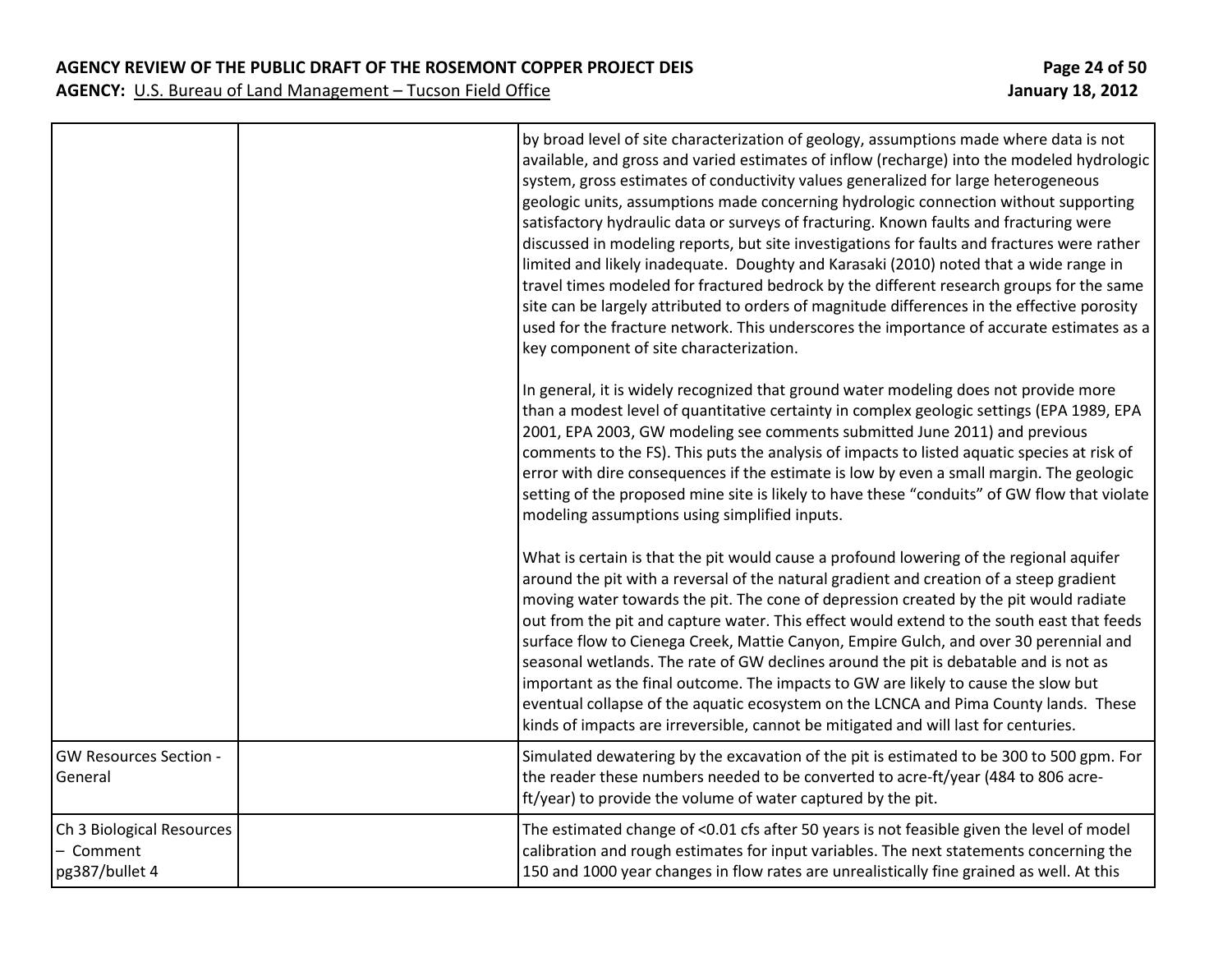**AGENCY REVIEW OF THE PUBLIC DRAFT OF THE ROSEMONT COPPER PROJECT DEIS Page 24 of 50**

|                                                        | by broad level of site characterization of geology, assumptions made where data is not<br>available, and gross and varied estimates of inflow (recharge) into the modeled hydrologic<br>system, gross estimates of conductivity values generalized for large heterogeneous<br>geologic units, assumptions made concerning hydrologic connection without supporting<br>satisfactory hydraulic data or surveys of fracturing. Known faults and fracturing were<br>discussed in modeling reports, but site investigations for faults and fractures were rather<br>limited and likely inadequate. Doughty and Karasaki (2010) noted that a wide range in<br>travel times modeled for fractured bedrock by the different research groups for the same<br>site can be largely attributed to orders of magnitude differences in the effective porosity<br>used for the fracture network. This underscores the importance of accurate estimates as a<br>key component of site characterization. |
|--------------------------------------------------------|-----------------------------------------------------------------------------------------------------------------------------------------------------------------------------------------------------------------------------------------------------------------------------------------------------------------------------------------------------------------------------------------------------------------------------------------------------------------------------------------------------------------------------------------------------------------------------------------------------------------------------------------------------------------------------------------------------------------------------------------------------------------------------------------------------------------------------------------------------------------------------------------------------------------------------------------------------------------------------------------|
|                                                        | In general, it is widely recognized that ground water modeling does not provide more<br>than a modest level of quantitative certainty in complex geologic settings (EPA 1989, EPA<br>2001, EPA 2003, GW modeling see comments submitted June 2011) and previous<br>comments to the FS). This puts the analysis of impacts to listed aquatic species at risk of<br>error with dire consequences if the estimate is low by even a small margin. The geologic<br>setting of the proposed mine site is likely to have these "conduits" of GW flow that violate<br>modeling assumptions using simplified inputs.                                                                                                                                                                                                                                                                                                                                                                             |
|                                                        | What is certain is that the pit would cause a profound lowering of the regional aquifer<br>around the pit with a reversal of the natural gradient and creation of a steep gradient<br>moving water towards the pit. The cone of depression created by the pit would radiate<br>out from the pit and capture water. This effect would extend to the south east that feeds<br>surface flow to Cienega Creek, Mattie Canyon, Empire Gulch, and over 30 perennial and<br>seasonal wetlands. The rate of GW declines around the pit is debatable and is not as<br>important as the final outcome. The impacts to GW are likely to cause the slow but<br>eventual collapse of the aquatic ecosystem on the LCNCA and Pima County lands. These<br>kinds of impacts are irreversible, cannot be mitigated and will last for centuries.                                                                                                                                                          |
| <b>GW Resources Section -</b><br>General               | Simulated dewatering by the excavation of the pit is estimated to be 300 to 500 gpm. For<br>the reader these numbers needed to be converted to acre-ft/year (484 to 806 acre-<br>ft/year) to provide the volume of water captured by the pit.                                                                                                                                                                                                                                                                                                                                                                                                                                                                                                                                                                                                                                                                                                                                           |
| Ch 3 Biological Resources<br>Comment<br>pg387/bullet 4 | The estimated change of <0.01 cfs after 50 years is not feasible given the level of model<br>calibration and rough estimates for input variables. The next statements concerning the<br>150 and 1000 year changes in flow rates are unrealistically fine grained as well. At this                                                                                                                                                                                                                                                                                                                                                                                                                                                                                                                                                                                                                                                                                                       |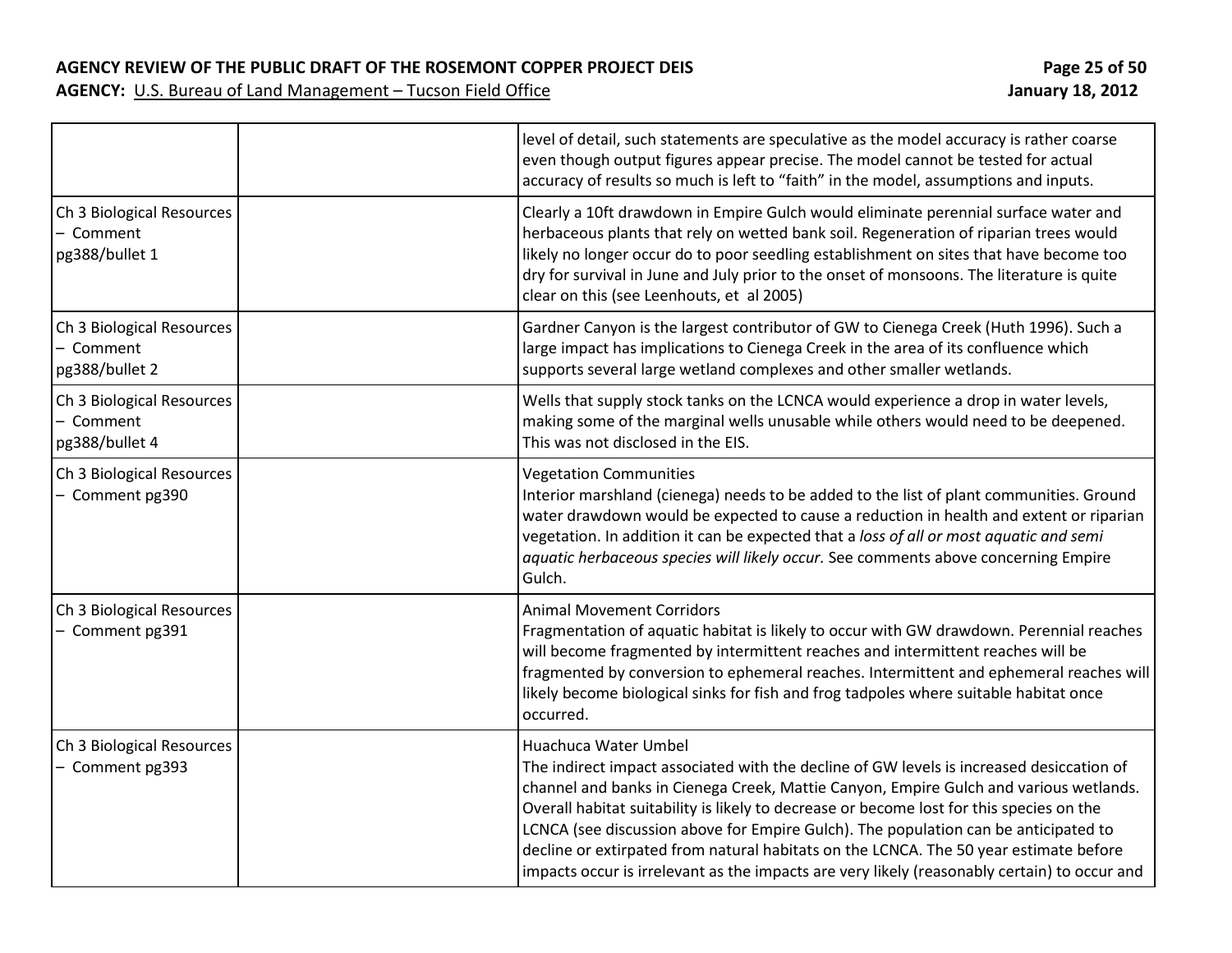**AGENCY REVIEW OF THE PUBLIC DRAFT OF THE ROSEMONT COPPER PROJECT DEIS Page 25 of 50**

|                                                          | level of detail, such statements are speculative as the model accuracy is rather coarse<br>even though output figures appear precise. The model cannot be tested for actual<br>accuracy of results so much is left to "faith" in the model, assumptions and inputs.                                                                                                                                                                                                                                                                                                                   |
|----------------------------------------------------------|---------------------------------------------------------------------------------------------------------------------------------------------------------------------------------------------------------------------------------------------------------------------------------------------------------------------------------------------------------------------------------------------------------------------------------------------------------------------------------------------------------------------------------------------------------------------------------------|
| Ch 3 Biological Resources<br>- Comment<br>pg388/bullet 1 | Clearly a 10ft drawdown in Empire Gulch would eliminate perennial surface water and<br>herbaceous plants that rely on wetted bank soil. Regeneration of riparian trees would<br>likely no longer occur do to poor seedling establishment on sites that have become too<br>dry for survival in June and July prior to the onset of monsoons. The literature is quite<br>clear on this (see Leenhouts, et al 2005)                                                                                                                                                                      |
| Ch 3 Biological Resources<br>- Comment<br>pg388/bullet 2 | Gardner Canyon is the largest contributor of GW to Cienega Creek (Huth 1996). Such a<br>large impact has implications to Cienega Creek in the area of its confluence which<br>supports several large wetland complexes and other smaller wetlands.                                                                                                                                                                                                                                                                                                                                    |
| Ch 3 Biological Resources<br>- Comment<br>pg388/bullet 4 | Wells that supply stock tanks on the LCNCA would experience a drop in water levels,<br>making some of the marginal wells unusable while others would need to be deepened.<br>This was not disclosed in the EIS.                                                                                                                                                                                                                                                                                                                                                                       |
| Ch 3 Biological Resources<br>- Comment pg390             | <b>Vegetation Communities</b><br>Interior marshland (cienega) needs to be added to the list of plant communities. Ground<br>water drawdown would be expected to cause a reduction in health and extent or riparian<br>vegetation. In addition it can be expected that a loss of all or most aquatic and semi<br>aquatic herbaceous species will likely occur. See comments above concerning Empire<br>Gulch.                                                                                                                                                                          |
| Ch 3 Biological Resources<br>- Comment pg391             | <b>Animal Movement Corridors</b><br>Fragmentation of aquatic habitat is likely to occur with GW drawdown. Perennial reaches<br>will become fragmented by intermittent reaches and intermittent reaches will be<br>fragmented by conversion to ephemeral reaches. Intermittent and ephemeral reaches will<br>likely become biological sinks for fish and frog tadpoles where suitable habitat once<br>occurred.                                                                                                                                                                        |
| Ch 3 Biological Resources<br>- Comment pg393             | Huachuca Water Umbel<br>The indirect impact associated with the decline of GW levels is increased desiccation of<br>channel and banks in Cienega Creek, Mattie Canyon, Empire Gulch and various wetlands.<br>Overall habitat suitability is likely to decrease or become lost for this species on the<br>LCNCA (see discussion above for Empire Gulch). The population can be anticipated to<br>decline or extirpated from natural habitats on the LCNCA. The 50 year estimate before<br>impacts occur is irrelevant as the impacts are very likely (reasonably certain) to occur and |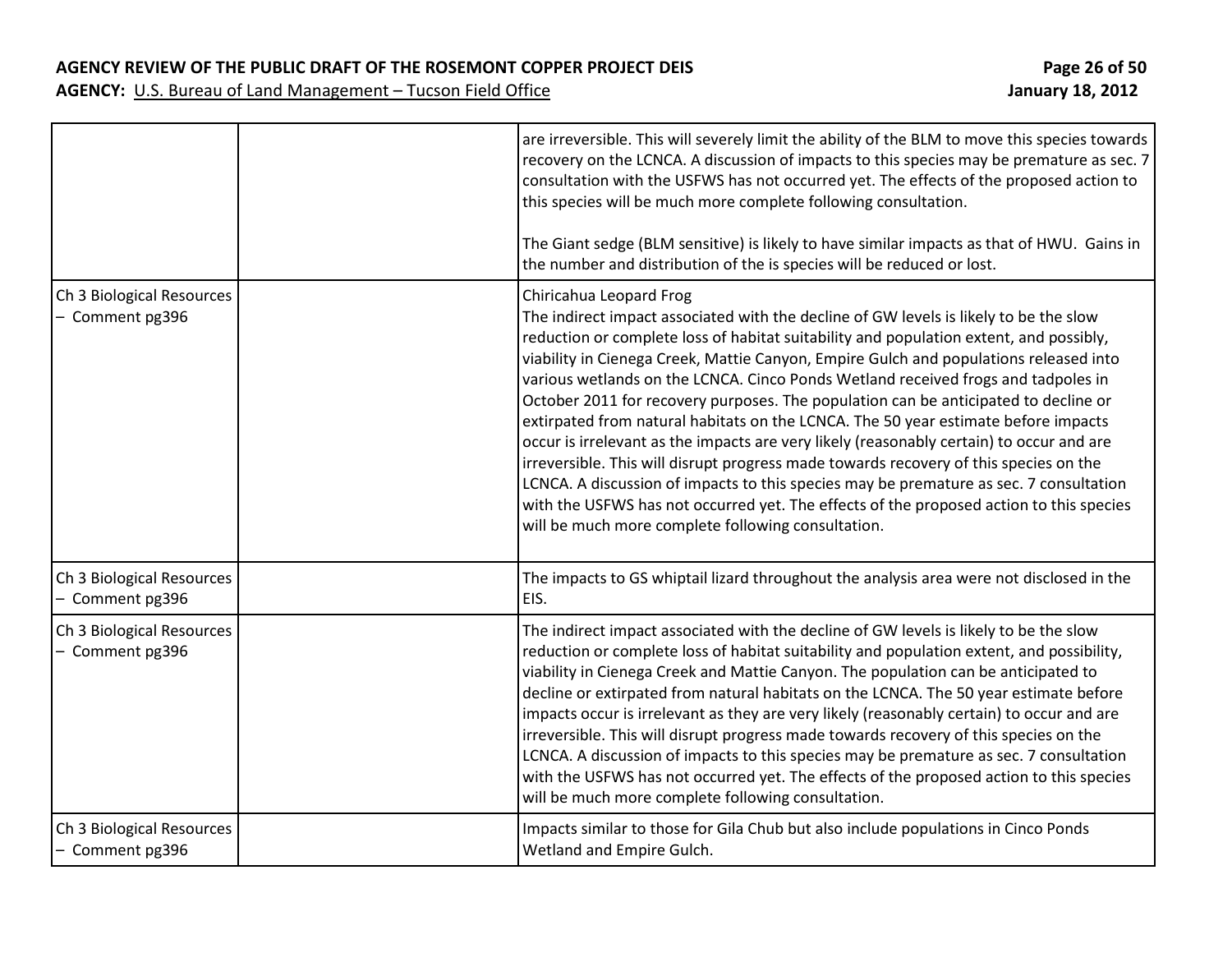### **AGENCY REVIEW OF THE PUBLIC DRAFT OF THE ROSEMONT COPPER PROJECT DEIS Page 26 of 50**

|                                              | are irreversible. This will severely limit the ability of the BLM to move this species towards<br>recovery on the LCNCA. A discussion of impacts to this species may be premature as sec. 7<br>consultation with the USFWS has not occurred yet. The effects of the proposed action to<br>this species will be much more complete following consultation.<br>The Giant sedge (BLM sensitive) is likely to have similar impacts as that of HWU. Gains in<br>the number and distribution of the is species will be reduced or lost.                                                                                                                                                                                                                                                                                                                                                                                                                                                                     |
|----------------------------------------------|-------------------------------------------------------------------------------------------------------------------------------------------------------------------------------------------------------------------------------------------------------------------------------------------------------------------------------------------------------------------------------------------------------------------------------------------------------------------------------------------------------------------------------------------------------------------------------------------------------------------------------------------------------------------------------------------------------------------------------------------------------------------------------------------------------------------------------------------------------------------------------------------------------------------------------------------------------------------------------------------------------|
| Ch 3 Biological Resources<br>- Comment pg396 | Chiricahua Leopard Frog<br>The indirect impact associated with the decline of GW levels is likely to be the slow<br>reduction or complete loss of habitat suitability and population extent, and possibly,<br>viability in Cienega Creek, Mattie Canyon, Empire Gulch and populations released into<br>various wetlands on the LCNCA. Cinco Ponds Wetland received frogs and tadpoles in<br>October 2011 for recovery purposes. The population can be anticipated to decline or<br>extirpated from natural habitats on the LCNCA. The 50 year estimate before impacts<br>occur is irrelevant as the impacts are very likely (reasonably certain) to occur and are<br>irreversible. This will disrupt progress made towards recovery of this species on the<br>LCNCA. A discussion of impacts to this species may be premature as sec. 7 consultation<br>with the USFWS has not occurred yet. The effects of the proposed action to this species<br>will be much more complete following consultation. |
| Ch 3 Biological Resources<br>- Comment pg396 | The impacts to GS whiptail lizard throughout the analysis area were not disclosed in the<br>EIS.                                                                                                                                                                                                                                                                                                                                                                                                                                                                                                                                                                                                                                                                                                                                                                                                                                                                                                      |
| Ch 3 Biological Resources<br>- Comment pg396 | The indirect impact associated with the decline of GW levels is likely to be the slow<br>reduction or complete loss of habitat suitability and population extent, and possibility,<br>viability in Cienega Creek and Mattie Canyon. The population can be anticipated to<br>decline or extirpated from natural habitats on the LCNCA. The 50 year estimate before<br>impacts occur is irrelevant as they are very likely (reasonably certain) to occur and are<br>irreversible. This will disrupt progress made towards recovery of this species on the<br>LCNCA. A discussion of impacts to this species may be premature as sec. 7 consultation<br>with the USFWS has not occurred yet. The effects of the proposed action to this species<br>will be much more complete following consultation.                                                                                                                                                                                                    |
| Ch 3 Biological Resources<br>- Comment pg396 | Impacts similar to those for Gila Chub but also include populations in Cinco Ponds<br>Wetland and Empire Gulch.                                                                                                                                                                                                                                                                                                                                                                                                                                                                                                                                                                                                                                                                                                                                                                                                                                                                                       |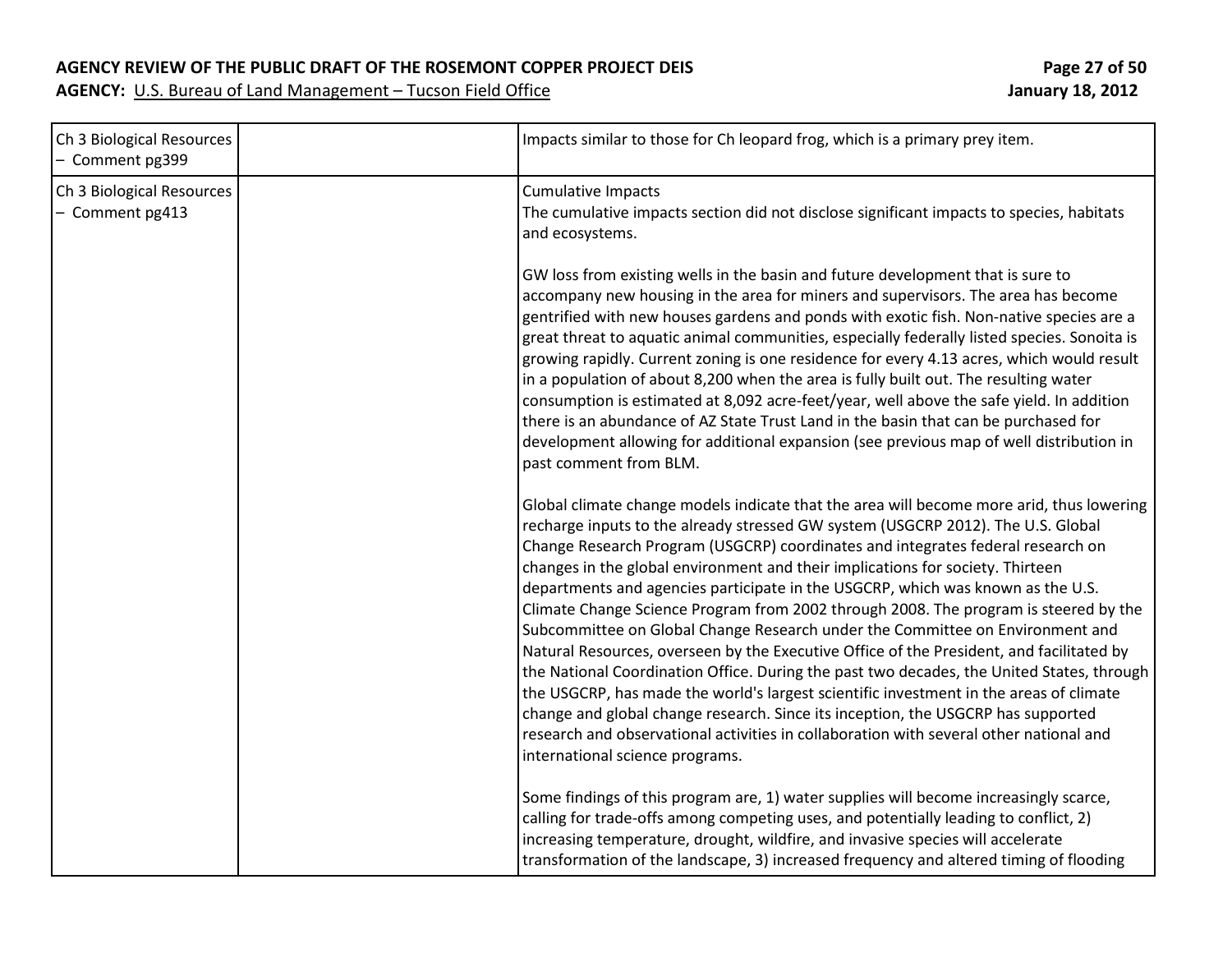### **AGENCY REVIEW OF THE PUBLIC DRAFT OF THE ROSEMONT COPPER PROJECT DEIS Page 27 of 50**

| Ch 3 Biological Resources<br>- Comment pg399 | Impacts similar to those for Ch leopard frog, which is a primary prey item.                                                                                                                                                                                                                                                                                                                                                                                                                                                                                                                                                                                                                                                                                                                                                                                                                                                                                                                                                                                                                                       |  |
|----------------------------------------------|-------------------------------------------------------------------------------------------------------------------------------------------------------------------------------------------------------------------------------------------------------------------------------------------------------------------------------------------------------------------------------------------------------------------------------------------------------------------------------------------------------------------------------------------------------------------------------------------------------------------------------------------------------------------------------------------------------------------------------------------------------------------------------------------------------------------------------------------------------------------------------------------------------------------------------------------------------------------------------------------------------------------------------------------------------------------------------------------------------------------|--|
| Ch 3 Biological Resources<br>- Comment pg413 | <b>Cumulative Impacts</b><br>The cumulative impacts section did not disclose significant impacts to species, habitats<br>and ecosystems.                                                                                                                                                                                                                                                                                                                                                                                                                                                                                                                                                                                                                                                                                                                                                                                                                                                                                                                                                                          |  |
|                                              | GW loss from existing wells in the basin and future development that is sure to<br>accompany new housing in the area for miners and supervisors. The area has become<br>gentrified with new houses gardens and ponds with exotic fish. Non-native species are a<br>great threat to aquatic animal communities, especially federally listed species. Sonoita is<br>growing rapidly. Current zoning is one residence for every 4.13 acres, which would result<br>in a population of about 8,200 when the area is fully built out. The resulting water<br>consumption is estimated at 8,092 acre-feet/year, well above the safe yield. In addition<br>there is an abundance of AZ State Trust Land in the basin that can be purchased for<br>development allowing for additional expansion (see previous map of well distribution in<br>past comment from BLM.                                                                                                                                                                                                                                                       |  |
|                                              | Global climate change models indicate that the area will become more arid, thus lowering<br>recharge inputs to the already stressed GW system (USGCRP 2012). The U.S. Global<br>Change Research Program (USGCRP) coordinates and integrates federal research on<br>changes in the global environment and their implications for society. Thirteen<br>departments and agencies participate in the USGCRP, which was known as the U.S.<br>Climate Change Science Program from 2002 through 2008. The program is steered by the<br>Subcommittee on Global Change Research under the Committee on Environment and<br>Natural Resources, overseen by the Executive Office of the President, and facilitated by<br>the National Coordination Office. During the past two decades, the United States, through<br>the USGCRP, has made the world's largest scientific investment in the areas of climate<br>change and global change research. Since its inception, the USGCRP has supported<br>research and observational activities in collaboration with several other national and<br>international science programs. |  |
|                                              | Some findings of this program are, 1) water supplies will become increasingly scarce,<br>calling for trade-offs among competing uses, and potentially leading to conflict, 2)<br>increasing temperature, drought, wildfire, and invasive species will accelerate<br>transformation of the landscape, 3) increased frequency and altered timing of flooding                                                                                                                                                                                                                                                                                                                                                                                                                                                                                                                                                                                                                                                                                                                                                        |  |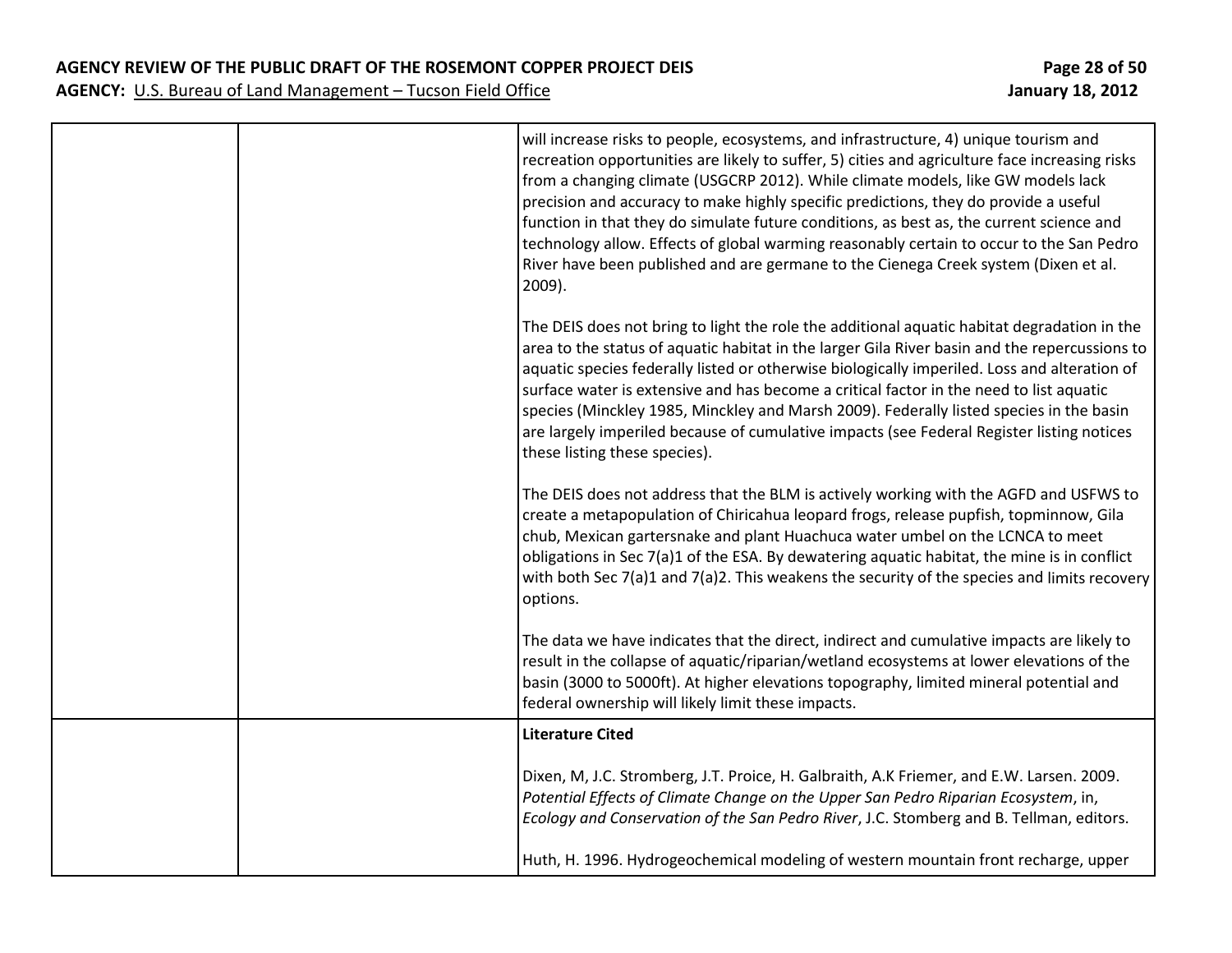|  | will increase risks to people, ecosystems, and infrastructure, 4) unique tourism and<br>recreation opportunities are likely to suffer, 5) cities and agriculture face increasing risks<br>from a changing climate (USGCRP 2012). While climate models, like GW models lack<br>precision and accuracy to make highly specific predictions, they do provide a useful<br>function in that they do simulate future conditions, as best as, the current science and<br>technology allow. Effects of global warming reasonably certain to occur to the San Pedro<br>River have been published and are germane to the Cienega Creek system (Dixen et al.<br>2009). |
|--|-------------------------------------------------------------------------------------------------------------------------------------------------------------------------------------------------------------------------------------------------------------------------------------------------------------------------------------------------------------------------------------------------------------------------------------------------------------------------------------------------------------------------------------------------------------------------------------------------------------------------------------------------------------|
|  | The DEIS does not bring to light the role the additional aquatic habitat degradation in the<br>area to the status of aquatic habitat in the larger Gila River basin and the repercussions to<br>aquatic species federally listed or otherwise biologically imperiled. Loss and alteration of<br>surface water is extensive and has become a critical factor in the need to list aquatic<br>species (Minckley 1985, Minckley and Marsh 2009). Federally listed species in the basin<br>are largely imperiled because of cumulative impacts (see Federal Register listing notices<br>these listing these species).                                            |
|  | The DEIS does not address that the BLM is actively working with the AGFD and USFWS to<br>create a metapopulation of Chiricahua leopard frogs, release pupfish, topminnow, Gila<br>chub, Mexican gartersnake and plant Huachuca water umbel on the LCNCA to meet<br>obligations in Sec 7(a)1 of the ESA. By dewatering aquatic habitat, the mine is in conflict<br>with both Sec 7(a)1 and 7(a)2. This weakens the security of the species and limits recovery<br>options.                                                                                                                                                                                   |
|  | The data we have indicates that the direct, indirect and cumulative impacts are likely to<br>result in the collapse of aquatic/riparian/wetland ecosystems at lower elevations of the<br>basin (3000 to 5000ft). At higher elevations topography, limited mineral potential and<br>federal ownership will likely limit these impacts.                                                                                                                                                                                                                                                                                                                       |
|  | <b>Literature Cited</b>                                                                                                                                                                                                                                                                                                                                                                                                                                                                                                                                                                                                                                     |
|  | Dixen, M, J.C. Stromberg, J.T. Proice, H. Galbraith, A.K Friemer, and E.W. Larsen. 2009.<br>Potential Effects of Climate Change on the Upper San Pedro Riparian Ecosystem, in,<br>Ecology and Conservation of the San Pedro River, J.C. Stomberg and B. Tellman, editors.                                                                                                                                                                                                                                                                                                                                                                                   |
|  | Huth, H. 1996. Hydrogeochemical modeling of western mountain front recharge, upper                                                                                                                                                                                                                                                                                                                                                                                                                                                                                                                                                                          |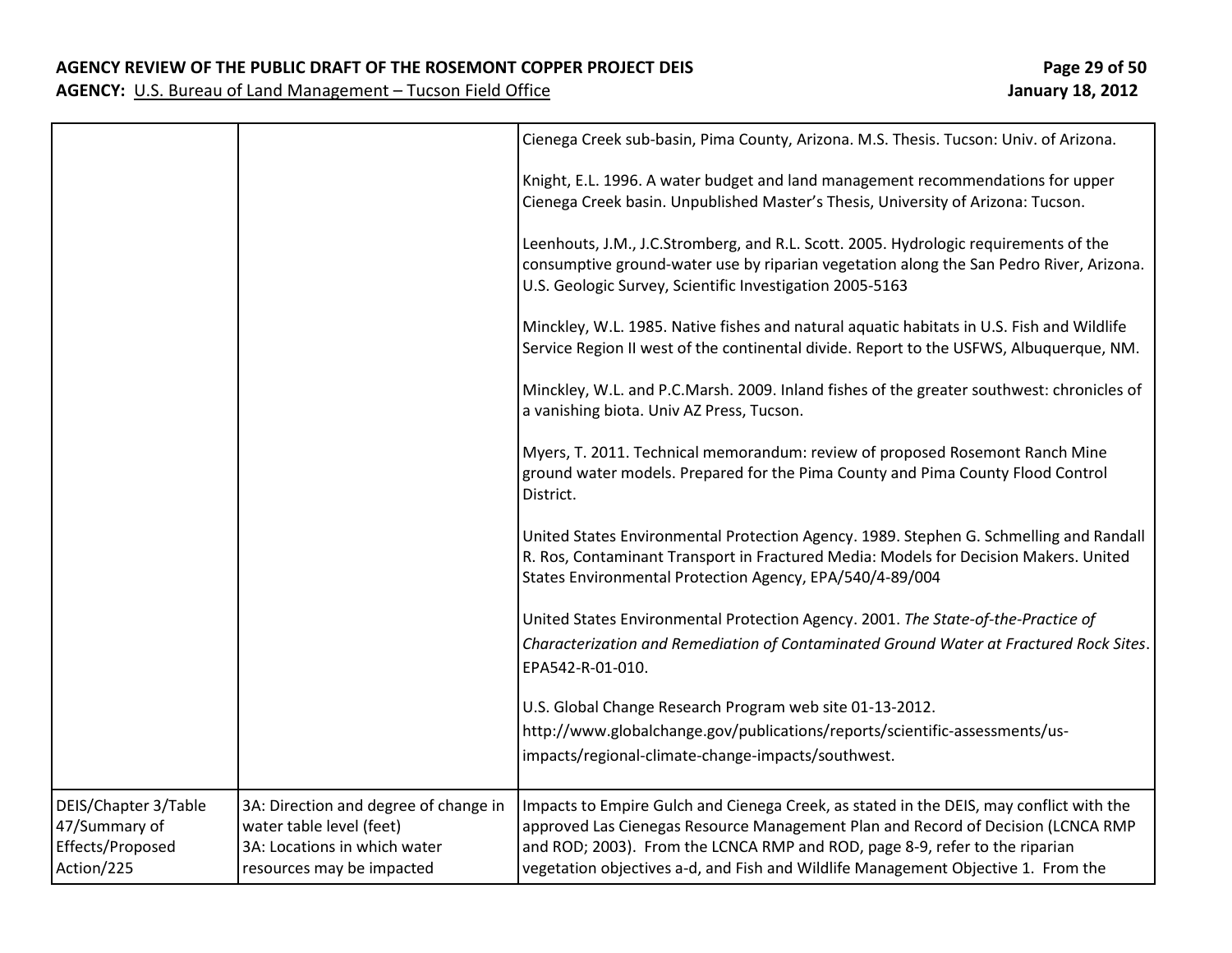|                                                                         |                                                                                                                                | Cienega Creek sub-basin, Pima County, Arizona. M.S. Thesis. Tucson: Univ. of Arizona.                                                                                                                                                                                                                                                           |
|-------------------------------------------------------------------------|--------------------------------------------------------------------------------------------------------------------------------|-------------------------------------------------------------------------------------------------------------------------------------------------------------------------------------------------------------------------------------------------------------------------------------------------------------------------------------------------|
|                                                                         |                                                                                                                                | Knight, E.L. 1996. A water budget and land management recommendations for upper<br>Cienega Creek basin. Unpublished Master's Thesis, University of Arizona: Tucson.                                                                                                                                                                             |
|                                                                         |                                                                                                                                | Leenhouts, J.M., J.C.Stromberg, and R.L. Scott. 2005. Hydrologic requirements of the<br>consumptive ground-water use by riparian vegetation along the San Pedro River, Arizona.<br>U.S. Geologic Survey, Scientific Investigation 2005-5163                                                                                                     |
|                                                                         |                                                                                                                                | Minckley, W.L. 1985. Native fishes and natural aquatic habitats in U.S. Fish and Wildlife<br>Service Region II west of the continental divide. Report to the USFWS, Albuquerque, NM.                                                                                                                                                            |
|                                                                         |                                                                                                                                | Minckley, W.L. and P.C.Marsh. 2009. Inland fishes of the greater southwest: chronicles of<br>a vanishing biota. Univ AZ Press, Tucson.                                                                                                                                                                                                          |
|                                                                         |                                                                                                                                | Myers, T. 2011. Technical memorandum: review of proposed Rosemont Ranch Mine<br>ground water models. Prepared for the Pima County and Pima County Flood Control<br>District.                                                                                                                                                                    |
|                                                                         |                                                                                                                                | United States Environmental Protection Agency. 1989. Stephen G. Schmelling and Randall<br>R. Ros, Contaminant Transport in Fractured Media: Models for Decision Makers. United<br>States Environmental Protection Agency, EPA/540/4-89/004                                                                                                      |
|                                                                         |                                                                                                                                | United States Environmental Protection Agency. 2001. The State-of-the-Practice of<br>Characterization and Remediation of Contaminated Ground Water at Fractured Rock Sites.<br>EPA542-R-01-010.                                                                                                                                                 |
|                                                                         |                                                                                                                                | U.S. Global Change Research Program web site 01-13-2012.<br>http://www.globalchange.gov/publications/reports/scientific-assessments/us-<br>impacts/regional-climate-change-impacts/southwest.                                                                                                                                                   |
| DEIS/Chapter 3/Table<br>47/Summary of<br>Effects/Proposed<br>Action/225 | 3A: Direction and degree of change in<br>water table level (feet)<br>3A: Locations in which water<br>resources may be impacted | Impacts to Empire Gulch and Cienega Creek, as stated in the DEIS, may conflict with the<br>approved Las Cienegas Resource Management Plan and Record of Decision (LCNCA RMP<br>and ROD; 2003). From the LCNCA RMP and ROD, page 8-9, refer to the riparian<br>vegetation objectives a-d, and Fish and Wildlife Management Objective 1. From the |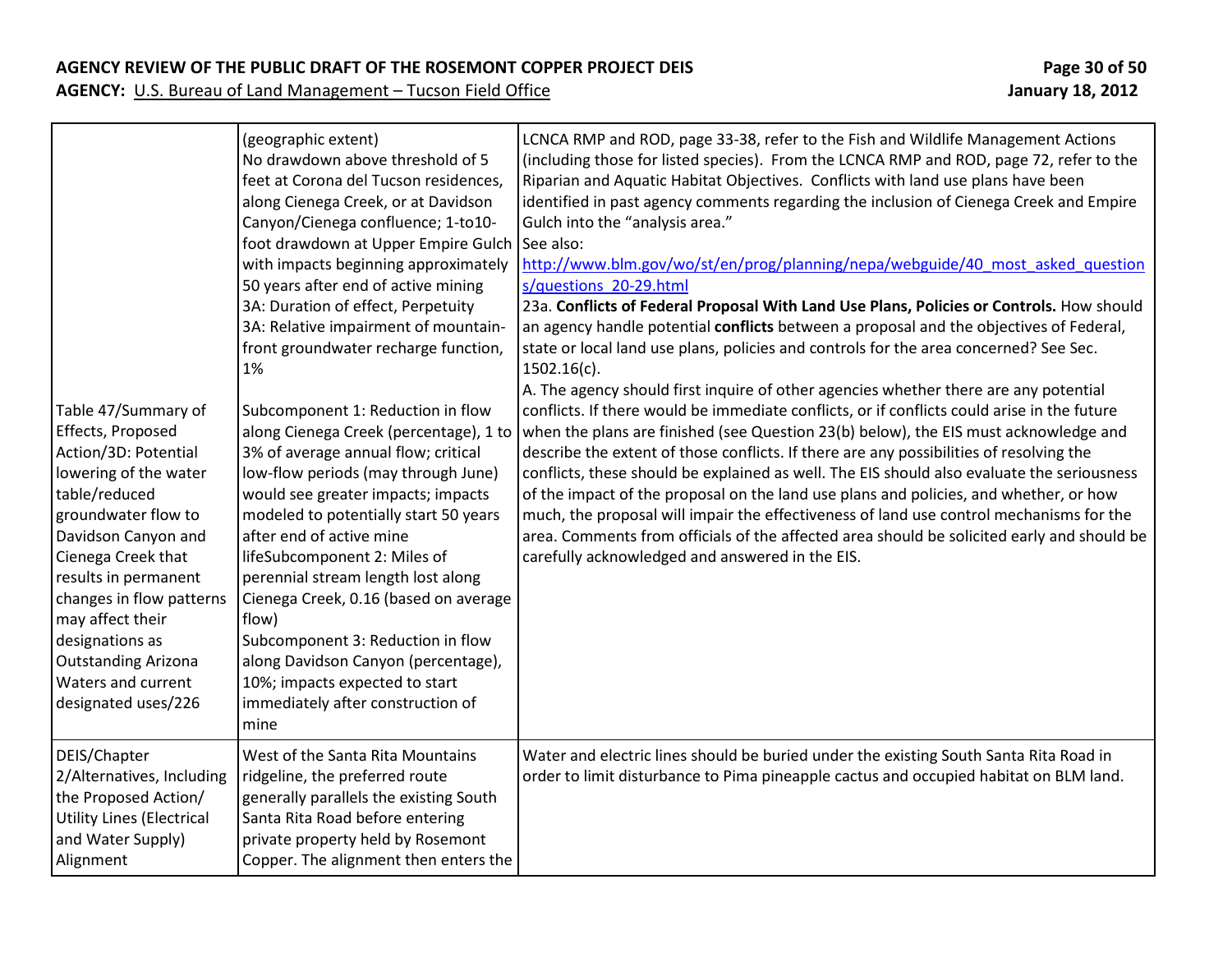| Table 47/Summary of<br>Effects, Proposed<br>Action/3D: Potential<br>lowering of the water<br>table/reduced<br>groundwater flow to<br>Davidson Canyon and<br>Cienega Creek that<br>results in permanent<br>changes in flow patterns<br>may affect their<br>designations as<br><b>Outstanding Arizona</b><br>Waters and current<br>designated uses/226 | (geographic extent)<br>No drawdown above threshold of 5<br>feet at Corona del Tucson residences,<br>along Cienega Creek, or at Davidson<br>Canyon/Cienega confluence; 1-to10-<br>foot drawdown at Upper Empire Gulch<br>with impacts beginning approximately<br>50 years after end of active mining<br>3A: Duration of effect, Perpetuity<br>3A: Relative impairment of mountain-<br>front groundwater recharge function,<br>1%<br>Subcomponent 1: Reduction in flow<br>along Cienega Creek (percentage), 1 to<br>3% of average annual flow; critical<br>low-flow periods (may through June)<br>would see greater impacts; impacts<br>modeled to potentially start 50 years<br>after end of active mine<br>lifeSubcomponent 2: Miles of<br>perennial stream length lost along<br>Cienega Creek, 0.16 (based on average<br>flow)<br>Subcomponent 3: Reduction in flow<br>along Davidson Canyon (percentage),<br>10%; impacts expected to start<br>immediately after construction of<br>mine | LCNCA RMP and ROD, page 33-38, refer to the Fish and Wildlife Management Actions<br>(including those for listed species). From the LCNCA RMP and ROD, page 72, refer to the<br>Riparian and Aquatic Habitat Objectives. Conflicts with land use plans have been<br>identified in past agency comments regarding the inclusion of Cienega Creek and Empire<br>Gulch into the "analysis area."<br>See also:<br>http://www.blm.gov/wo/st/en/prog/planning/nepa/webguide/40 most asked question<br>s/questions 20-29.html<br>23a. Conflicts of Federal Proposal With Land Use Plans, Policies or Controls. How should<br>an agency handle potential conflicts between a proposal and the objectives of Federal,<br>state or local land use plans, policies and controls for the area concerned? See Sec.<br>$1502.16(c)$ .<br>A. The agency should first inquire of other agencies whether there are any potential<br>conflicts. If there would be immediate conflicts, or if conflicts could arise in the future<br>when the plans are finished (see Question 23(b) below), the EIS must acknowledge and<br>describe the extent of those conflicts. If there are any possibilities of resolving the<br>conflicts, these should be explained as well. The EIS should also evaluate the seriousness<br>of the impact of the proposal on the land use plans and policies, and whether, or how<br>much, the proposal will impair the effectiveness of land use control mechanisms for the<br>area. Comments from officials of the affected area should be solicited early and should be<br>carefully acknowledged and answered in the EIS. |
|------------------------------------------------------------------------------------------------------------------------------------------------------------------------------------------------------------------------------------------------------------------------------------------------------------------------------------------------------|--------------------------------------------------------------------------------------------------------------------------------------------------------------------------------------------------------------------------------------------------------------------------------------------------------------------------------------------------------------------------------------------------------------------------------------------------------------------------------------------------------------------------------------------------------------------------------------------------------------------------------------------------------------------------------------------------------------------------------------------------------------------------------------------------------------------------------------------------------------------------------------------------------------------------------------------------------------------------------------------|-------------------------------------------------------------------------------------------------------------------------------------------------------------------------------------------------------------------------------------------------------------------------------------------------------------------------------------------------------------------------------------------------------------------------------------------------------------------------------------------------------------------------------------------------------------------------------------------------------------------------------------------------------------------------------------------------------------------------------------------------------------------------------------------------------------------------------------------------------------------------------------------------------------------------------------------------------------------------------------------------------------------------------------------------------------------------------------------------------------------------------------------------------------------------------------------------------------------------------------------------------------------------------------------------------------------------------------------------------------------------------------------------------------------------------------------------------------------------------------------------------------------------------------------------------------------------------------------------------------------------------------|
| DEIS/Chapter<br>2/Alternatives, Including<br>the Proposed Action/<br><b>Utility Lines (Electrical</b><br>and Water Supply)<br>Alignment                                                                                                                                                                                                              | West of the Santa Rita Mountains<br>ridgeline, the preferred route<br>generally parallels the existing South<br>Santa Rita Road before entering<br>private property held by Rosemont<br>Copper. The alignment then enters the                                                                                                                                                                                                                                                                                                                                                                                                                                                                                                                                                                                                                                                                                                                                                              | Water and electric lines should be buried under the existing South Santa Rita Road in<br>order to limit disturbance to Pima pineapple cactus and occupied habitat on BLM land.                                                                                                                                                                                                                                                                                                                                                                                                                                                                                                                                                                                                                                                                                                                                                                                                                                                                                                                                                                                                                                                                                                                                                                                                                                                                                                                                                                                                                                                      |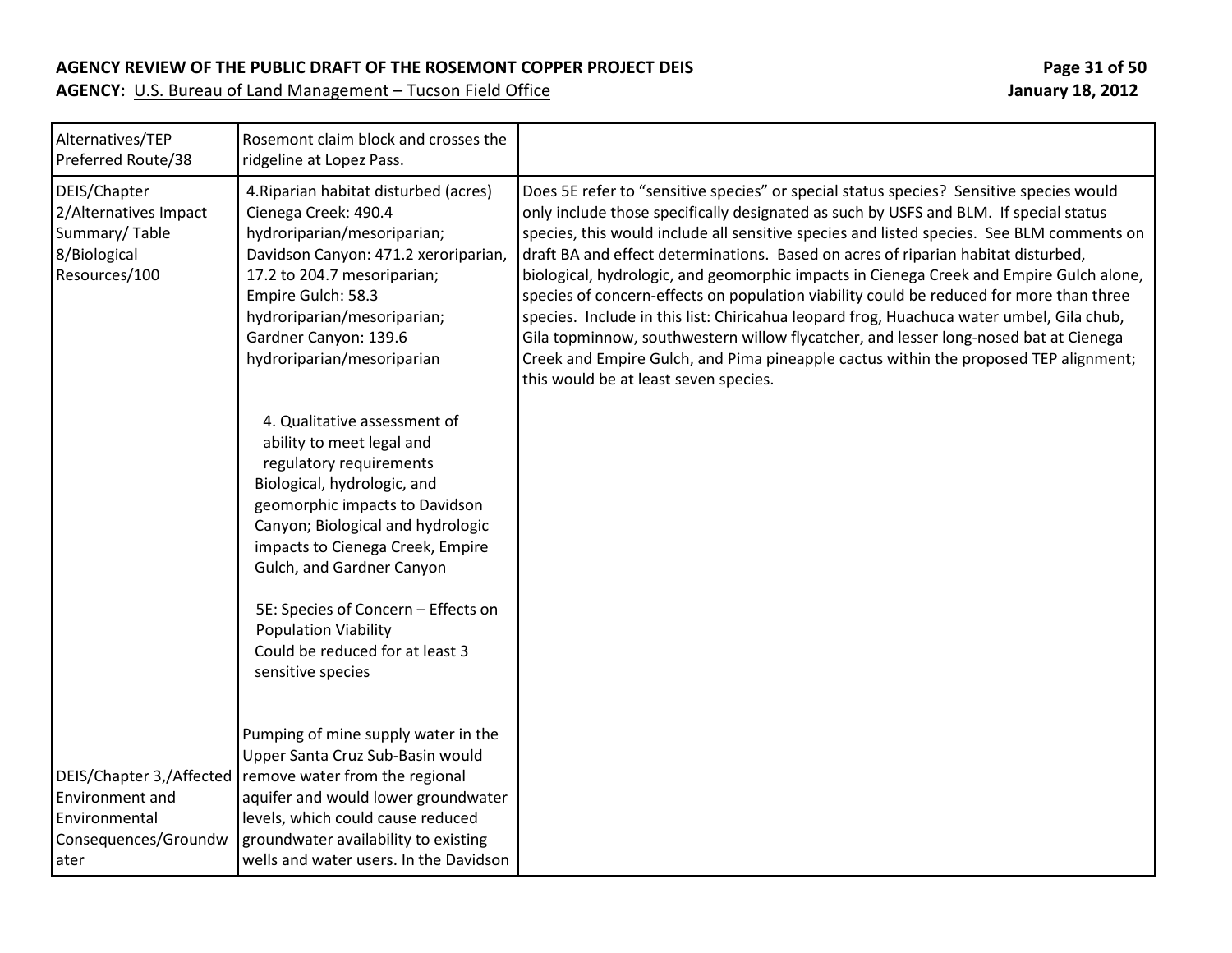| Alternatives/TEP<br>Preferred Route/38                                                       | Rosemont claim block and crosses the<br>ridgeline at Lopez Pass.                                                                                                                                                                                                                |                                                                                                                                                                                                                                                                                                                                                                                                                                                                                                                                                                                                                                                                                                                                                                                                                                                                               |
|----------------------------------------------------------------------------------------------|---------------------------------------------------------------------------------------------------------------------------------------------------------------------------------------------------------------------------------------------------------------------------------|-------------------------------------------------------------------------------------------------------------------------------------------------------------------------------------------------------------------------------------------------------------------------------------------------------------------------------------------------------------------------------------------------------------------------------------------------------------------------------------------------------------------------------------------------------------------------------------------------------------------------------------------------------------------------------------------------------------------------------------------------------------------------------------------------------------------------------------------------------------------------------|
| DEIS/Chapter<br>2/Alternatives Impact<br>Summary/Table<br>8/Biological<br>Resources/100      | 4. Riparian habitat disturbed (acres)<br>Cienega Creek: 490.4<br>hydroriparian/mesoriparian;<br>Davidson Canyon: 471.2 xeroriparian,<br>17.2 to 204.7 mesoriparian;<br>Empire Gulch: 58.3<br>hydroriparian/mesoriparian;<br>Gardner Canyon: 139.6<br>hydroriparian/mesoriparian | Does 5E refer to "sensitive species" or special status species? Sensitive species would<br>only include those specifically designated as such by USFS and BLM. If special status<br>species, this would include all sensitive species and listed species. See BLM comments on<br>draft BA and effect determinations. Based on acres of riparian habitat disturbed,<br>biological, hydrologic, and geomorphic impacts in Cienega Creek and Empire Gulch alone,<br>species of concern-effects on population viability could be reduced for more than three<br>species. Include in this list: Chiricahua leopard frog, Huachuca water umbel, Gila chub,<br>Gila topminnow, southwestern willow flycatcher, and lesser long-nosed bat at Cienega<br>Creek and Empire Gulch, and Pima pineapple cactus within the proposed TEP alignment;<br>this would be at least seven species. |
|                                                                                              | 4. Qualitative assessment of<br>ability to meet legal and<br>regulatory requirements<br>Biological, hydrologic, and<br>geomorphic impacts to Davidson<br>Canyon; Biological and hydrologic<br>impacts to Cienega Creek, Empire<br>Gulch, and Gardner Canyon                     |                                                                                                                                                                                                                                                                                                                                                                                                                                                                                                                                                                                                                                                                                                                                                                                                                                                                               |
|                                                                                              | 5E: Species of Concern - Effects on<br><b>Population Viability</b><br>Could be reduced for at least 3<br>sensitive species                                                                                                                                                      |                                                                                                                                                                                                                                                                                                                                                                                                                                                                                                                                                                                                                                                                                                                                                                                                                                                                               |
| DEIS/Chapter 3,/Affected<br>Environment and<br>Environmental<br>Consequences/Groundw<br>ater | Pumping of mine supply water in the<br>Upper Santa Cruz Sub-Basin would<br>remove water from the regional<br>aquifer and would lower groundwater<br>levels, which could cause reduced<br>groundwater availability to existing<br>wells and water users. In the Davidson         |                                                                                                                                                                                                                                                                                                                                                                                                                                                                                                                                                                                                                                                                                                                                                                                                                                                                               |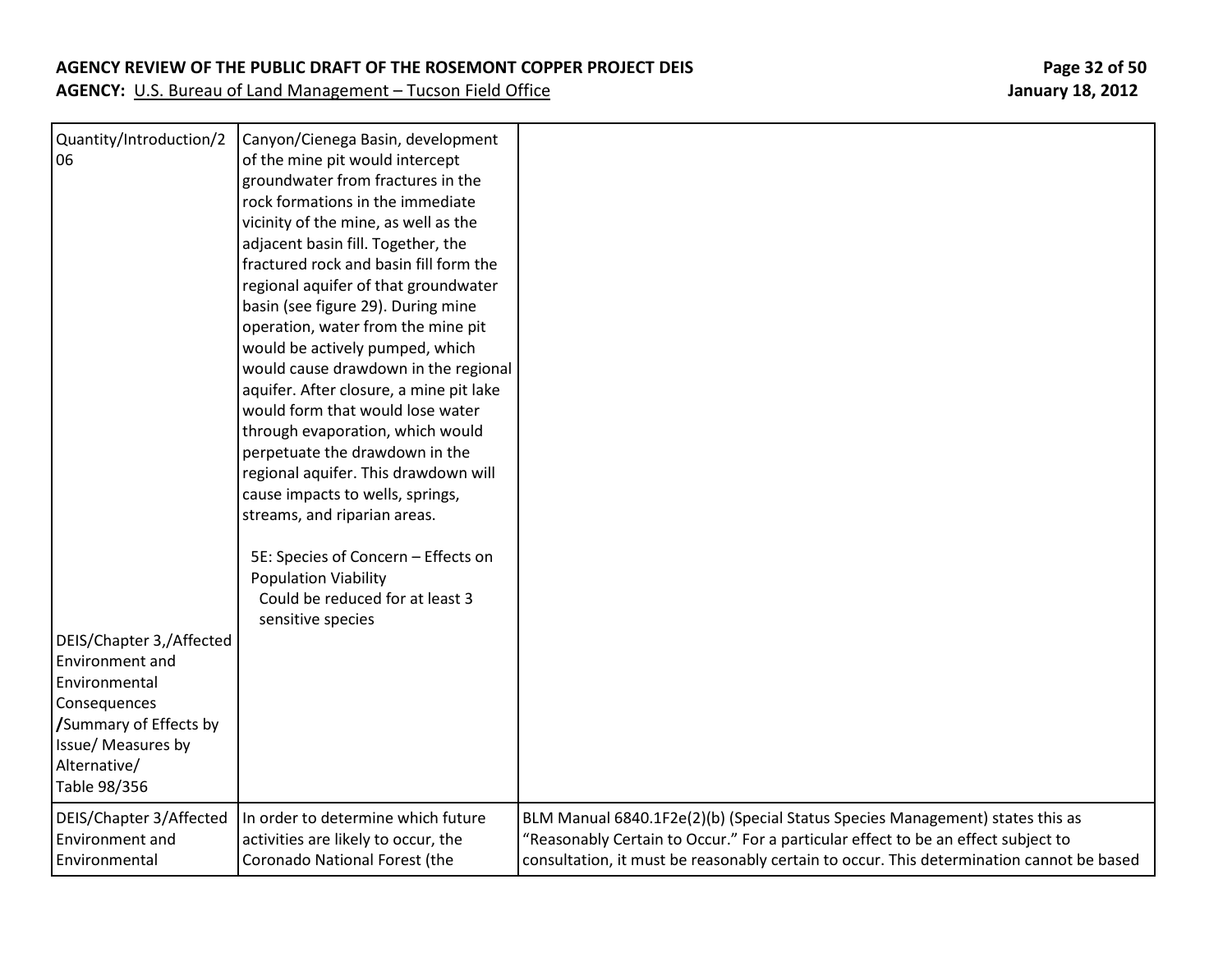#### **AGENCY REVIEW OF THE PUBLIC DRAFT OF THE ROSEMONT COPPER PROJECT DEIS Page 32 of 50**

**AGENCY:** U.S. Bureau of Land Management – Tucson Field Office **January 18, 2012** January 18, 2012

Quantity/Introduction/2 06 DEIS/Chapter 3,/Affected Environment and Environmental **Consequences /**Summary of Effects by Issue/ Measures by Alternative/ Table 98/356 Canyon/Cienega Basin, development of the mine pit would intercept groundwater from fractures in the rock formations in the immediate vicinity of the mine, as well as the adjacent basin fill. Together, the fractured rock and basin fill form the regional aquifer of that groundwater basin (see figure 29). During mine operation, water from the mine pit would be actively pumped, which would cause drawdown in the regional aquifer. After closure, a mine pit lake would form that would lose water through evaporation, which would perpetuate the drawdown in the regional aquifer. This drawdown will cause impacts to wells, springs, streams, and riparian areas. 5E: Species of Concern – Effects on Population Viability Could be reduced for at least 3 sensitive species DEIS/Chapter 3/Affected Environment and Environmental In order to determine which future activities are likely to occur, the Coronado National Forest (the BLM Manual 6840.1F2e(2)(b) (Special Status Species Management) states this as "Reasonably Certain to Occur." For a particular effect to be an effect subject to consultation, it must be reasonably certain to occur. This determination cannot be based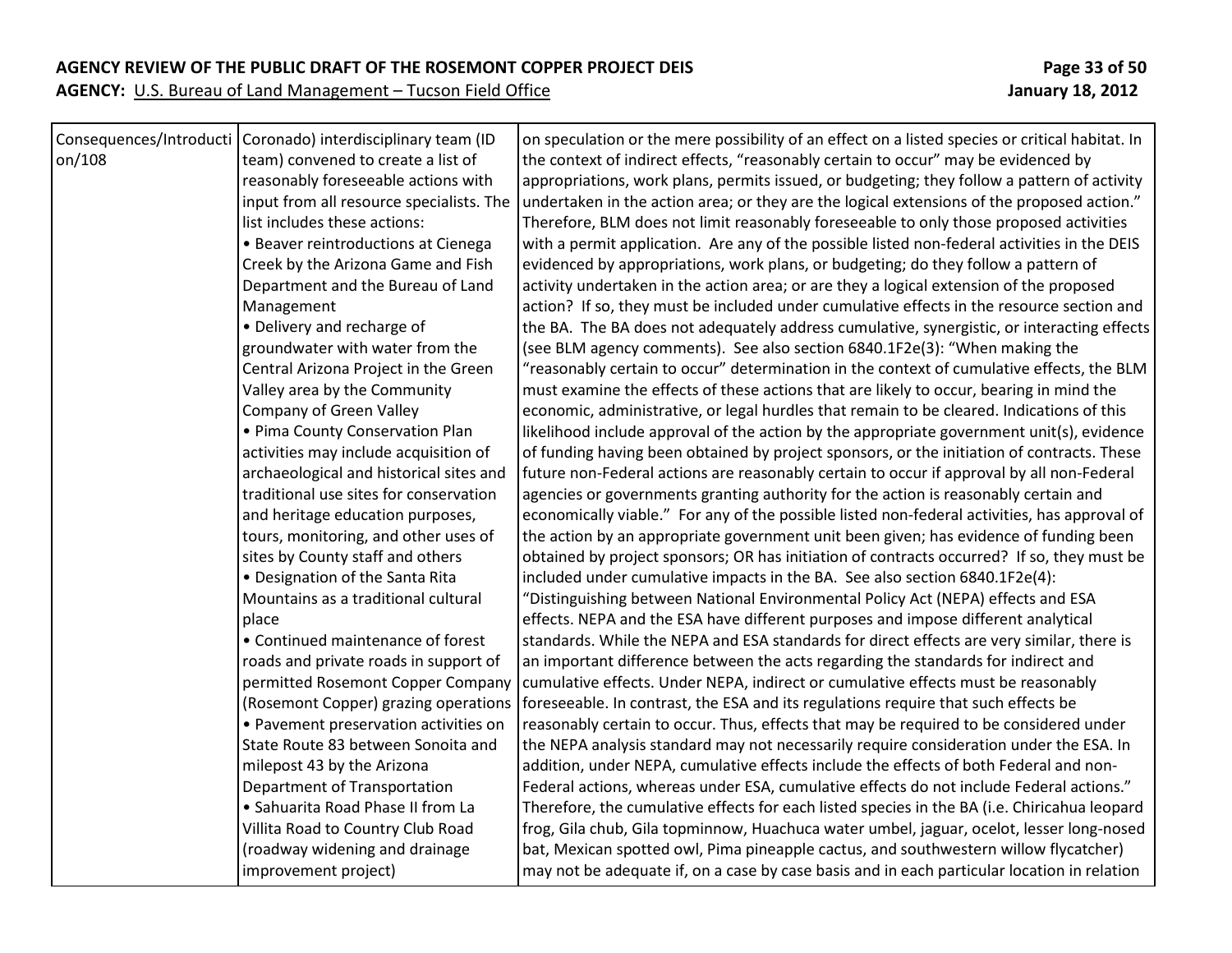### **AGENCY REVIEW OF THE PUBLIC DRAFT OF THE ROSEMONT COPPER PROJECT DEIS Page 33 of 50**

|        | Consequences/Introducti   Coronado) interdisciplinary team (ID | on speculation or the mere possibility of an effect on a listed species or critical habitat. In |
|--------|----------------------------------------------------------------|-------------------------------------------------------------------------------------------------|
| on/108 | team) convened to create a list of                             | the context of indirect effects, "reasonably certain to occur" may be evidenced by              |
|        | reasonably foreseeable actions with                            | appropriations, work plans, permits issued, or budgeting; they follow a pattern of activity     |
|        | input from all resource specialists. The                       | undertaken in the action area; or they are the logical extensions of the proposed action."      |
|        | list includes these actions:                                   | Therefore, BLM does not limit reasonably foreseeable to only those proposed activities          |
|        | • Beaver reintroductions at Cienega                            | with a permit application. Are any of the possible listed non-federal activities in the DEIS    |
|        | Creek by the Arizona Game and Fish                             | evidenced by appropriations, work plans, or budgeting; do they follow a pattern of              |
|        | Department and the Bureau of Land                              | activity undertaken in the action area; or are they a logical extension of the proposed         |
|        | Management                                                     | action? If so, they must be included under cumulative effects in the resource section and       |
|        | • Delivery and recharge of                                     | the BA. The BA does not adequately address cumulative, synergistic, or interacting effects      |
|        | groundwater with water from the                                | (see BLM agency comments). See also section 6840.1F2e(3): "When making the                      |
|        | Central Arizona Project in the Green                           | "reasonably certain to occur" determination in the context of cumulative effects, the BLM       |
|        | Valley area by the Community                                   | must examine the effects of these actions that are likely to occur, bearing in mind the         |
|        | Company of Green Valley                                        | economic, administrative, or legal hurdles that remain to be cleared. Indications of this       |
|        | • Pima County Conservation Plan                                | likelihood include approval of the action by the appropriate government unit(s), evidence       |
|        | activities may include acquisition of                          | of funding having been obtained by project sponsors, or the initiation of contracts. These      |
|        | archaeological and historical sites and                        | future non-Federal actions are reasonably certain to occur if approval by all non-Federal       |
|        | traditional use sites for conservation                         | agencies or governments granting authority for the action is reasonably certain and             |
|        | and heritage education purposes,                               | economically viable." For any of the possible listed non-federal activities, has approval of    |
|        | tours, monitoring, and other uses of                           | the action by an appropriate government unit been given; has evidence of funding been           |
|        | sites by County staff and others                               | obtained by project sponsors; OR has initiation of contracts occurred? If so, they must be      |
|        | • Designation of the Santa Rita                                | included under cumulative impacts in the BA. See also section 6840.1F2e(4):                     |
|        | Mountains as a traditional cultural                            | "Distinguishing between National Environmental Policy Act (NEPA) effects and ESA                |
|        | place                                                          | effects. NEPA and the ESA have different purposes and impose different analytical               |
|        | • Continued maintenance of forest                              | standards. While the NEPA and ESA standards for direct effects are very similar, there is       |
|        | roads and private roads in support of                          | an important difference between the acts regarding the standards for indirect and               |
|        | permitted Rosemont Copper Company                              | cumulative effects. Under NEPA, indirect or cumulative effects must be reasonably               |
|        | (Rosemont Copper) grazing operations                           | foreseeable. In contrast, the ESA and its regulations require that such effects be              |
|        | • Pavement preservation activities on                          | reasonably certain to occur. Thus, effects that may be required to be considered under          |
|        | State Route 83 between Sonoita and                             | the NEPA analysis standard may not necessarily require consideration under the ESA. In          |
|        | milepost 43 by the Arizona                                     | addition, under NEPA, cumulative effects include the effects of both Federal and non-           |
|        | Department of Transportation                                   | Federal actions, whereas under ESA, cumulative effects do not include Federal actions."         |
|        | · Sahuarita Road Phase II from La                              | Therefore, the cumulative effects for each listed species in the BA (i.e. Chiricahua leopard    |
|        | Villita Road to Country Club Road                              | frog, Gila chub, Gila topminnow, Huachuca water umbel, jaguar, ocelot, lesser long-nosed        |
|        | (roadway widening and drainage                                 | bat, Mexican spotted owl, Pima pineapple cactus, and southwestern willow flycatcher)            |
|        | improvement project)                                           | may not be adequate if, on a case by case basis and in each particular location in relation     |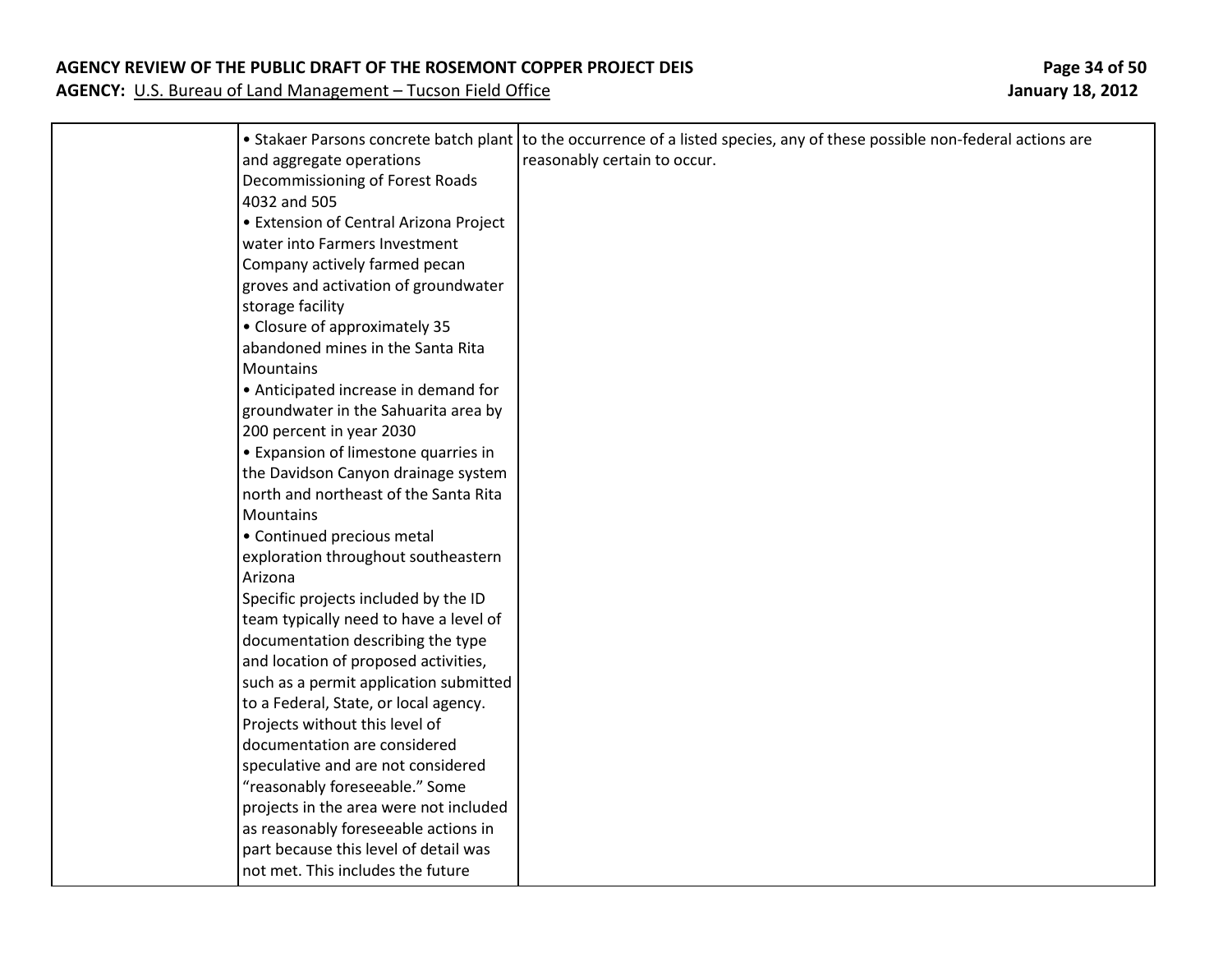#### **AGENCY REVIEW OF THE PUBLIC DRAFT OF THE ROSEMONT COPPER PROJECT DEIS Page 34 of 50**

|                                                             | • Stakaer Parsons concrete batch plant to the occurrence of a listed species, any of these possible non-federal actions are |
|-------------------------------------------------------------|-----------------------------------------------------------------------------------------------------------------------------|
| and aggregate operations<br>Decommissioning of Forest Roads | reasonably certain to occur.                                                                                                |
| 4032 and 505                                                |                                                                                                                             |
| • Extension of Central Arizona Project                      |                                                                                                                             |
| water into Farmers Investment                               |                                                                                                                             |
| Company actively farmed pecan                               |                                                                                                                             |
| groves and activation of groundwater                        |                                                                                                                             |
| storage facility                                            |                                                                                                                             |
| • Closure of approximately 35                               |                                                                                                                             |
| abandoned mines in the Santa Rita                           |                                                                                                                             |
| Mountains                                                   |                                                                                                                             |
| • Anticipated increase in demand for                        |                                                                                                                             |
| groundwater in the Sahuarita area by                        |                                                                                                                             |
| 200 percent in year 2030                                    |                                                                                                                             |
| • Expansion of limestone quarries in                        |                                                                                                                             |
| the Davidson Canyon drainage system                         |                                                                                                                             |
| north and northeast of the Santa Rita                       |                                                                                                                             |
| Mountains                                                   |                                                                                                                             |
| • Continued precious metal                                  |                                                                                                                             |
| exploration throughout southeastern                         |                                                                                                                             |
| Arizona                                                     |                                                                                                                             |
| Specific projects included by the ID                        |                                                                                                                             |
| team typically need to have a level of                      |                                                                                                                             |
| documentation describing the type                           |                                                                                                                             |
| and location of proposed activities,                        |                                                                                                                             |
| such as a permit application submitted                      |                                                                                                                             |
| to a Federal, State, or local agency.                       |                                                                                                                             |
| Projects without this level of                              |                                                                                                                             |
| documentation are considered                                |                                                                                                                             |
| speculative and are not considered                          |                                                                                                                             |
| "reasonably foreseeable." Some                              |                                                                                                                             |
| projects in the area were not included                      |                                                                                                                             |
| as reasonably foreseeable actions in                        |                                                                                                                             |
| part because this level of detail was                       |                                                                                                                             |
| not met. This includes the future                           |                                                                                                                             |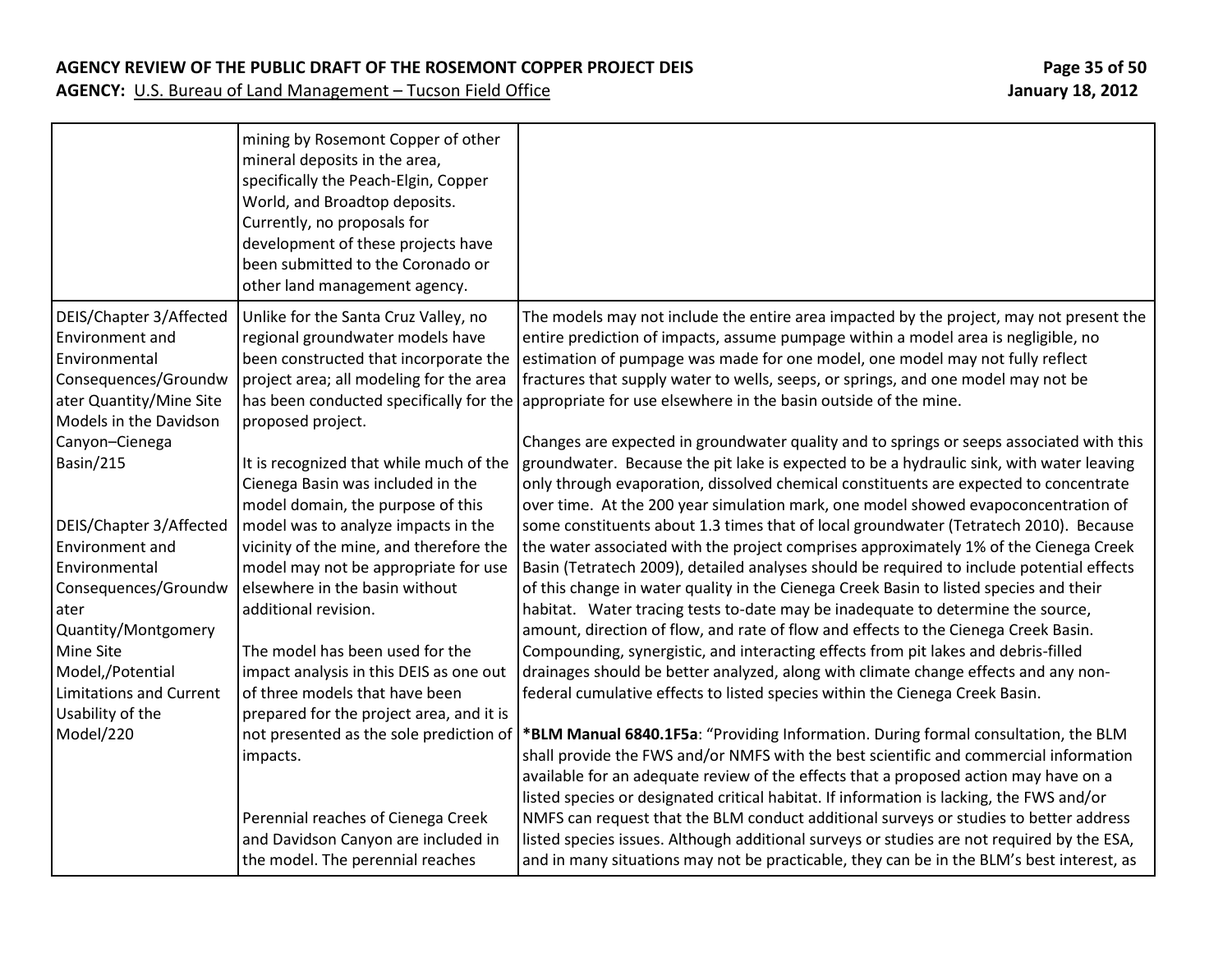### **AGENCY REVIEW OF THE PUBLIC DRAFT OF THE ROSEMONT COPPER PROJECT DEIS Page 35 of 50**

|                                          | mining by Rosemont Copper of other<br>mineral deposits in the area,<br>specifically the Peach-Elgin, Copper<br>World, and Broadtop deposits.<br>Currently, no proposals for<br>development of these projects have<br>been submitted to the Coronado or<br>other land management agency. |                                                                                                         |
|------------------------------------------|-----------------------------------------------------------------------------------------------------------------------------------------------------------------------------------------------------------------------------------------------------------------------------------------|---------------------------------------------------------------------------------------------------------|
| DEIS/Chapter 3/Affected                  | Unlike for the Santa Cruz Valley, no                                                                                                                                                                                                                                                    | The models may not include the entire area impacted by the project, may not present the                 |
| Environment and                          | regional groundwater models have                                                                                                                                                                                                                                                        | entire prediction of impacts, assume pumpage within a model area is negligible, no                      |
| Environmental                            | been constructed that incorporate the                                                                                                                                                                                                                                                   | estimation of pumpage was made for one model, one model may not fully reflect                           |
| Consequences/Groundw                     | project area; all modeling for the area                                                                                                                                                                                                                                                 | fractures that supply water to wells, seeps, or springs, and one model may not be                       |
| ater Quantity/Mine Site                  |                                                                                                                                                                                                                                                                                         | has been conducted specifically for the appropriate for use elsewhere in the basin outside of the mine. |
| Models in the Davidson<br>Canyon-Cienega | proposed project.                                                                                                                                                                                                                                                                       | Changes are expected in groundwater quality and to springs or seeps associated with this                |
| Basin/215                                | It is recognized that while much of the                                                                                                                                                                                                                                                 | groundwater. Because the pit lake is expected to be a hydraulic sink, with water leaving                |
|                                          | Cienega Basin was included in the                                                                                                                                                                                                                                                       | only through evaporation, dissolved chemical constituents are expected to concentrate                   |
|                                          | model domain, the purpose of this                                                                                                                                                                                                                                                       | over time. At the 200 year simulation mark, one model showed evapoconcentration of                      |
| DEIS/Chapter 3/Affected                  | model was to analyze impacts in the                                                                                                                                                                                                                                                     | some constituents about 1.3 times that of local groundwater (Tetratech 2010). Because                   |
| Environment and                          | vicinity of the mine, and therefore the                                                                                                                                                                                                                                                 | the water associated with the project comprises approximately 1% of the Cienega Creek                   |
| Environmental                            | model may not be appropriate for use                                                                                                                                                                                                                                                    | Basin (Tetratech 2009), detailed analyses should be required to include potential effects               |
| Consequences/Groundw                     | elsewhere in the basin without                                                                                                                                                                                                                                                          | of this change in water quality in the Cienega Creek Basin to listed species and their                  |
| ater                                     | additional revision.                                                                                                                                                                                                                                                                    | habitat. Water tracing tests to-date may be inadequate to determine the source,                         |
| Quantity/Montgomery                      |                                                                                                                                                                                                                                                                                         | amount, direction of flow, and rate of flow and effects to the Cienega Creek Basin.                     |
| Mine Site                                | The model has been used for the                                                                                                                                                                                                                                                         | Compounding, synergistic, and interacting effects from pit lakes and debris-filled                      |
| Model,/Potential                         | impact analysis in this DEIS as one out                                                                                                                                                                                                                                                 | drainages should be better analyzed, along with climate change effects and any non-                     |
| <b>Limitations and Current</b>           | of three models that have been                                                                                                                                                                                                                                                          | federal cumulative effects to listed species within the Cienega Creek Basin.                            |
| Usability of the                         | prepared for the project area, and it is                                                                                                                                                                                                                                                |                                                                                                         |
| Model/220                                | not presented as the sole prediction of                                                                                                                                                                                                                                                 | *BLM Manual 6840.1F5a: "Providing Information. During formal consultation, the BLM                      |
|                                          | impacts.                                                                                                                                                                                                                                                                                | shall provide the FWS and/or NMFS with the best scientific and commercial information                   |
|                                          |                                                                                                                                                                                                                                                                                         | available for an adequate review of the effects that a proposed action may have on a                    |
|                                          |                                                                                                                                                                                                                                                                                         | listed species or designated critical habitat. If information is lacking, the FWS and/or                |
|                                          | Perennial reaches of Cienega Creek                                                                                                                                                                                                                                                      | NMFS can request that the BLM conduct additional surveys or studies to better address                   |
|                                          | and Davidson Canyon are included in                                                                                                                                                                                                                                                     | listed species issues. Although additional surveys or studies are not required by the ESA,              |
|                                          | the model. The perennial reaches                                                                                                                                                                                                                                                        | and in many situations may not be practicable, they can be in the BLM's best interest, as               |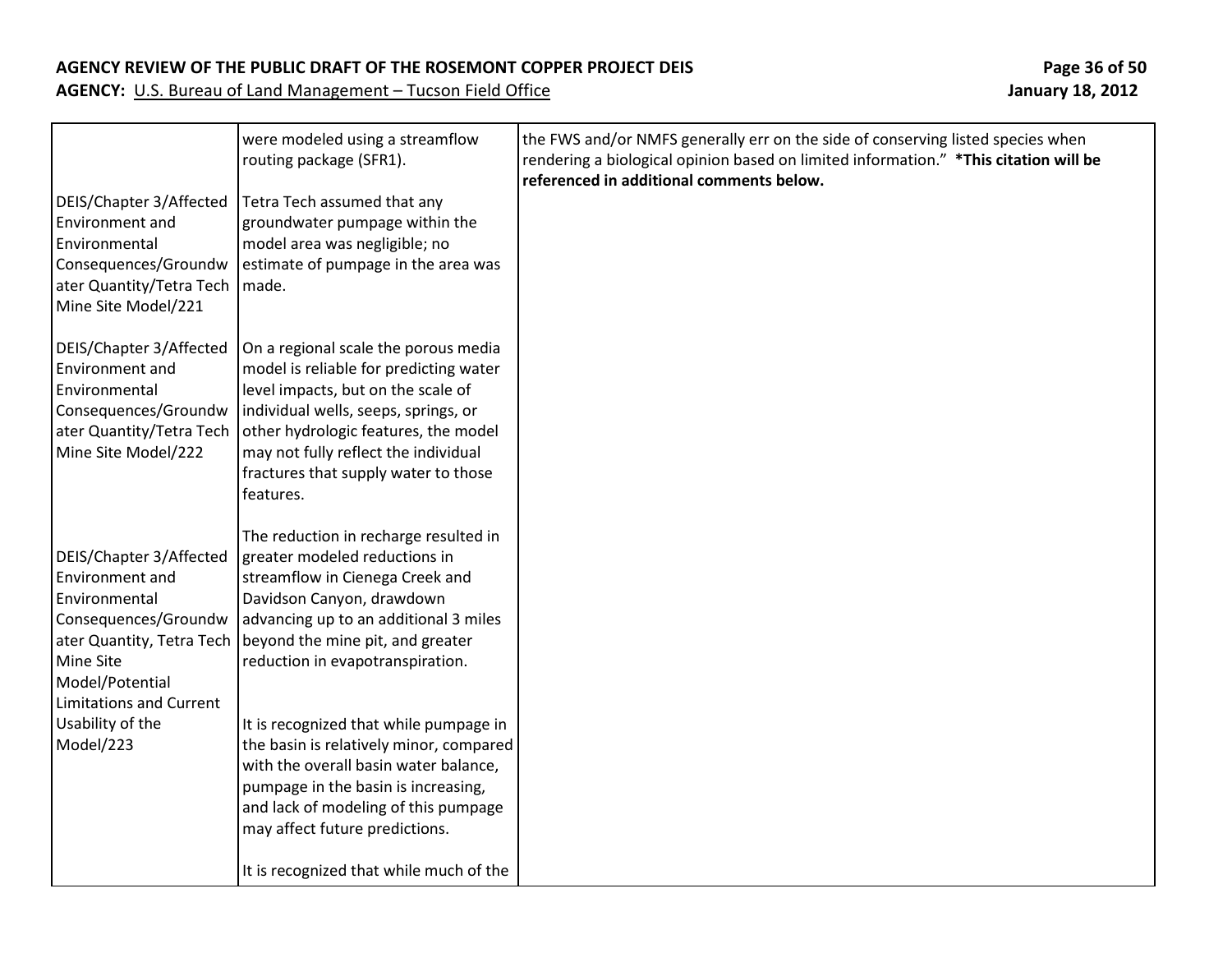| DEIS/Chapter 3/Affected                                                                                                                               | were modeled using a streamflow<br>routing package (SFR1).<br>Tetra Tech assumed that any                                                                                                                                                                                                                                    | the FWS and/or NMFS generally err on the side of conserving listed species when<br>rendering a biological opinion based on limited information." *This citation will be<br>referenced in additional comments below. |
|-------------------------------------------------------------------------------------------------------------------------------------------------------|------------------------------------------------------------------------------------------------------------------------------------------------------------------------------------------------------------------------------------------------------------------------------------------------------------------------------|---------------------------------------------------------------------------------------------------------------------------------------------------------------------------------------------------------------------|
| Environment and<br>Environmental<br>Consequences/Groundw<br>ater Quantity/Tetra Tech   made.<br>Mine Site Model/221                                   | groundwater pumpage within the<br>model area was negligible; no<br>estimate of pumpage in the area was                                                                                                                                                                                                                       |                                                                                                                                                                                                                     |
| DEIS/Chapter 3/Affected<br>Environment and<br>Environmental<br>Consequences/Groundw<br>Mine Site Model/222                                            | On a regional scale the porous media<br>model is reliable for predicting water<br>level impacts, but on the scale of<br>individual wells, seeps, springs, or<br>ater Quantity/Tetra Tech   other hydrologic features, the model<br>may not fully reflect the individual<br>fractures that supply water to those<br>features. |                                                                                                                                                                                                                     |
| DEIS/Chapter 3/Affected<br>Environment and<br>Environmental<br>Consequences/Groundw<br>Mine Site<br>Model/Potential<br><b>Limitations and Current</b> | The reduction in recharge resulted in<br>greater modeled reductions in<br>streamflow in Cienega Creek and<br>Davidson Canyon, drawdown<br>advancing up to an additional 3 miles<br>ater Quantity, Tetra Tech   beyond the mine pit, and greater<br>reduction in evapotranspiration.                                          |                                                                                                                                                                                                                     |
| Usability of the<br>Model/223                                                                                                                         | It is recognized that while pumpage in<br>the basin is relatively minor, compared<br>with the overall basin water balance,<br>pumpage in the basin is increasing,<br>and lack of modeling of this pumpage<br>may affect future predictions.<br>It is recognized that while much of the                                       |                                                                                                                                                                                                                     |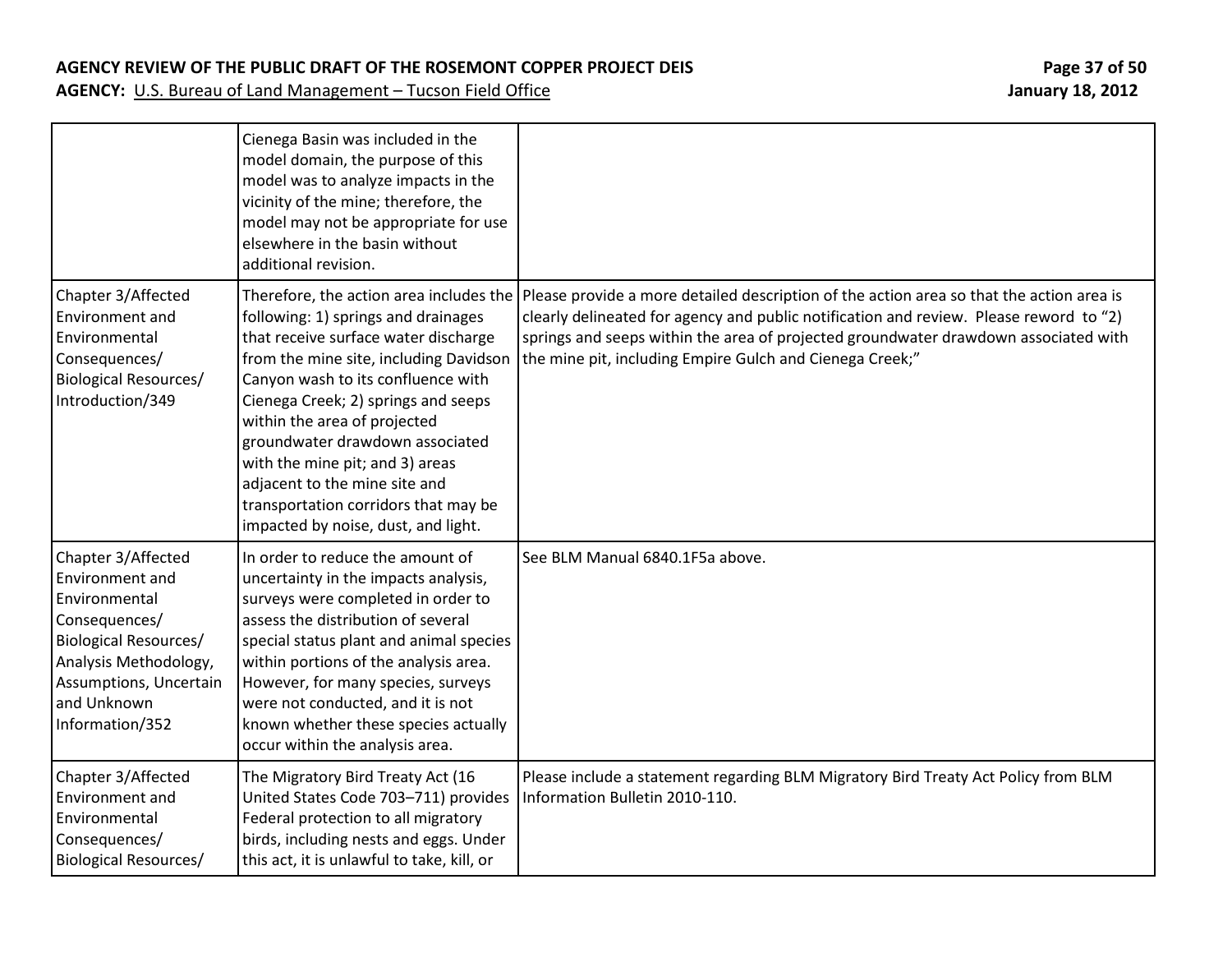### **AGENCY REVIEW OF THE PUBLIC DRAFT OF THE ROSEMONT COPPER PROJECT DEIS Page 37 of 50**

|                                                                                                                                                                                       | Cienega Basin was included in the<br>model domain, the purpose of this<br>model was to analyze impacts in the<br>vicinity of the mine; therefore, the<br>model may not be appropriate for use<br>elsewhere in the basin without<br>additional revision.                                                                                                                                                                                                             |                                                                                                                                                                                                                                                                                                                                       |
|---------------------------------------------------------------------------------------------------------------------------------------------------------------------------------------|---------------------------------------------------------------------------------------------------------------------------------------------------------------------------------------------------------------------------------------------------------------------------------------------------------------------------------------------------------------------------------------------------------------------------------------------------------------------|---------------------------------------------------------------------------------------------------------------------------------------------------------------------------------------------------------------------------------------------------------------------------------------------------------------------------------------|
| Chapter 3/Affected<br>Environment and<br>Environmental<br>Consequences/<br><b>Biological Resources/</b><br>Introduction/349                                                           | Therefore, the action area includes the<br>following: 1) springs and drainages<br>that receive surface water discharge<br>from the mine site, including Davidson<br>Canyon wash to its confluence with<br>Cienega Creek; 2) springs and seeps<br>within the area of projected<br>groundwater drawdown associated<br>with the mine pit; and 3) areas<br>adjacent to the mine site and<br>transportation corridors that may be<br>impacted by noise, dust, and light. | Please provide a more detailed description of the action area so that the action area is<br>clearly delineated for agency and public notification and review. Please reword to "2)<br>springs and seeps within the area of projected groundwater drawdown associated with<br>the mine pit, including Empire Gulch and Cienega Creek;" |
| Chapter 3/Affected<br>Environment and<br>Environmental<br>Consequences/<br>Biological Resources/<br>Analysis Methodology,<br>Assumptions, Uncertain<br>and Unknown<br>Information/352 | In order to reduce the amount of<br>uncertainty in the impacts analysis,<br>surveys were completed in order to<br>assess the distribution of several<br>special status plant and animal species<br>within portions of the analysis area.<br>However, for many species, surveys<br>were not conducted, and it is not<br>known whether these species actually<br>occur within the analysis area.                                                                      | See BLM Manual 6840.1F5a above.                                                                                                                                                                                                                                                                                                       |
| Chapter 3/Affected<br>Environment and<br>Environmental<br>Consequences/<br><b>Biological Resources/</b>                                                                               | The Migratory Bird Treaty Act (16<br>United States Code 703-711) provides<br>Federal protection to all migratory<br>birds, including nests and eggs. Under<br>this act, it is unlawful to take, kill, or                                                                                                                                                                                                                                                            | Please include a statement regarding BLM Migratory Bird Treaty Act Policy from BLM<br>Information Bulletin 2010-110.                                                                                                                                                                                                                  |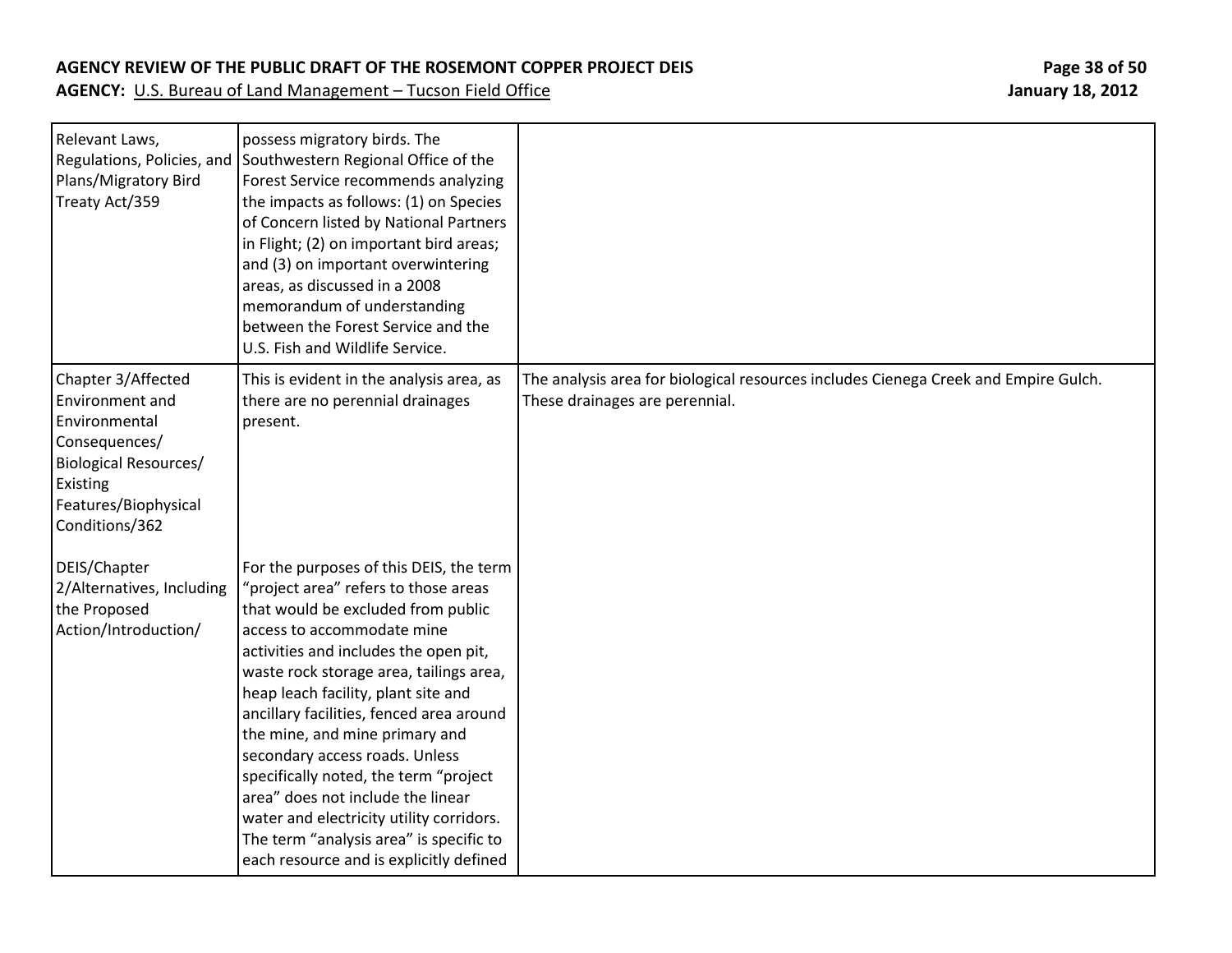### **AGENCY REVIEW OF THE PUBLIC DRAFT OF THE ROSEMONT COPPER PROJECT DEIS Page 38 of 50**

| Relevant Laws,<br>Regulations, Policies, and<br>Plans/Migratory Bird<br>Treaty Act/359                                                                               | possess migratory birds. The<br>Southwestern Regional Office of the<br>Forest Service recommends analyzing<br>the impacts as follows: (1) on Species<br>of Concern listed by National Partners<br>in Flight; (2) on important bird areas;<br>and (3) on important overwintering<br>areas, as discussed in a 2008<br>memorandum of understanding<br>between the Forest Service and the<br>U.S. Fish and Wildlife Service.                                                                                                                                                                                       |                                                                                                                       |
|----------------------------------------------------------------------------------------------------------------------------------------------------------------------|----------------------------------------------------------------------------------------------------------------------------------------------------------------------------------------------------------------------------------------------------------------------------------------------------------------------------------------------------------------------------------------------------------------------------------------------------------------------------------------------------------------------------------------------------------------------------------------------------------------|-----------------------------------------------------------------------------------------------------------------------|
| Chapter 3/Affected<br><b>Environment and</b><br>Environmental<br>Consequences/<br><b>Biological Resources/</b><br>Existing<br>Features/Biophysical<br>Conditions/362 | This is evident in the analysis area, as<br>there are no perennial drainages<br>present.                                                                                                                                                                                                                                                                                                                                                                                                                                                                                                                       | The analysis area for biological resources includes Cienega Creek and Empire Gulch.<br>These drainages are perennial. |
| DEIS/Chapter<br>2/Alternatives, Including<br>the Proposed<br>Action/Introduction/                                                                                    | For the purposes of this DEIS, the term<br>"project area" refers to those areas<br>that would be excluded from public<br>access to accommodate mine<br>activities and includes the open pit,<br>waste rock storage area, tailings area,<br>heap leach facility, plant site and<br>ancillary facilities, fenced area around<br>the mine, and mine primary and<br>secondary access roads. Unless<br>specifically noted, the term "project<br>area" does not include the linear<br>water and electricity utility corridors.<br>The term "analysis area" is specific to<br>each resource and is explicitly defined |                                                                                                                       |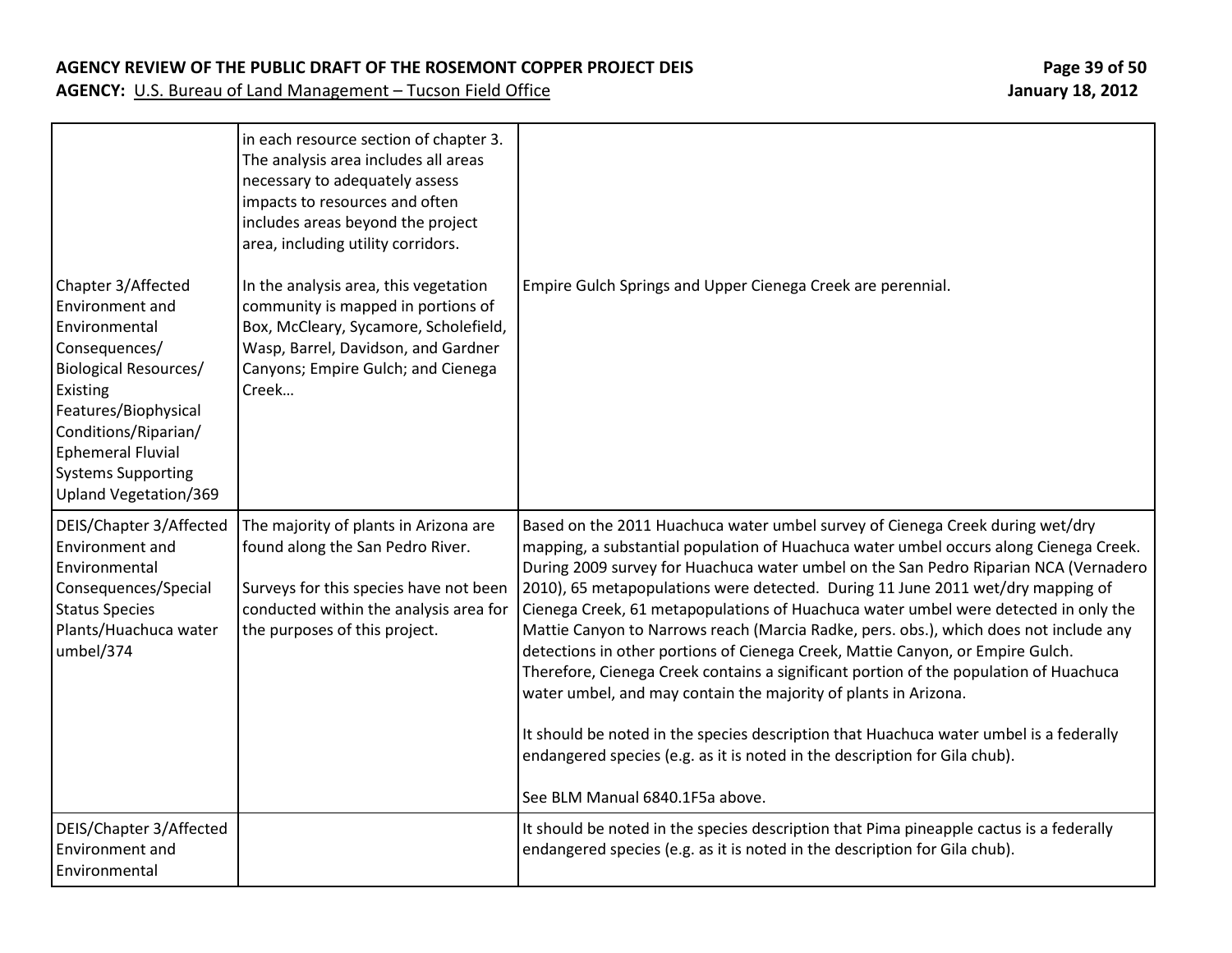| Chapter 3/Affected                                                                                                                                                                                                              | in each resource section of chapter 3.<br>The analysis area includes all areas<br>necessary to adequately assess<br>impacts to resources and often<br>includes areas beyond the project<br>area, including utility corridors.<br>In the analysis area, this vegetation | Empire Gulch Springs and Upper Cienega Creek are perennial.                                                                                                                                                                                                                                                                                                                                                                                                                                                                                                                                                                                                                                                                                                                                                                                                                                                                                                                                |
|---------------------------------------------------------------------------------------------------------------------------------------------------------------------------------------------------------------------------------|------------------------------------------------------------------------------------------------------------------------------------------------------------------------------------------------------------------------------------------------------------------------|--------------------------------------------------------------------------------------------------------------------------------------------------------------------------------------------------------------------------------------------------------------------------------------------------------------------------------------------------------------------------------------------------------------------------------------------------------------------------------------------------------------------------------------------------------------------------------------------------------------------------------------------------------------------------------------------------------------------------------------------------------------------------------------------------------------------------------------------------------------------------------------------------------------------------------------------------------------------------------------------|
| Environment and<br>Environmental<br>Consequences/<br><b>Biological Resources/</b><br>Existing<br>Features/Biophysical<br>Conditions/Riparian/<br><b>Ephemeral Fluvial</b><br><b>Systems Supporting</b><br>Upland Vegetation/369 | community is mapped in portions of<br>Box, McCleary, Sycamore, Scholefield,<br>Wasp, Barrel, Davidson, and Gardner<br>Canyons; Empire Gulch; and Cienega<br>Creek                                                                                                      |                                                                                                                                                                                                                                                                                                                                                                                                                                                                                                                                                                                                                                                                                                                                                                                                                                                                                                                                                                                            |
| DEIS/Chapter 3/Affected<br>Environment and<br>Environmental<br>Consequences/Special<br><b>Status Species</b><br>Plants/Huachuca water<br>umbel/374                                                                              | The majority of plants in Arizona are<br>found along the San Pedro River.<br>Surveys for this species have not been<br>conducted within the analysis area for<br>the purposes of this project.                                                                         | Based on the 2011 Huachuca water umbel survey of Cienega Creek during wet/dry<br>mapping, a substantial population of Huachuca water umbel occurs along Cienega Creek.<br>During 2009 survey for Huachuca water umbel on the San Pedro Riparian NCA (Vernadero<br>2010), 65 metapopulations were detected. During 11 June 2011 wet/dry mapping of<br>Cienega Creek, 61 metapopulations of Huachuca water umbel were detected in only the<br>Mattie Canyon to Narrows reach (Marcia Radke, pers. obs.), which does not include any<br>detections in other portions of Cienega Creek, Mattie Canyon, or Empire Gulch.<br>Therefore, Cienega Creek contains a significant portion of the population of Huachuca<br>water umbel, and may contain the majority of plants in Arizona.<br>It should be noted in the species description that Huachuca water umbel is a federally<br>endangered species (e.g. as it is noted in the description for Gila chub).<br>See BLM Manual 6840.1F5a above. |
| DEIS/Chapter 3/Affected<br>Environment and<br>Environmental                                                                                                                                                                     |                                                                                                                                                                                                                                                                        | It should be noted in the species description that Pima pineapple cactus is a federally<br>endangered species (e.g. as it is noted in the description for Gila chub).                                                                                                                                                                                                                                                                                                                                                                                                                                                                                                                                                                                                                                                                                                                                                                                                                      |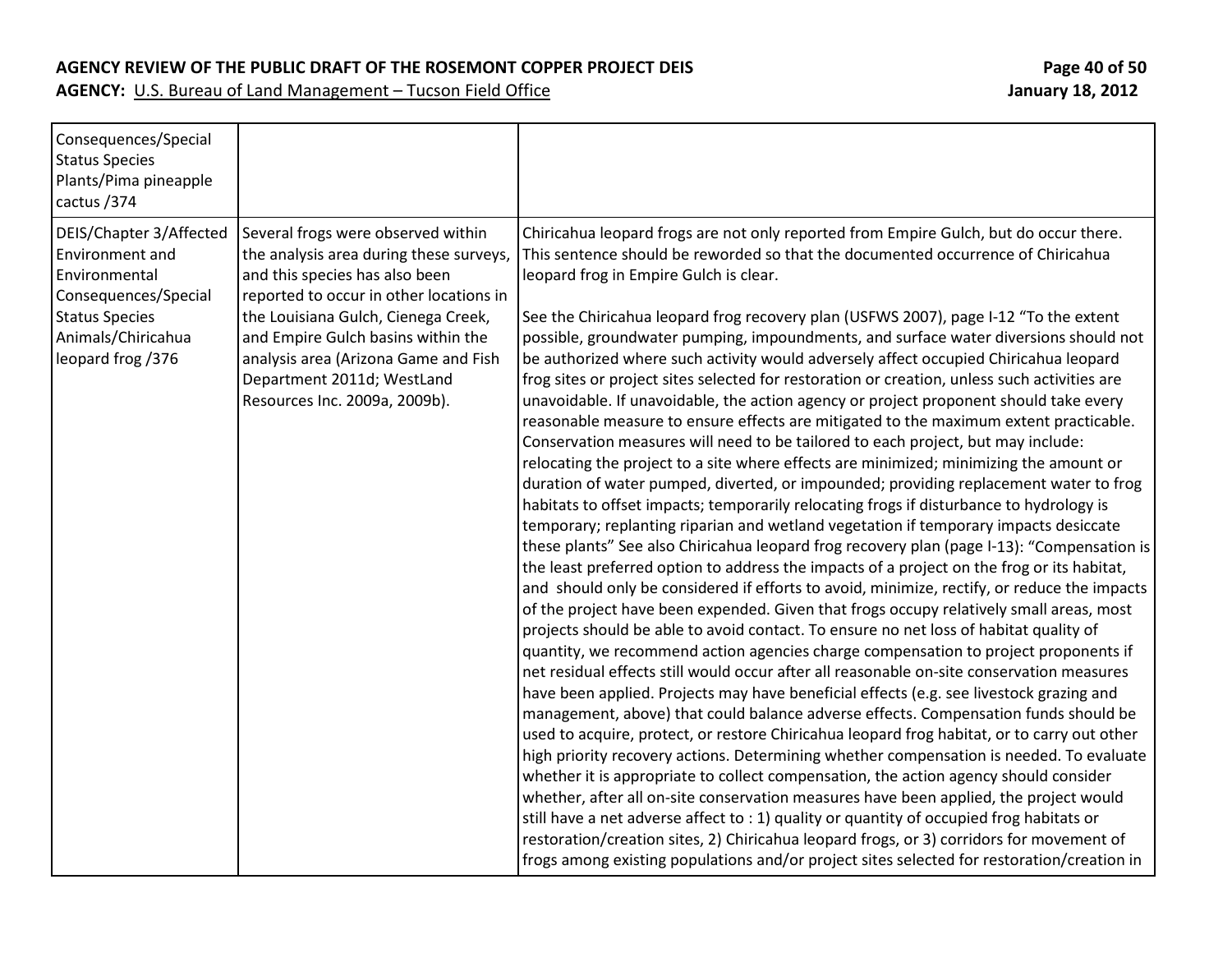#### **AGENCY REVIEW OF THE PUBLIC DRAFT OF THE ROSEMONT COPPER PROJECT DEIS Page 40 of 50**

| Consequences/Special<br><b>Status Species</b><br>Plants/Pima pineapple<br>cactus / 374                                                                  |                                                                                                                                                                                                                                                                                                                                                |                                                                                                                                                                                                                                                                                                                                                                                                                                                                                                                                                                                                                                                                                                                                                                                                                                                                                                                                                                                                                                                                                                                                                                                                                                                                                                                                                                                                                                                                                                                                                                                                                                                                                                                                                                                                                                                                                                                                                                                                                                                                                                                                                                                                                                                                                                                                                                                                                                                                                                                                                                                                                                                                                                                                                               |
|---------------------------------------------------------------------------------------------------------------------------------------------------------|------------------------------------------------------------------------------------------------------------------------------------------------------------------------------------------------------------------------------------------------------------------------------------------------------------------------------------------------|---------------------------------------------------------------------------------------------------------------------------------------------------------------------------------------------------------------------------------------------------------------------------------------------------------------------------------------------------------------------------------------------------------------------------------------------------------------------------------------------------------------------------------------------------------------------------------------------------------------------------------------------------------------------------------------------------------------------------------------------------------------------------------------------------------------------------------------------------------------------------------------------------------------------------------------------------------------------------------------------------------------------------------------------------------------------------------------------------------------------------------------------------------------------------------------------------------------------------------------------------------------------------------------------------------------------------------------------------------------------------------------------------------------------------------------------------------------------------------------------------------------------------------------------------------------------------------------------------------------------------------------------------------------------------------------------------------------------------------------------------------------------------------------------------------------------------------------------------------------------------------------------------------------------------------------------------------------------------------------------------------------------------------------------------------------------------------------------------------------------------------------------------------------------------------------------------------------------------------------------------------------------------------------------------------------------------------------------------------------------------------------------------------------------------------------------------------------------------------------------------------------------------------------------------------------------------------------------------------------------------------------------------------------------------------------------------------------------------------------------------------------|
| DEIS/Chapter 3/Affected<br>Environment and<br>Environmental<br>Consequences/Special<br><b>Status Species</b><br>Animals/Chiricahua<br>leopard frog /376 | Several frogs were observed within<br>the analysis area during these surveys,<br>and this species has also been<br>reported to occur in other locations in<br>the Louisiana Gulch, Cienega Creek,<br>and Empire Gulch basins within the<br>analysis area (Arizona Game and Fish<br>Department 2011d; WestLand<br>Resources Inc. 2009a, 2009b). | Chiricahua leopard frogs are not only reported from Empire Gulch, but do occur there.<br>This sentence should be reworded so that the documented occurrence of Chiricahua<br>leopard frog in Empire Gulch is clear.<br>See the Chiricahua leopard frog recovery plan (USFWS 2007), page I-12 "To the extent<br>possible, groundwater pumping, impoundments, and surface water diversions should not<br>be authorized where such activity would adversely affect occupied Chiricahua leopard<br>frog sites or project sites selected for restoration or creation, unless such activities are<br>unavoidable. If unavoidable, the action agency or project proponent should take every<br>reasonable measure to ensure effects are mitigated to the maximum extent practicable.<br>Conservation measures will need to be tailored to each project, but may include:<br>relocating the project to a site where effects are minimized; minimizing the amount or<br>duration of water pumped, diverted, or impounded; providing replacement water to frog<br>habitats to offset impacts; temporarily relocating frogs if disturbance to hydrology is<br>temporary; replanting riparian and wetland vegetation if temporary impacts desiccate<br>these plants" See also Chiricahua leopard frog recovery plan (page I-13): "Compensation is<br>the least preferred option to address the impacts of a project on the frog or its habitat,<br>and should only be considered if efforts to avoid, minimize, rectify, or reduce the impacts<br>of the project have been expended. Given that frogs occupy relatively small areas, most<br>projects should be able to avoid contact. To ensure no net loss of habitat quality of<br>quantity, we recommend action agencies charge compensation to project proponents if<br>net residual effects still would occur after all reasonable on-site conservation measures<br>have been applied. Projects may have beneficial effects (e.g. see livestock grazing and<br>management, above) that could balance adverse effects. Compensation funds should be<br>used to acquire, protect, or restore Chiricahua leopard frog habitat, or to carry out other<br>high priority recovery actions. Determining whether compensation is needed. To evaluate<br>whether it is appropriate to collect compensation, the action agency should consider<br>whether, after all on-site conservation measures have been applied, the project would<br>still have a net adverse affect to : 1) quality or quantity of occupied frog habitats or<br>restoration/creation sites, 2) Chiricahua leopard frogs, or 3) corridors for movement of<br>frogs among existing populations and/or project sites selected for restoration/creation in |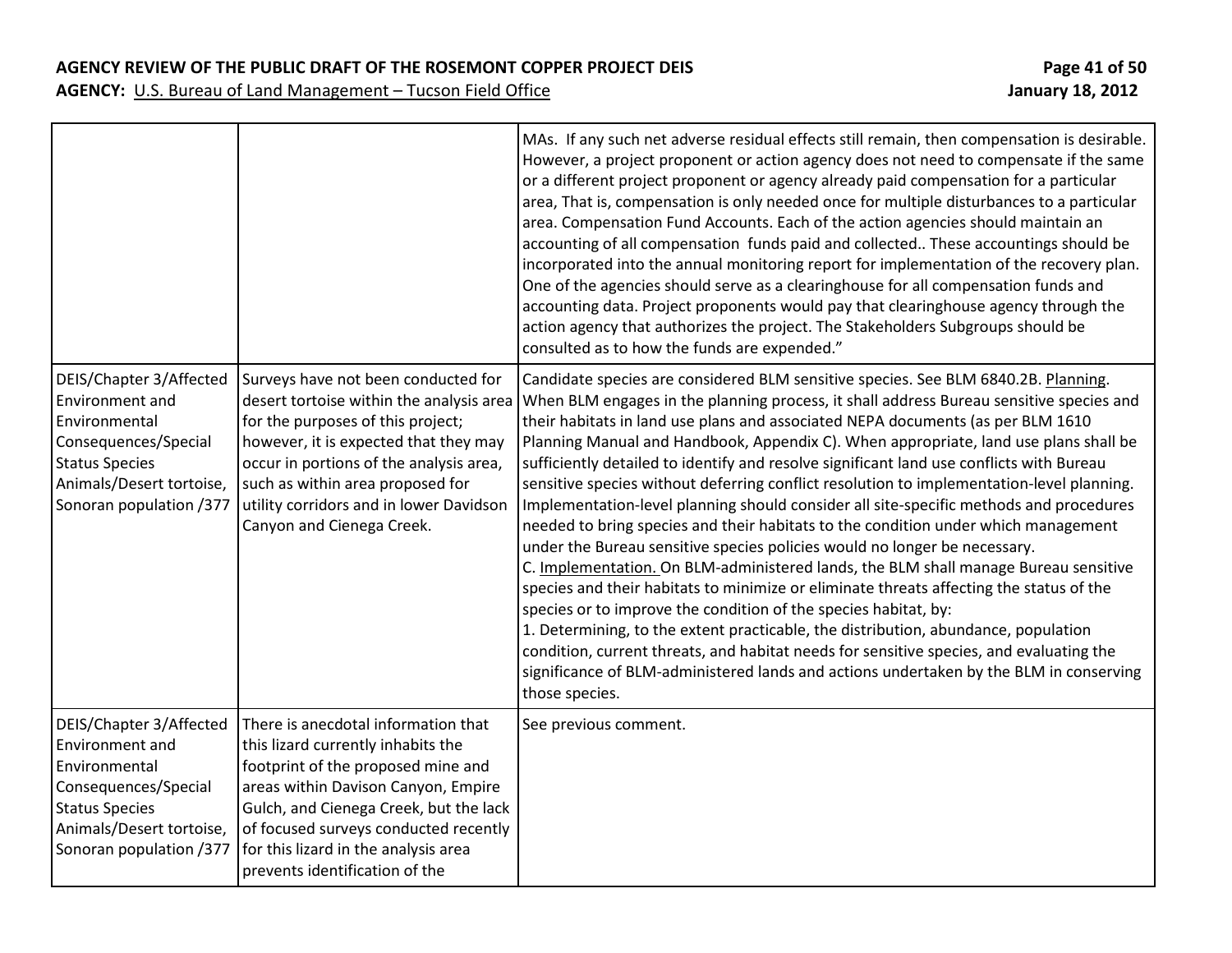|                                                                                                                                                                     |                                                                                                                                                                                                                                                                                                                      | MAs. If any such net adverse residual effects still remain, then compensation is desirable.<br>However, a project proponent or action agency does not need to compensate if the same<br>or a different project proponent or agency already paid compensation for a particular<br>area, That is, compensation is only needed once for multiple disturbances to a particular<br>area. Compensation Fund Accounts. Each of the action agencies should maintain an<br>accounting of all compensation funds paid and collected These accountings should be<br>incorporated into the annual monitoring report for implementation of the recovery plan.<br>One of the agencies should serve as a clearinghouse for all compensation funds and<br>accounting data. Project proponents would pay that clearinghouse agency through the<br>action agency that authorizes the project. The Stakeholders Subgroups should be<br>consulted as to how the funds are expended."                                                                                                                                                                                                                                                                                                                                                                                                 |
|---------------------------------------------------------------------------------------------------------------------------------------------------------------------|----------------------------------------------------------------------------------------------------------------------------------------------------------------------------------------------------------------------------------------------------------------------------------------------------------------------|------------------------------------------------------------------------------------------------------------------------------------------------------------------------------------------------------------------------------------------------------------------------------------------------------------------------------------------------------------------------------------------------------------------------------------------------------------------------------------------------------------------------------------------------------------------------------------------------------------------------------------------------------------------------------------------------------------------------------------------------------------------------------------------------------------------------------------------------------------------------------------------------------------------------------------------------------------------------------------------------------------------------------------------------------------------------------------------------------------------------------------------------------------------------------------------------------------------------------------------------------------------------------------------------------------------------------------------------------------------|
| DEIS/Chapter 3/Affected<br>Environment and<br>Environmental<br>Consequences/Special<br><b>Status Species</b><br>Animals/Desert tortoise,<br>Sonoran population /377 | Surveys have not been conducted for<br>desert tortoise within the analysis area<br>for the purposes of this project;<br>however, it is expected that they may<br>occur in portions of the analysis area,<br>such as within area proposed for<br>utility corridors and in lower Davidson<br>Canyon and Cienega Creek. | Candidate species are considered BLM sensitive species. See BLM 6840.2B. Planning.<br>When BLM engages in the planning process, it shall address Bureau sensitive species and<br>their habitats in land use plans and associated NEPA documents (as per BLM 1610<br>Planning Manual and Handbook, Appendix C). When appropriate, land use plans shall be<br>sufficiently detailed to identify and resolve significant land use conflicts with Bureau<br>sensitive species without deferring conflict resolution to implementation-level planning.<br>Implementation-level planning should consider all site-specific methods and procedures<br>needed to bring species and their habitats to the condition under which management<br>under the Bureau sensitive species policies would no longer be necessary.<br>C. Implementation. On BLM-administered lands, the BLM shall manage Bureau sensitive<br>species and their habitats to minimize or eliminate threats affecting the status of the<br>species or to improve the condition of the species habitat, by:<br>1. Determining, to the extent practicable, the distribution, abundance, population<br>condition, current threats, and habitat needs for sensitive species, and evaluating the<br>significance of BLM-administered lands and actions undertaken by the BLM in conserving<br>those species. |
| DEIS/Chapter 3/Affected<br>Environment and<br>Environmental<br>Consequences/Special<br><b>Status Species</b><br>Animals/Desert tortoise,<br>Sonoran population /377 | There is anecdotal information that<br>this lizard currently inhabits the<br>footprint of the proposed mine and<br>areas within Davison Canyon, Empire<br>Gulch, and Cienega Creek, but the lack<br>of focused surveys conducted recently<br>for this lizard in the analysis area<br>prevents identification of the  | See previous comment.                                                                                                                                                                                                                                                                                                                                                                                                                                                                                                                                                                                                                                                                                                                                                                                                                                                                                                                                                                                                                                                                                                                                                                                                                                                                                                                                            |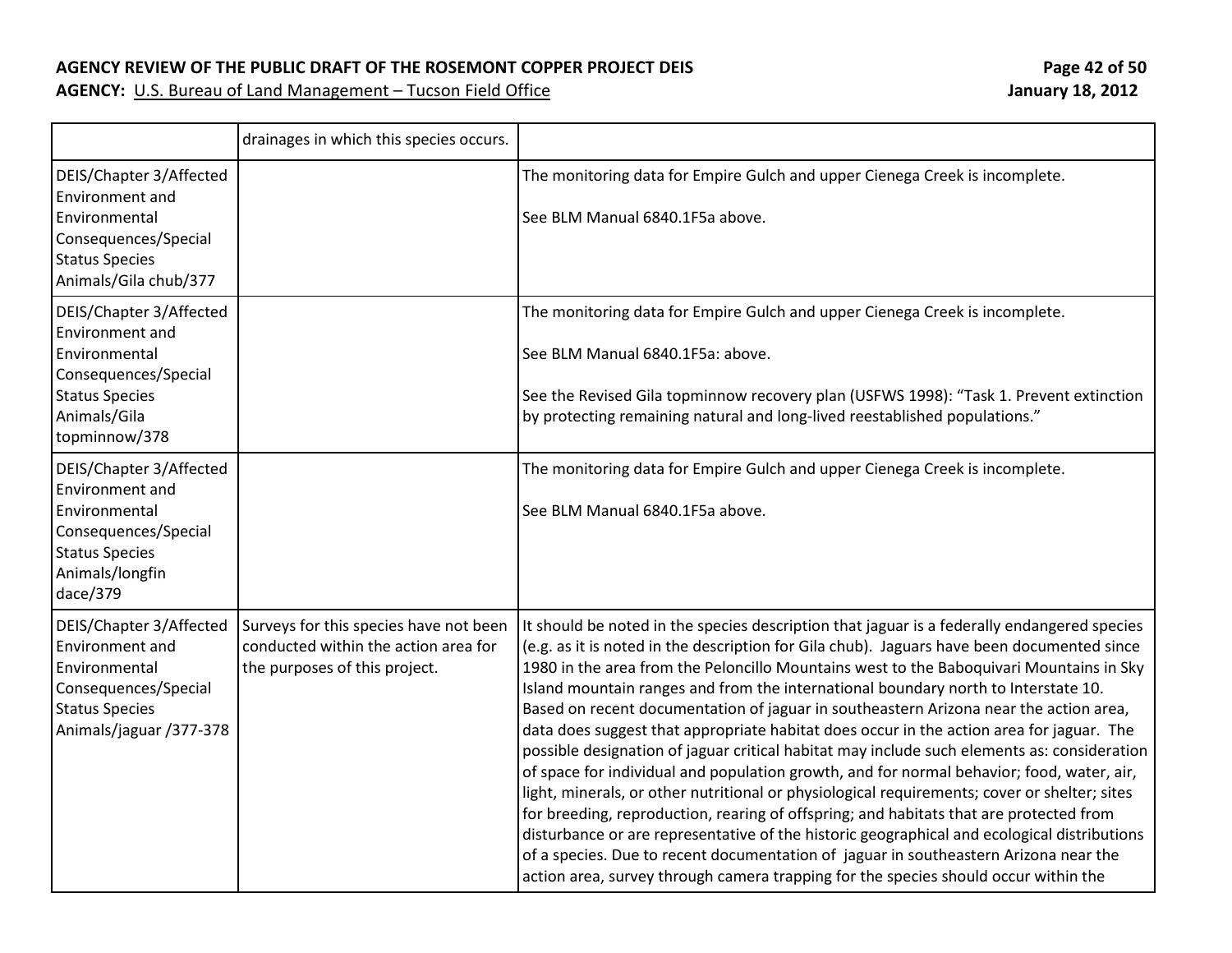### **AGENCY REVIEW OF THE PUBLIC DRAFT OF THE ROSEMONT COPPER PROJECT DEIS Page 42 of 50**

|                                                                                                                                                      | drainages in which this species occurs.                                                                         |                                                                                                                                                                                                                                                                                                                                                                                                                                                                                                                                                                                                                                                                                                                                                                                                                                                                                                                                                                                                                                                                                                                                                                                                                                     |
|------------------------------------------------------------------------------------------------------------------------------------------------------|-----------------------------------------------------------------------------------------------------------------|-------------------------------------------------------------------------------------------------------------------------------------------------------------------------------------------------------------------------------------------------------------------------------------------------------------------------------------------------------------------------------------------------------------------------------------------------------------------------------------------------------------------------------------------------------------------------------------------------------------------------------------------------------------------------------------------------------------------------------------------------------------------------------------------------------------------------------------------------------------------------------------------------------------------------------------------------------------------------------------------------------------------------------------------------------------------------------------------------------------------------------------------------------------------------------------------------------------------------------------|
| DEIS/Chapter 3/Affected<br>Environment and<br>Environmental<br>Consequences/Special<br><b>Status Species</b><br>Animals/Gila chub/377                |                                                                                                                 | The monitoring data for Empire Gulch and upper Cienega Creek is incomplete.<br>See BLM Manual 6840.1F5a above.                                                                                                                                                                                                                                                                                                                                                                                                                                                                                                                                                                                                                                                                                                                                                                                                                                                                                                                                                                                                                                                                                                                      |
| DEIS/Chapter 3/Affected<br><b>Environment and</b><br>Environmental<br>Consequences/Special<br><b>Status Species</b><br>Animals/Gila<br>topminnow/378 |                                                                                                                 | The monitoring data for Empire Gulch and upper Cienega Creek is incomplete.<br>See BLM Manual 6840.1F5a: above.<br>See the Revised Gila topminnow recovery plan (USFWS 1998): "Task 1. Prevent extinction<br>by protecting remaining natural and long-lived reestablished populations."                                                                                                                                                                                                                                                                                                                                                                                                                                                                                                                                                                                                                                                                                                                                                                                                                                                                                                                                             |
| DEIS/Chapter 3/Affected<br><b>Environment and</b><br>Environmental<br>Consequences/Special<br><b>Status Species</b><br>Animals/longfin<br>dace/379   |                                                                                                                 | The monitoring data for Empire Gulch and upper Cienega Creek is incomplete.<br>See BLM Manual 6840.1F5a above.                                                                                                                                                                                                                                                                                                                                                                                                                                                                                                                                                                                                                                                                                                                                                                                                                                                                                                                                                                                                                                                                                                                      |
| DEIS/Chapter 3/Affected<br>Environment and<br>Environmental<br>Consequences/Special<br><b>Status Species</b><br>Animals/jaguar /377-378              | Surveys for this species have not been<br>conducted within the action area for<br>the purposes of this project. | It should be noted in the species description that jaguar is a federally endangered species<br>(e.g. as it is noted in the description for Gila chub). Jaguars have been documented since<br>1980 in the area from the Peloncillo Mountains west to the Baboquivari Mountains in Sky<br>Island mountain ranges and from the international boundary north to Interstate 10.<br>Based on recent documentation of jaguar in southeastern Arizona near the action area,<br>data does suggest that appropriate habitat does occur in the action area for jaguar. The<br>possible designation of jaguar critical habitat may include such elements as: consideration<br>of space for individual and population growth, and for normal behavior; food, water, air,<br>light, minerals, or other nutritional or physiological requirements; cover or shelter; sites<br>for breeding, reproduction, rearing of offspring; and habitats that are protected from<br>disturbance or are representative of the historic geographical and ecological distributions<br>of a species. Due to recent documentation of jaguar in southeastern Arizona near the<br>action area, survey through camera trapping for the species should occur within the |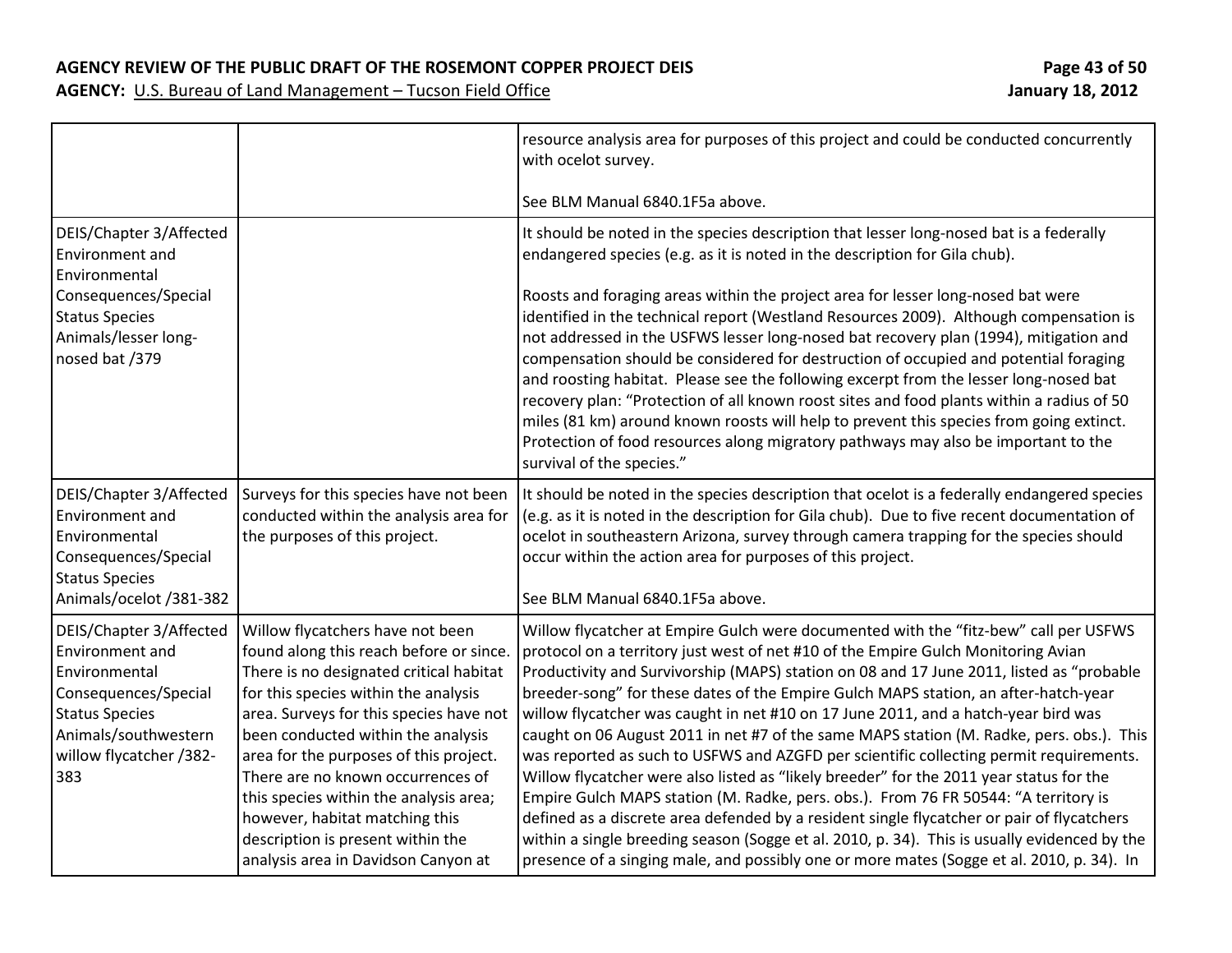**AGENCY REVIEW OF THE PUBLIC DRAFT OF THE ROSEMONT COPPER PROJECT DEIS Page 43 of 50**

| Page 43 of 50           |  |  |
|-------------------------|--|--|
| <b>January 18, 2012</b> |  |  |

|                                                                                                                                                                        |                                                                                                                                                                                                                                                                                                                                                                                                                                                                                        | resource analysis area for purposes of this project and could be conducted concurrently<br>with ocelot survey.                                                                                                                                                                                                                                                                                                                                                                                                                                                                                                                                                                                                                                                                                                                                                                                                                                                                                                                                                                                                        |
|------------------------------------------------------------------------------------------------------------------------------------------------------------------------|----------------------------------------------------------------------------------------------------------------------------------------------------------------------------------------------------------------------------------------------------------------------------------------------------------------------------------------------------------------------------------------------------------------------------------------------------------------------------------------|-----------------------------------------------------------------------------------------------------------------------------------------------------------------------------------------------------------------------------------------------------------------------------------------------------------------------------------------------------------------------------------------------------------------------------------------------------------------------------------------------------------------------------------------------------------------------------------------------------------------------------------------------------------------------------------------------------------------------------------------------------------------------------------------------------------------------------------------------------------------------------------------------------------------------------------------------------------------------------------------------------------------------------------------------------------------------------------------------------------------------|
|                                                                                                                                                                        |                                                                                                                                                                                                                                                                                                                                                                                                                                                                                        | See BLM Manual 6840.1F5a above.                                                                                                                                                                                                                                                                                                                                                                                                                                                                                                                                                                                                                                                                                                                                                                                                                                                                                                                                                                                                                                                                                       |
| DEIS/Chapter 3/Affected<br>Environment and<br>Environmental                                                                                                            |                                                                                                                                                                                                                                                                                                                                                                                                                                                                                        | It should be noted in the species description that lesser long-nosed bat is a federally<br>endangered species (e.g. as it is noted in the description for Gila chub).                                                                                                                                                                                                                                                                                                                                                                                                                                                                                                                                                                                                                                                                                                                                                                                                                                                                                                                                                 |
| Consequences/Special<br><b>Status Species</b><br>Animals/lesser long-<br>nosed bat /379                                                                                |                                                                                                                                                                                                                                                                                                                                                                                                                                                                                        | Roosts and foraging areas within the project area for lesser long-nosed bat were<br>identified in the technical report (Westland Resources 2009). Although compensation is<br>not addressed in the USFWS lesser long-nosed bat recovery plan (1994), mitigation and<br>compensation should be considered for destruction of occupied and potential foraging<br>and roosting habitat. Please see the following excerpt from the lesser long-nosed bat<br>recovery plan: "Protection of all known roost sites and food plants within a radius of 50<br>miles (81 km) around known roosts will help to prevent this species from going extinct.<br>Protection of food resources along migratory pathways may also be important to the<br>survival of the species."                                                                                                                                                                                                                                                                                                                                                       |
| DEIS/Chapter 3/Affected<br>Environment and<br>Environmental<br>Consequences/Special<br><b>Status Species</b><br>Animals/ocelot /381-382                                | Surveys for this species have not been<br>conducted within the analysis area for<br>the purposes of this project.                                                                                                                                                                                                                                                                                                                                                                      | It should be noted in the species description that ocelot is a federally endangered species<br>(e.g. as it is noted in the description for Gila chub). Due to five recent documentation of<br>ocelot in southeastern Arizona, survey through camera trapping for the species should<br>occur within the action area for purposes of this project.<br>See BLM Manual 6840.1F5a above.                                                                                                                                                                                                                                                                                                                                                                                                                                                                                                                                                                                                                                                                                                                                  |
| DEIS/Chapter 3/Affected<br>Environment and<br>Environmental<br>Consequences/Special<br><b>Status Species</b><br>Animals/southwestern<br>willow flycatcher /382-<br>383 | Willow flycatchers have not been<br>found along this reach before or since.<br>There is no designated critical habitat<br>for this species within the analysis<br>area. Surveys for this species have not<br>been conducted within the analysis<br>area for the purposes of this project.<br>There are no known occurrences of<br>this species within the analysis area;<br>however, habitat matching this<br>description is present within the<br>analysis area in Davidson Canyon at | Willow flycatcher at Empire Gulch were documented with the "fitz-bew" call per USFWS<br>protocol on a territory just west of net #10 of the Empire Gulch Monitoring Avian<br>Productivity and Survivorship (MAPS) station on 08 and 17 June 2011, listed as "probable<br>breeder-song" for these dates of the Empire Gulch MAPS station, an after-hatch-year<br>willow flycatcher was caught in net #10 on 17 June 2011, and a hatch-year bird was<br>caught on 06 August 2011 in net #7 of the same MAPS station (M. Radke, pers. obs.). This<br>was reported as such to USFWS and AZGFD per scientific collecting permit requirements.<br>Willow flycatcher were also listed as "likely breeder" for the 2011 year status for the<br>Empire Gulch MAPS station (M. Radke, pers. obs.). From 76 FR 50544: "A territory is<br>defined as a discrete area defended by a resident single flycatcher or pair of flycatchers<br>within a single breeding season (Sogge et al. 2010, p. 34). This is usually evidenced by the<br>presence of a singing male, and possibly one or more mates (Sogge et al. 2010, p. 34). In |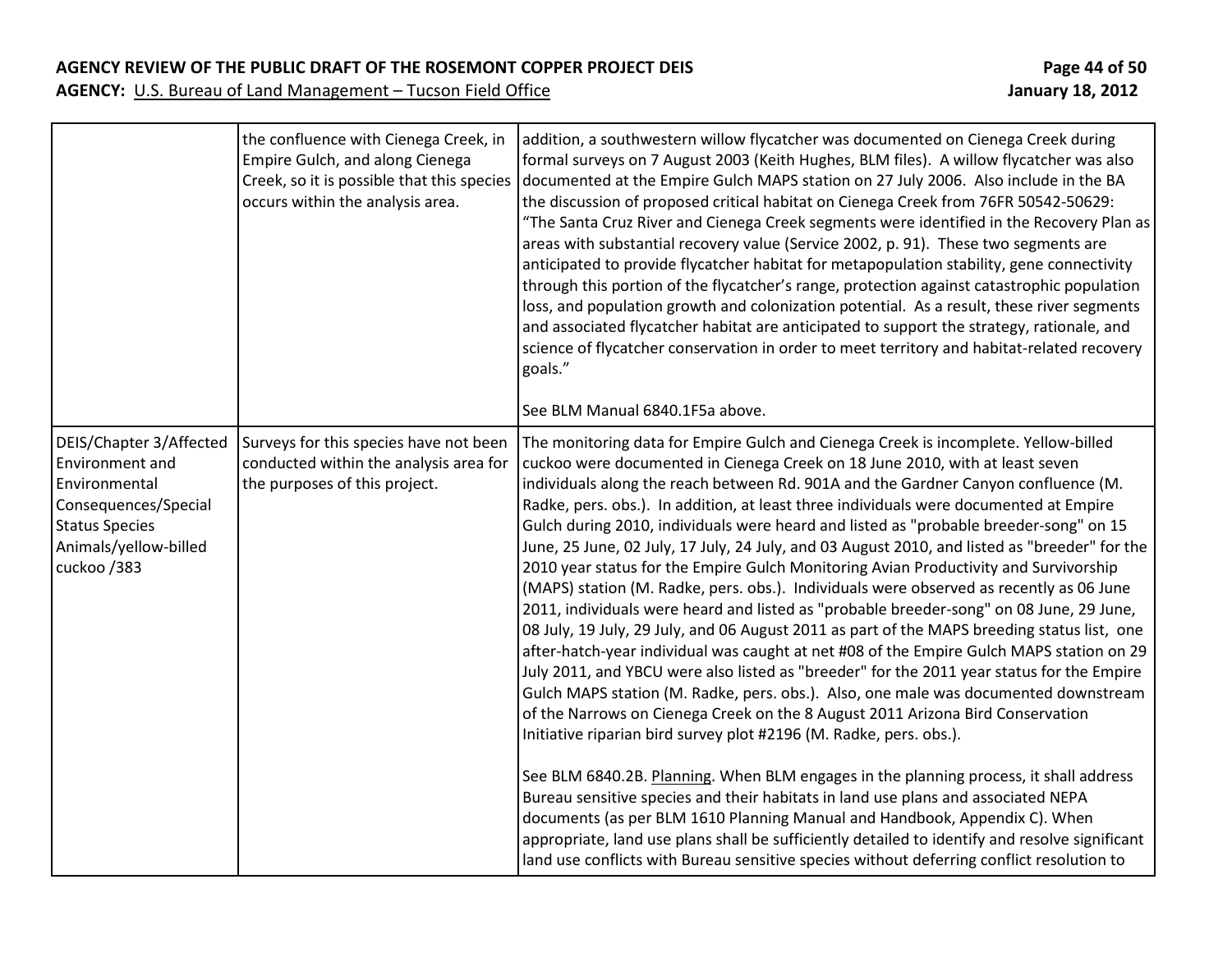### **AGENCY REVIEW OF THE PUBLIC DRAFT OF THE ROSEMONT COPPER PROJECT DEIS Page 44 of 50**

|                                                                                                                                                      | the confluence with Cienega Creek, in<br>Empire Gulch, and along Cienega<br>Creek, so it is possible that this species<br>occurs within the analysis area. | addition, a southwestern willow flycatcher was documented on Cienega Creek during<br>formal surveys on 7 August 2003 (Keith Hughes, BLM files). A willow flycatcher was also<br>documented at the Empire Gulch MAPS station on 27 July 2006. Also include in the BA<br>the discussion of proposed critical habitat on Cienega Creek from 76FR 50542-50629:<br>"The Santa Cruz River and Cienega Creek segments were identified in the Recovery Plan as<br>areas with substantial recovery value (Service 2002, p. 91). These two segments are<br>anticipated to provide flycatcher habitat for metapopulation stability, gene connectivity<br>through this portion of the flycatcher's range, protection against catastrophic population<br>loss, and population growth and colonization potential. As a result, these river segments<br>and associated flycatcher habitat are anticipated to support the strategy, rationale, and<br>science of flycatcher conservation in order to meet territory and habitat-related recovery<br>goals."<br>See BLM Manual 6840.1F5a above.                                                                                                                                                                                                                                                                                                                                                                                                                                                                                                                                                                                                                                                                                                                                               |
|------------------------------------------------------------------------------------------------------------------------------------------------------|------------------------------------------------------------------------------------------------------------------------------------------------------------|------------------------------------------------------------------------------------------------------------------------------------------------------------------------------------------------------------------------------------------------------------------------------------------------------------------------------------------------------------------------------------------------------------------------------------------------------------------------------------------------------------------------------------------------------------------------------------------------------------------------------------------------------------------------------------------------------------------------------------------------------------------------------------------------------------------------------------------------------------------------------------------------------------------------------------------------------------------------------------------------------------------------------------------------------------------------------------------------------------------------------------------------------------------------------------------------------------------------------------------------------------------------------------------------------------------------------------------------------------------------------------------------------------------------------------------------------------------------------------------------------------------------------------------------------------------------------------------------------------------------------------------------------------------------------------------------------------------------------------------------------------------------------------------------------------------------------|
| DEIS/Chapter 3/Affected<br>Environment and<br>Environmental<br>Consequences/Special<br><b>Status Species</b><br>Animals/yellow-billed<br>cuckoo /383 | Surveys for this species have not been<br>conducted within the analysis area for<br>the purposes of this project.                                          | The monitoring data for Empire Gulch and Cienega Creek is incomplete. Yellow-billed<br>cuckoo were documented in Cienega Creek on 18 June 2010, with at least seven<br>individuals along the reach between Rd. 901A and the Gardner Canyon confluence (M.<br>Radke, pers. obs.). In addition, at least three individuals were documented at Empire<br>Gulch during 2010, individuals were heard and listed as "probable breeder-song" on 15<br>June, 25 June, 02 July, 17 July, 24 July, and 03 August 2010, and listed as "breeder" for the<br>2010 year status for the Empire Gulch Monitoring Avian Productivity and Survivorship<br>(MAPS) station (M. Radke, pers. obs.). Individuals were observed as recently as 06 June<br>2011, individuals were heard and listed as "probable breeder-song" on 08 June, 29 June,<br>08 July, 19 July, 29 July, and 06 August 2011 as part of the MAPS breeding status list, one<br>after-hatch-year individual was caught at net #08 of the Empire Gulch MAPS station on 29<br>July 2011, and YBCU were also listed as "breeder" for the 2011 year status for the Empire<br>Gulch MAPS station (M. Radke, pers. obs.). Also, one male was documented downstream<br>of the Narrows on Cienega Creek on the 8 August 2011 Arizona Bird Conservation<br>Initiative riparian bird survey plot #2196 (M. Radke, pers. obs.).<br>See BLM 6840.2B. Planning. When BLM engages in the planning process, it shall address<br>Bureau sensitive species and their habitats in land use plans and associated NEPA<br>documents (as per BLM 1610 Planning Manual and Handbook, Appendix C). When<br>appropriate, land use plans shall be sufficiently detailed to identify and resolve significant<br>land use conflicts with Bureau sensitive species without deferring conflict resolution to |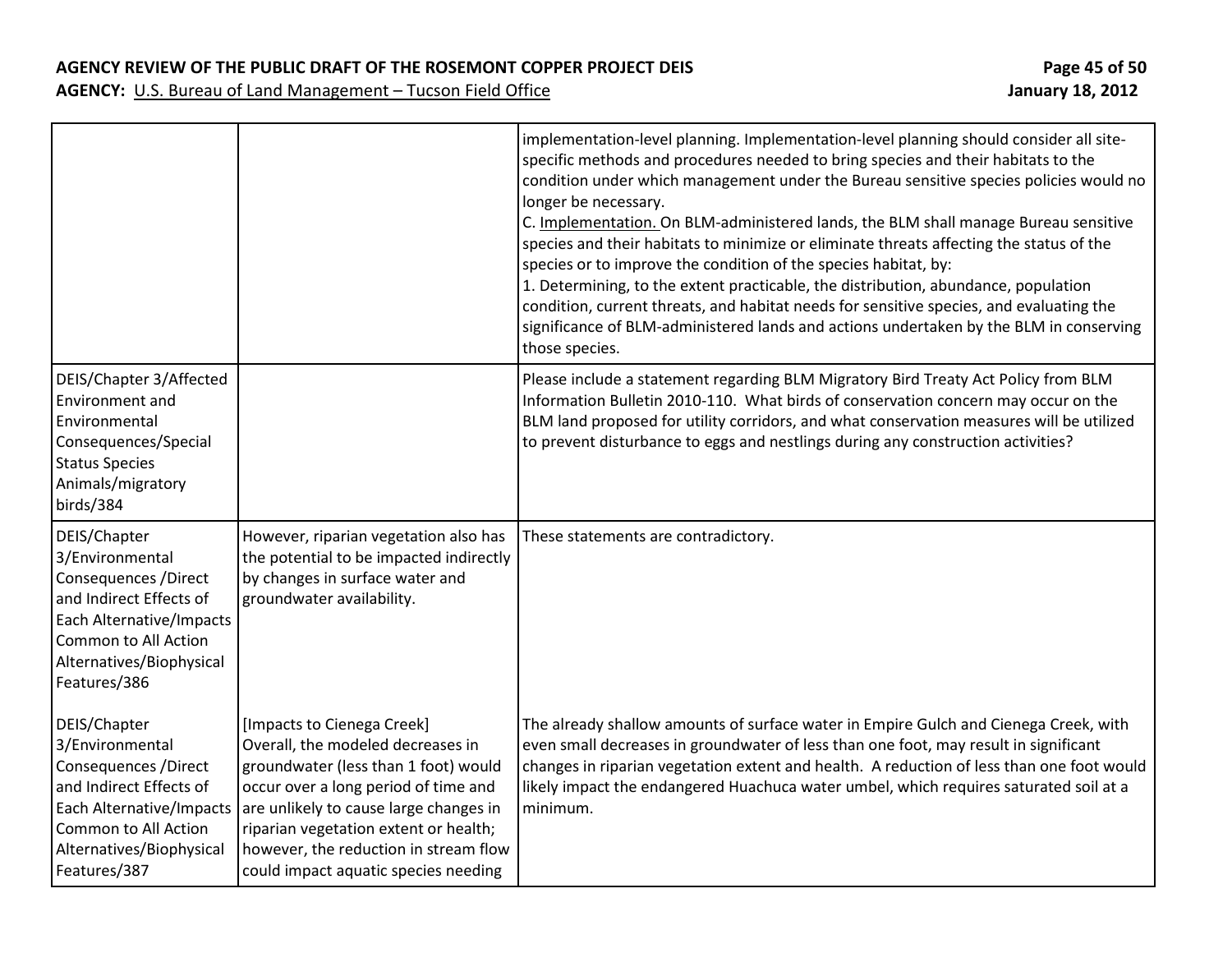**AGENCY REVIEW OF THE PUBLIC DRAFT OF THE ROSEMONT COPPER PROJECT DEIS Page 45 of 50**

|                                                                                                                                                                                     |                                                                                                                                                                                                                                                                                                                     | implementation-level planning. Implementation-level planning should consider all site-<br>specific methods and procedures needed to bring species and their habitats to the<br>condition under which management under the Bureau sensitive species policies would no<br>longer be necessary.<br>C. Implementation. On BLM-administered lands, the BLM shall manage Bureau sensitive<br>species and their habitats to minimize or eliminate threats affecting the status of the<br>species or to improve the condition of the species habitat, by:<br>1. Determining, to the extent practicable, the distribution, abundance, population<br>condition, current threats, and habitat needs for sensitive species, and evaluating the<br>significance of BLM-administered lands and actions undertaken by the BLM in conserving<br>those species. |
|-------------------------------------------------------------------------------------------------------------------------------------------------------------------------------------|---------------------------------------------------------------------------------------------------------------------------------------------------------------------------------------------------------------------------------------------------------------------------------------------------------------------|------------------------------------------------------------------------------------------------------------------------------------------------------------------------------------------------------------------------------------------------------------------------------------------------------------------------------------------------------------------------------------------------------------------------------------------------------------------------------------------------------------------------------------------------------------------------------------------------------------------------------------------------------------------------------------------------------------------------------------------------------------------------------------------------------------------------------------------------|
| DEIS/Chapter 3/Affected<br>Environment and<br>Environmental<br>Consequences/Special<br><b>Status Species</b><br>Animals/migratory<br>birds/384                                      |                                                                                                                                                                                                                                                                                                                     | Please include a statement regarding BLM Migratory Bird Treaty Act Policy from BLM<br>Information Bulletin 2010-110. What birds of conservation concern may occur on the<br>BLM land proposed for utility corridors, and what conservation measures will be utilized<br>to prevent disturbance to eggs and nestlings during any construction activities?                                                                                                                                                                                                                                                                                                                                                                                                                                                                                       |
| DEIS/Chapter<br>3/Environmental<br>Consequences / Direct<br>and Indirect Effects of<br>Each Alternative/Impacts<br>Common to All Action<br>Alternatives/Biophysical<br>Features/386 | However, riparian vegetation also has<br>the potential to be impacted indirectly<br>by changes in surface water and<br>groundwater availability.                                                                                                                                                                    | These statements are contradictory.                                                                                                                                                                                                                                                                                                                                                                                                                                                                                                                                                                                                                                                                                                                                                                                                            |
| DEIS/Chapter<br>3/Environmental<br>Consequences / Direct<br>and Indirect Effects of<br>Each Alternative/Impacts<br>Common to All Action<br>Alternatives/Biophysical<br>Features/387 | [Impacts to Cienega Creek]<br>Overall, the modeled decreases in<br>groundwater (less than 1 foot) would<br>occur over a long period of time and<br>are unlikely to cause large changes in<br>riparian vegetation extent or health;<br>however, the reduction in stream flow<br>could impact aquatic species needing | The already shallow amounts of surface water in Empire Gulch and Cienega Creek, with<br>even small decreases in groundwater of less than one foot, may result in significant<br>changes in riparian vegetation extent and health. A reduction of less than one foot would<br>likely impact the endangered Huachuca water umbel, which requires saturated soil at a<br>minimum.                                                                                                                                                                                                                                                                                                                                                                                                                                                                 |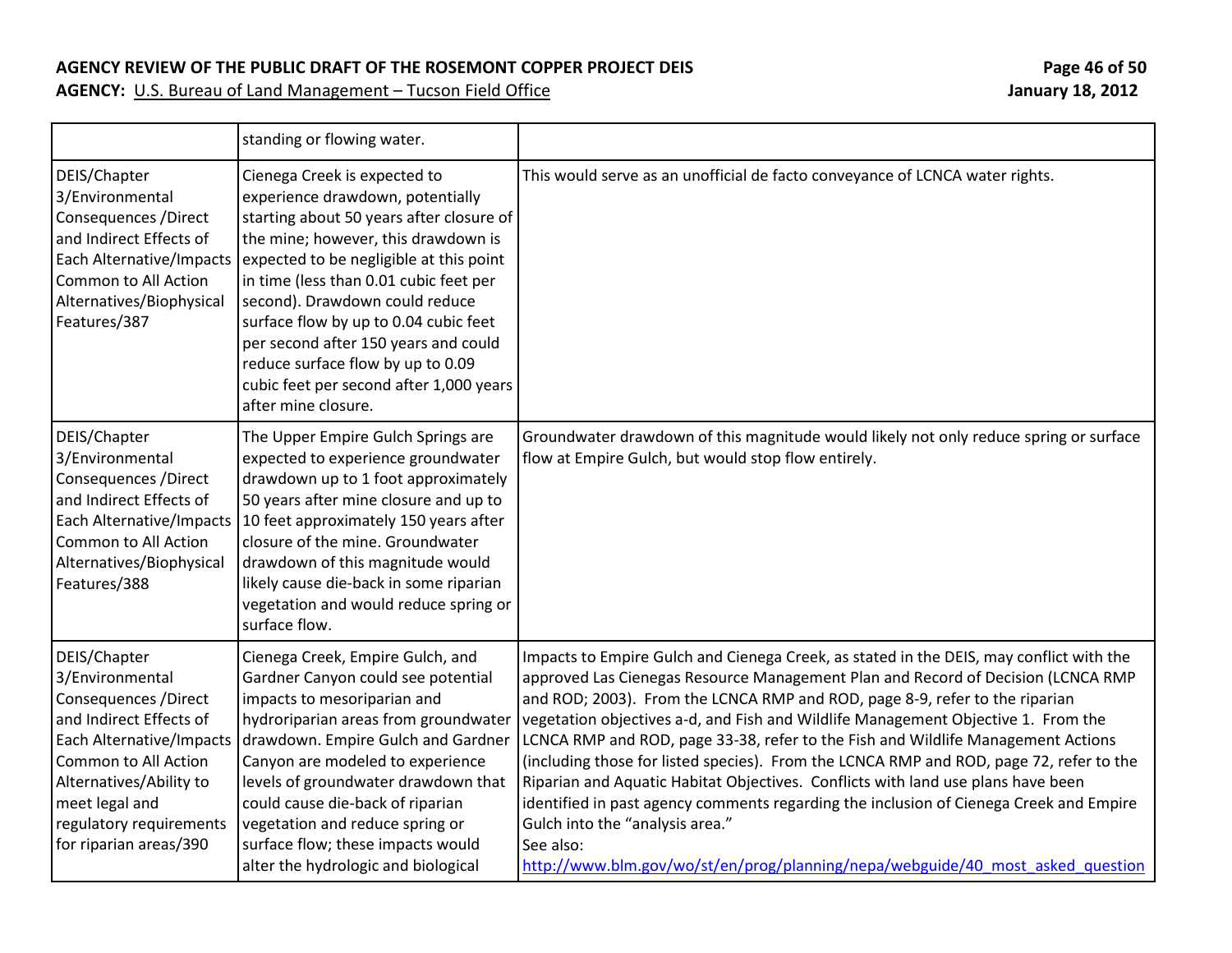#### **AGENCY REVIEW OF THE PUBLIC DRAFT OF THE ROSEMONT COPPER PROJECT DEIS Page 46 of 50**

|                                                                                                                                                                                                                                           | standing or flowing water.                                                                                                                                                                                                                                                                                                                                                                                                                                         |                                                                                                                                                                                                                                                                                                                                                                                                                                                                                                                                                                                                                                                                                                                                                                                                                                                |
|-------------------------------------------------------------------------------------------------------------------------------------------------------------------------------------------------------------------------------------------|--------------------------------------------------------------------------------------------------------------------------------------------------------------------------------------------------------------------------------------------------------------------------------------------------------------------------------------------------------------------------------------------------------------------------------------------------------------------|------------------------------------------------------------------------------------------------------------------------------------------------------------------------------------------------------------------------------------------------------------------------------------------------------------------------------------------------------------------------------------------------------------------------------------------------------------------------------------------------------------------------------------------------------------------------------------------------------------------------------------------------------------------------------------------------------------------------------------------------------------------------------------------------------------------------------------------------|
| DEIS/Chapter<br>3/Environmental<br>Consequences / Direct<br>and Indirect Effects of<br>Each Alternative/Impacts<br>Common to All Action<br>Alternatives/Biophysical<br>Features/387                                                       | Cienega Creek is expected to<br>experience drawdown, potentially<br>starting about 50 years after closure of<br>the mine; however, this drawdown is<br>expected to be negligible at this point<br>in time (less than 0.01 cubic feet per<br>second). Drawdown could reduce<br>surface flow by up to 0.04 cubic feet<br>per second after 150 years and could<br>reduce surface flow by up to 0.09<br>cubic feet per second after 1,000 years<br>after mine closure. | This would serve as an unofficial de facto conveyance of LCNCA water rights.                                                                                                                                                                                                                                                                                                                                                                                                                                                                                                                                                                                                                                                                                                                                                                   |
| DEIS/Chapter<br>3/Environmental<br>Consequences / Direct<br>and Indirect Effects of<br>Each Alternative/Impacts<br>Common to All Action<br>Alternatives/Biophysical<br>Features/388                                                       | The Upper Empire Gulch Springs are<br>expected to experience groundwater<br>drawdown up to 1 foot approximately<br>50 years after mine closure and up to<br>10 feet approximately 150 years after<br>closure of the mine. Groundwater<br>drawdown of this magnitude would<br>likely cause die-back in some riparian<br>vegetation and would reduce spring or<br>surface flow.                                                                                      | Groundwater drawdown of this magnitude would likely not only reduce spring or surface<br>flow at Empire Gulch, but would stop flow entirely.                                                                                                                                                                                                                                                                                                                                                                                                                                                                                                                                                                                                                                                                                                   |
| DEIS/Chapter<br>3/Environmental<br>Consequences / Direct<br>and Indirect Effects of<br>Each Alternative/Impacts<br>Common to All Action<br>Alternatives/Ability to<br>meet legal and<br>regulatory requirements<br>for riparian areas/390 | Cienega Creek, Empire Gulch, and<br>Gardner Canyon could see potential<br>impacts to mesoriparian and<br>hydroriparian areas from groundwater<br>drawdown. Empire Gulch and Gardner<br>Canyon are modeled to experience<br>levels of groundwater drawdown that<br>could cause die-back of riparian<br>vegetation and reduce spring or<br>surface flow; these impacts would<br>alter the hydrologic and biological                                                  | Impacts to Empire Gulch and Cienega Creek, as stated in the DEIS, may conflict with the<br>approved Las Cienegas Resource Management Plan and Record of Decision (LCNCA RMP<br>and ROD; 2003). From the LCNCA RMP and ROD, page 8-9, refer to the riparian<br>vegetation objectives a-d, and Fish and Wildlife Management Objective 1. From the<br>LCNCA RMP and ROD, page 33-38, refer to the Fish and Wildlife Management Actions<br>(including those for listed species). From the LCNCA RMP and ROD, page 72, refer to the<br>Riparian and Aquatic Habitat Objectives. Conflicts with land use plans have been<br>identified in past agency comments regarding the inclusion of Cienega Creek and Empire<br>Gulch into the "analysis area."<br>See also:<br>http://www.blm.gov/wo/st/en/prog/planning/nepa/webguide/40 most asked question |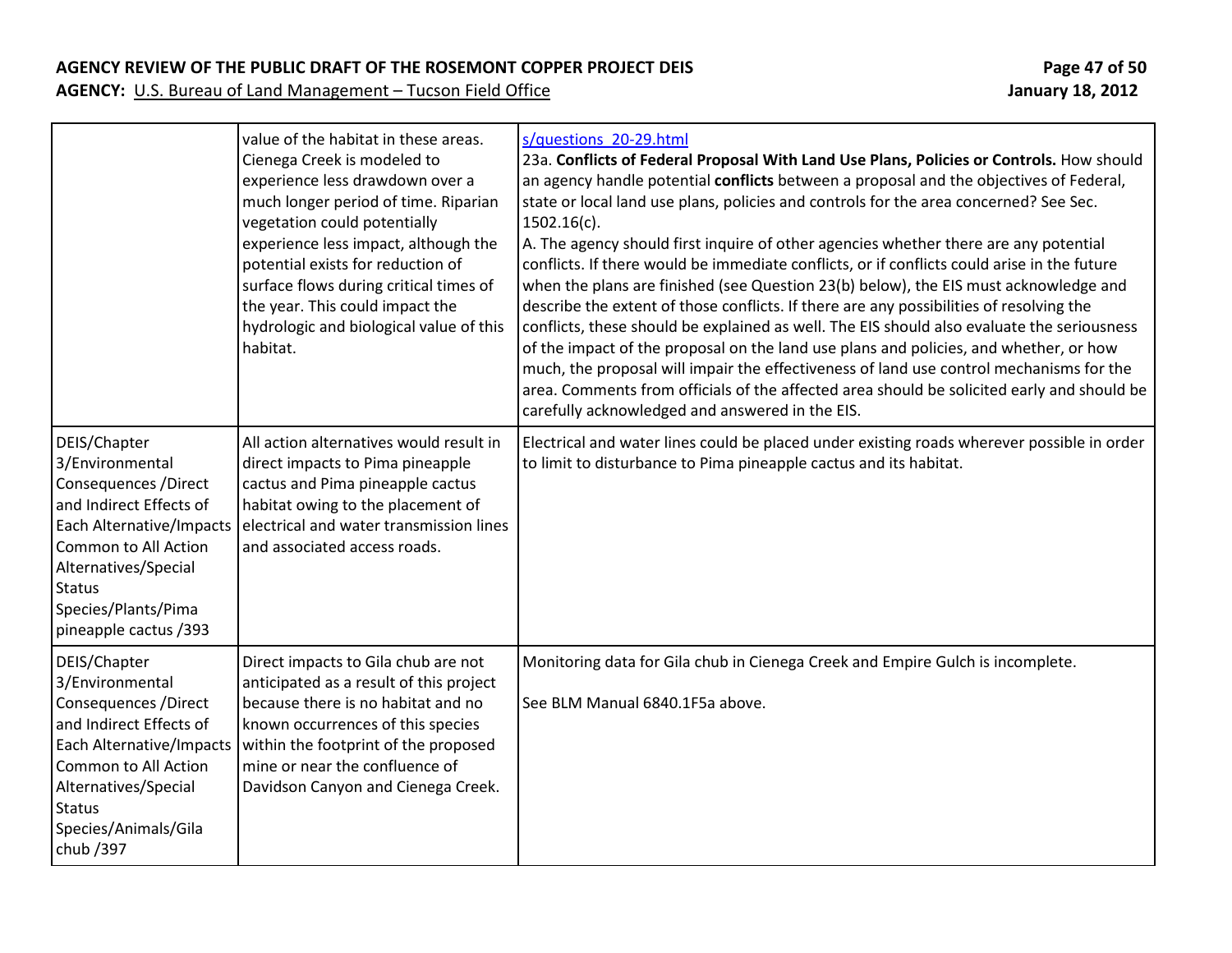### **AGENCY REVIEW OF THE PUBLIC DRAFT OF THE ROSEMONT COPPER PROJECT DEIS Page 47 of 50**

|                                                                                                                                                                                                                                         | value of the habitat in these areas.<br>Cienega Creek is modeled to<br>experience less drawdown over a<br>much longer period of time. Riparian<br>vegetation could potentially<br>experience less impact, although the<br>potential exists for reduction of<br>surface flows during critical times of<br>the year. This could impact the<br>hydrologic and biological value of this<br>habitat. | s/questions 20-29.html<br>23a. Conflicts of Federal Proposal With Land Use Plans, Policies or Controls. How should<br>an agency handle potential conflicts between a proposal and the objectives of Federal,<br>state or local land use plans, policies and controls for the area concerned? See Sec.<br>$1502.16(c)$ .<br>A. The agency should first inquire of other agencies whether there are any potential<br>conflicts. If there would be immediate conflicts, or if conflicts could arise in the future<br>when the plans are finished (see Question 23(b) below), the EIS must acknowledge and<br>describe the extent of those conflicts. If there are any possibilities of resolving the<br>conflicts, these should be explained as well. The EIS should also evaluate the seriousness<br>of the impact of the proposal on the land use plans and policies, and whether, or how<br>much, the proposal will impair the effectiveness of land use control mechanisms for the<br>area. Comments from officials of the affected area should be solicited early and should be<br>carefully acknowledged and answered in the EIS. |
|-----------------------------------------------------------------------------------------------------------------------------------------------------------------------------------------------------------------------------------------|-------------------------------------------------------------------------------------------------------------------------------------------------------------------------------------------------------------------------------------------------------------------------------------------------------------------------------------------------------------------------------------------------|--------------------------------------------------------------------------------------------------------------------------------------------------------------------------------------------------------------------------------------------------------------------------------------------------------------------------------------------------------------------------------------------------------------------------------------------------------------------------------------------------------------------------------------------------------------------------------------------------------------------------------------------------------------------------------------------------------------------------------------------------------------------------------------------------------------------------------------------------------------------------------------------------------------------------------------------------------------------------------------------------------------------------------------------------------------------------------------------------------------------------------------|
| DEIS/Chapter<br>3/Environmental<br>Consequences / Direct<br>and Indirect Effects of<br>Each Alternative/Impacts<br><b>Common to All Action</b><br>Alternatives/Special<br><b>Status</b><br>Species/Plants/Pima<br>pineapple cactus /393 | All action alternatives would result in<br>direct impacts to Pima pineapple<br>cactus and Pima pineapple cactus<br>habitat owing to the placement of<br>electrical and water transmission lines<br>and associated access roads.                                                                                                                                                                 | Electrical and water lines could be placed under existing roads wherever possible in order<br>to limit to disturbance to Pima pineapple cactus and its habitat.                                                                                                                                                                                                                                                                                                                                                                                                                                                                                                                                                                                                                                                                                                                                                                                                                                                                                                                                                                      |
| DEIS/Chapter<br>3/Environmental<br>Consequences / Direct<br>and Indirect Effects of<br>Each Alternative/Impacts<br>Common to All Action<br>Alternatives/Special<br><b>Status</b><br>Species/Animals/Gila<br>chub / 397                  | Direct impacts to Gila chub are not<br>anticipated as a result of this project<br>because there is no habitat and no<br>known occurrences of this species<br>within the footprint of the proposed<br>mine or near the confluence of<br>Davidson Canyon and Cienega Creek.                                                                                                                       | Monitoring data for Gila chub in Cienega Creek and Empire Gulch is incomplete.<br>See BLM Manual 6840.1F5a above.                                                                                                                                                                                                                                                                                                                                                                                                                                                                                                                                                                                                                                                                                                                                                                                                                                                                                                                                                                                                                    |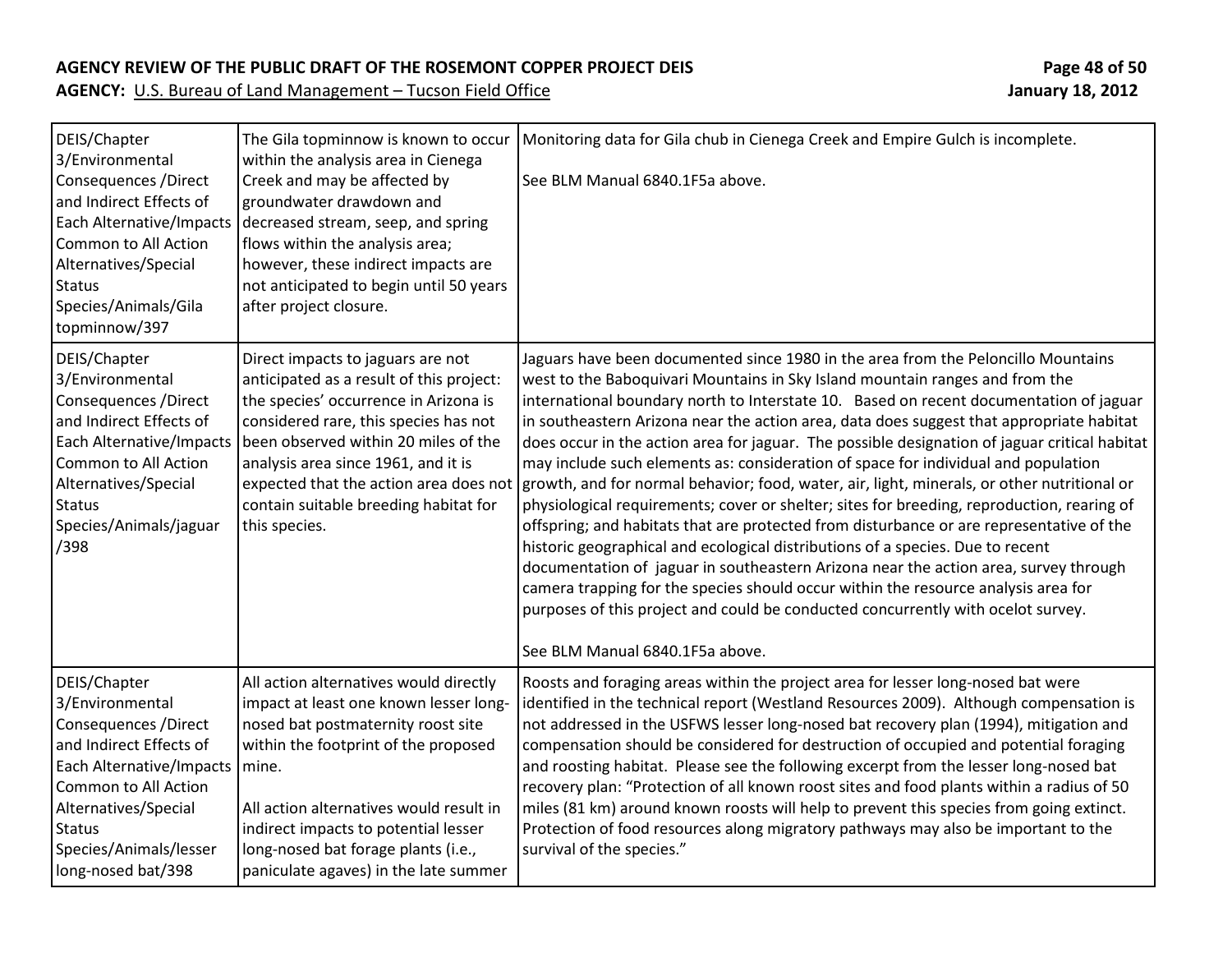#### **AGENCY REVIEW OF THE PUBLIC DRAFT OF THE ROSEMONT COPPER PROJECT DEIS Page 48 of 50**

| DEIS/Chapter<br>3/Environmental<br>Consequences / Direct<br>and Indirect Effects of<br>Common to All Action<br>Alternatives/Special<br><b>Status</b><br>Species/Animals/Gila<br>topminnow/397                                            | The Gila topminnow is known to occur<br>within the analysis area in Cienega<br>Creek and may be affected by<br>groundwater drawdown and<br>Each Alternative/Impacts decreased stream, seep, and spring<br>flows within the analysis area;<br>however, these indirect impacts are<br>not anticipated to begin until 50 years<br>after project closure.                         | Monitoring data for Gila chub in Cienega Creek and Empire Gulch is incomplete.<br>See BLM Manual 6840.1F5a above.                                                                                                                                                                                                                                                                                                                                                                                                                                                                                                                                                                                                                                                                                                                                                                                                                                                                                                                                                                                                                                                                                                              |
|------------------------------------------------------------------------------------------------------------------------------------------------------------------------------------------------------------------------------------------|-------------------------------------------------------------------------------------------------------------------------------------------------------------------------------------------------------------------------------------------------------------------------------------------------------------------------------------------------------------------------------|--------------------------------------------------------------------------------------------------------------------------------------------------------------------------------------------------------------------------------------------------------------------------------------------------------------------------------------------------------------------------------------------------------------------------------------------------------------------------------------------------------------------------------------------------------------------------------------------------------------------------------------------------------------------------------------------------------------------------------------------------------------------------------------------------------------------------------------------------------------------------------------------------------------------------------------------------------------------------------------------------------------------------------------------------------------------------------------------------------------------------------------------------------------------------------------------------------------------------------|
| DEIS/Chapter<br>3/Environmental<br>Consequences / Direct<br>and Indirect Effects of<br>Common to All Action<br>Alternatives/Special<br><b>Status</b><br>Species/Animals/jaguar<br>/398                                                   | Direct impacts to jaguars are not<br>anticipated as a result of this project:<br>the species' occurrence in Arizona is<br>considered rare, this species has not<br>Each Alternative/Impacts   been observed within 20 miles of the<br>analysis area since 1961, and it is<br>expected that the action area does not<br>contain suitable breeding habitat for<br>this species. | Jaguars have been documented since 1980 in the area from the Peloncillo Mountains<br>west to the Baboquivari Mountains in Sky Island mountain ranges and from the<br>international boundary north to Interstate 10. Based on recent documentation of jaguar<br>in southeastern Arizona near the action area, data does suggest that appropriate habitat<br>does occur in the action area for jaguar. The possible designation of jaguar critical habitat<br>may include such elements as: consideration of space for individual and population<br>growth, and for normal behavior; food, water, air, light, minerals, or other nutritional or<br>physiological requirements; cover or shelter; sites for breeding, reproduction, rearing of<br>offspring; and habitats that are protected from disturbance or are representative of the<br>historic geographical and ecological distributions of a species. Due to recent<br>documentation of jaguar in southeastern Arizona near the action area, survey through<br>camera trapping for the species should occur within the resource analysis area for<br>purposes of this project and could be conducted concurrently with ocelot survey.<br>See BLM Manual 6840.1F5a above. |
| DEIS/Chapter<br>3/Environmental<br>Consequences / Direct<br>and Indirect Effects of<br>Each Alternative/Impacts   mine.<br>Common to All Action<br>Alternatives/Special<br><b>Status</b><br>Species/Animals/lesser<br>long-nosed bat/398 | All action alternatives would directly<br>impact at least one known lesser long-<br>nosed bat postmaternity roost site<br>within the footprint of the proposed<br>All action alternatives would result in<br>indirect impacts to potential lesser<br>long-nosed bat forage plants (i.e.,<br>paniculate agaves) in the late summer                                             | Roosts and foraging areas within the project area for lesser long-nosed bat were<br>identified in the technical report (Westland Resources 2009). Although compensation is<br>not addressed in the USFWS lesser long-nosed bat recovery plan (1994), mitigation and<br>compensation should be considered for destruction of occupied and potential foraging<br>and roosting habitat. Please see the following excerpt from the lesser long-nosed bat<br>recovery plan: "Protection of all known roost sites and food plants within a radius of 50<br>miles (81 km) around known roosts will help to prevent this species from going extinct.<br>Protection of food resources along migratory pathways may also be important to the<br>survival of the species."                                                                                                                                                                                                                                                                                                                                                                                                                                                                |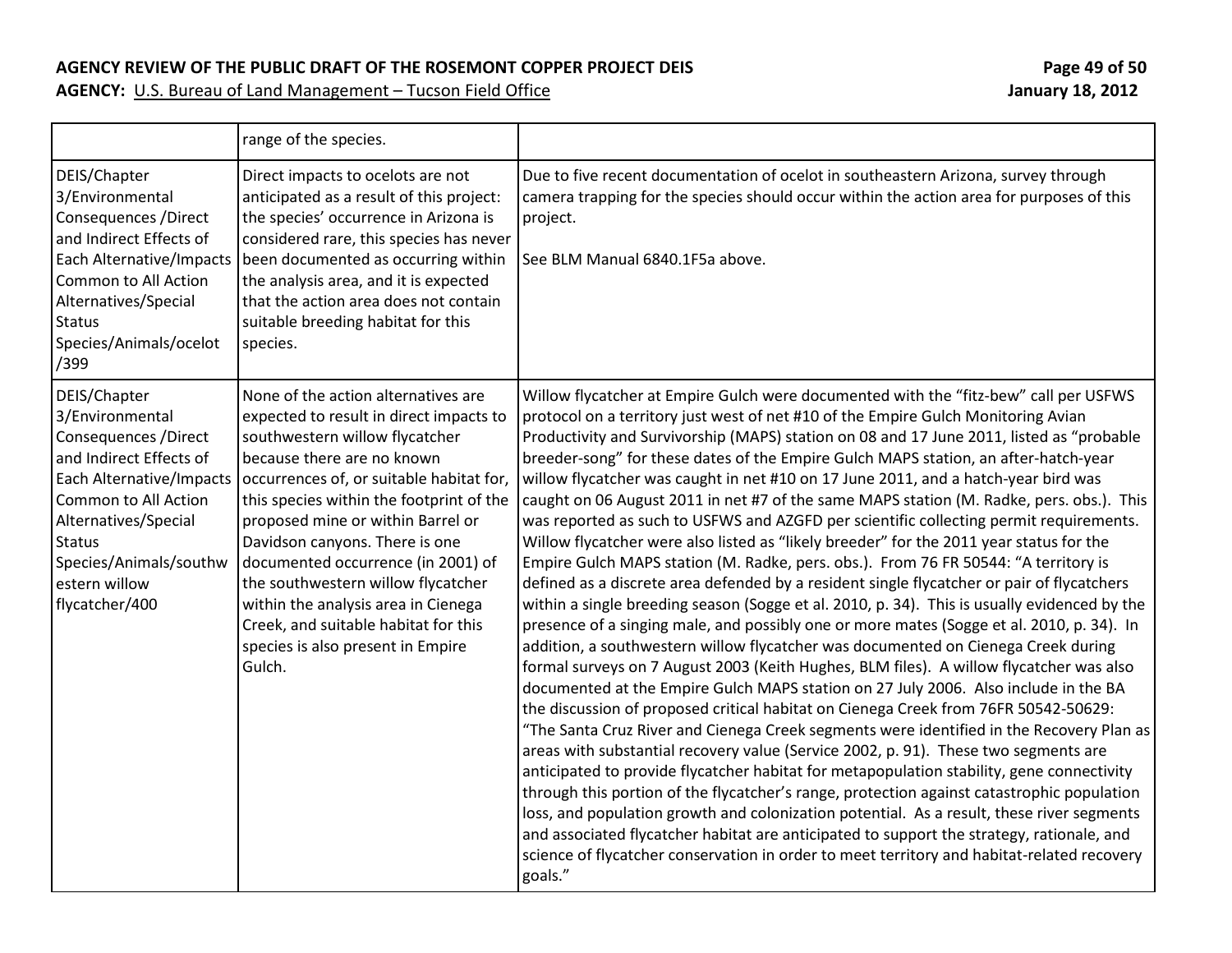#### **AGENCY REVIEW OF THE PUBLIC DRAFT OF THE ROSEMONT COPPER PROJECT DEIS Page 49 of 50**

|                                                                                                                                                                                                                                               | range of the species.                                                                                                                                                                                                                                                                                                                                                                                                                                                                                                   |                                                                                                                                                                                                                                                                                                                                                                                                                                                                                                                                                                                                                                                                                                                                                                                                                                                                                                                                                                                                                                                                                                                                                                                                                                                                                                                                                                                                                                                                                                                                                                                                                                                                                                                                                                                                                                                                                                                                                                                                                                                                                                                                                                      |
|-----------------------------------------------------------------------------------------------------------------------------------------------------------------------------------------------------------------------------------------------|-------------------------------------------------------------------------------------------------------------------------------------------------------------------------------------------------------------------------------------------------------------------------------------------------------------------------------------------------------------------------------------------------------------------------------------------------------------------------------------------------------------------------|----------------------------------------------------------------------------------------------------------------------------------------------------------------------------------------------------------------------------------------------------------------------------------------------------------------------------------------------------------------------------------------------------------------------------------------------------------------------------------------------------------------------------------------------------------------------------------------------------------------------------------------------------------------------------------------------------------------------------------------------------------------------------------------------------------------------------------------------------------------------------------------------------------------------------------------------------------------------------------------------------------------------------------------------------------------------------------------------------------------------------------------------------------------------------------------------------------------------------------------------------------------------------------------------------------------------------------------------------------------------------------------------------------------------------------------------------------------------------------------------------------------------------------------------------------------------------------------------------------------------------------------------------------------------------------------------------------------------------------------------------------------------------------------------------------------------------------------------------------------------------------------------------------------------------------------------------------------------------------------------------------------------------------------------------------------------------------------------------------------------------------------------------------------------|
| DEIS/Chapter<br>3/Environmental<br>Consequences / Direct<br>and Indirect Effects of<br>Each Alternative/Impacts<br>Common to All Action<br>Alternatives/Special<br><b>Status</b><br>Species/Animals/ocelot<br>/399                            | Direct impacts to ocelots are not<br>anticipated as a result of this project:<br>the species' occurrence in Arizona is<br>considered rare, this species has never<br>been documented as occurring within<br>the analysis area, and it is expected<br>that the action area does not contain<br>suitable breeding habitat for this<br>species.                                                                                                                                                                            | Due to five recent documentation of ocelot in southeastern Arizona, survey through<br>camera trapping for the species should occur within the action area for purposes of this<br>project.<br>See BLM Manual 6840.1F5a above.                                                                                                                                                                                                                                                                                                                                                                                                                                                                                                                                                                                                                                                                                                                                                                                                                                                                                                                                                                                                                                                                                                                                                                                                                                                                                                                                                                                                                                                                                                                                                                                                                                                                                                                                                                                                                                                                                                                                        |
| DEIS/Chapter<br>3/Environmental<br>Consequences / Direct<br>and Indirect Effects of<br>Each Alternative/Impacts<br>Common to All Action<br>Alternatives/Special<br><b>Status</b><br>Species/Animals/southw<br>estern willow<br>flycatcher/400 | None of the action alternatives are<br>expected to result in direct impacts to<br>southwestern willow flycatcher<br>because there are no known<br>occurrences of, or suitable habitat for,<br>this species within the footprint of the<br>proposed mine or within Barrel or<br>Davidson canyons. There is one<br>documented occurrence (in 2001) of<br>the southwestern willow flycatcher<br>within the analysis area in Cienega<br>Creek, and suitable habitat for this<br>species is also present in Empire<br>Gulch. | Willow flycatcher at Empire Gulch were documented with the "fitz-bew" call per USFWS<br>protocol on a territory just west of net #10 of the Empire Gulch Monitoring Avian<br>Productivity and Survivorship (MAPS) station on 08 and 17 June 2011, listed as "probable<br>breeder-song" for these dates of the Empire Gulch MAPS station, an after-hatch-year<br>willow flycatcher was caught in net #10 on 17 June 2011, and a hatch-year bird was<br>caught on 06 August 2011 in net #7 of the same MAPS station (M. Radke, pers. obs.). This<br>was reported as such to USFWS and AZGFD per scientific collecting permit requirements.<br>Willow flycatcher were also listed as "likely breeder" for the 2011 year status for the<br>Empire Gulch MAPS station (M. Radke, pers. obs.). From 76 FR 50544: "A territory is<br>defined as a discrete area defended by a resident single flycatcher or pair of flycatchers<br>within a single breeding season (Sogge et al. 2010, p. 34). This is usually evidenced by the<br>presence of a singing male, and possibly one or more mates (Sogge et al. 2010, p. 34). In<br>addition, a southwestern willow flycatcher was documented on Cienega Creek during<br>formal surveys on 7 August 2003 (Keith Hughes, BLM files). A willow flycatcher was also<br>documented at the Empire Gulch MAPS station on 27 July 2006. Also include in the BA<br>the discussion of proposed critical habitat on Cienega Creek from 76FR 50542-50629:<br>"The Santa Cruz River and Cienega Creek segments were identified in the Recovery Plan as<br>areas with substantial recovery value (Service 2002, p. 91). These two segments are<br>anticipated to provide flycatcher habitat for metapopulation stability, gene connectivity<br>through this portion of the flycatcher's range, protection against catastrophic population<br>loss, and population growth and colonization potential. As a result, these river segments<br>and associated flycatcher habitat are anticipated to support the strategy, rationale, and<br>science of flycatcher conservation in order to meet territory and habitat-related recovery<br>goals." |